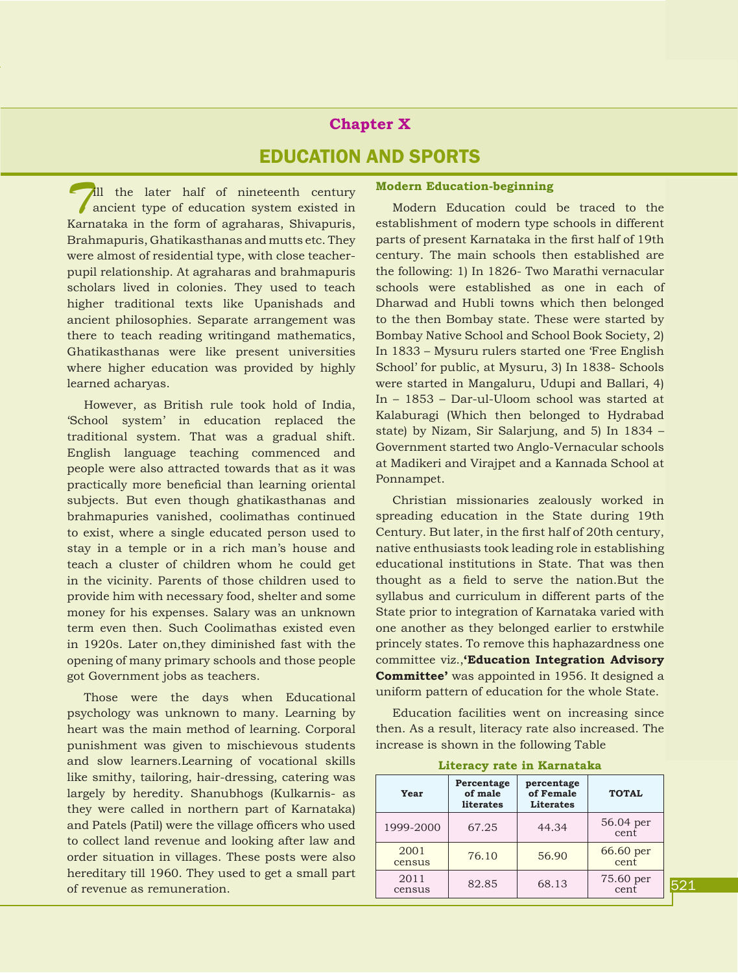# **Chapter X** Education and Sports

**Till** the later half of nineteenth century ancient type of education system existed in Karnataka in the form of agraharas, Shivapuris, Brahmapuris, Ghatikasthanas and mutts etc. They were almost of residential type, with close teacherpupil relationship. At agraharas and brahmapuris scholars lived in colonies. They used to teach higher traditional texts like Upanishads and ancient philosophies. Separate arrangement was there to teach reading writingand mathematics, Ghatikasthanas were like present universities where higher education was provided by highly learned acharyas.

However, as British rule took hold of India, 'School system' in education replaced the traditional system. That was a gradual shift. English language teaching commenced and people were also attracted towards that as it was practically more beneficial than learning oriental subjects. But even though ghatikasthanas and brahmapuries vanished, coolimathas continued to exist, where a single educated person used to stay in a temple or in a rich man's house and teach a cluster of children whom he could get in the vicinity. Parents of those children used to provide him with necessary food, shelter and some money for his expenses. Salary was an unknown term even then. Such Coolimathas existed even in 1920s. Later on,they diminished fast with the opening of many primary schools and those people got Government jobs as teachers.

Those were the days when Educational psychology was unknown to many. Learning by heart was the main method of learning. Corporal punishment was given to mischievous students and slow learners.Learning of vocational skills like smithy, tailoring, hair-dressing, catering was largely by heredity. Shanubhogs (Kulkarnis- as they were called in northern part of Karnataka) and Patels (Patil) were the village officers who used to collect land revenue and looking after law and order situation in villages. These posts were also hereditary till 1960. They used to get a small part of revenue as remuneration.

#### **Modern Education-beginning**

Modern Education could be traced to the establishment of modern type schools in different parts of present Karnataka in the first half of 19th century. The main schools then established are the following: 1) In 1826- Two Marathi vernacular schools were established as one in each of Dharwad and Hubli towns which then belonged to the then Bombay state. These were started by Bombay Native School and School Book Society, 2) In 1833 – Mysuru rulers started one 'Free English School' for public, at Mysuru, 3) In 1838- Schools were started in Mangaluru, Udupi and Ballari, 4) In – 1853 – Dar-ul-Uloom school was started at Kalaburagi (Which then belonged to Hydrabad state) by Nizam, Sir Salarjung, and 5) In 1834 – Government started two Anglo-Vernacular schools at Madikeri and Virajpet and a Kannada School at Ponnampet.

Christian missionaries zealously worked in spreading education in the State during 19th Century. But later, in the first half of 20th century, native enthusiasts took leading role in establishing educational institutions in State. That was then thought as a field to serve the nation.But the syllabus and curriculum in different parts of the State prior to integration of Karnataka varied with one another as they belonged earlier to erstwhile princely states. To remove this haphazardness one committee viz.,**'Education Integration Advisory Committee'** was appointed in 1956. It designed a uniform pattern of education for the whole State.

Education facilities went on increasing since then. As a result, literacy rate also increased. The increase is shown in the following Table

| Year           | Percentage<br>of male<br><b>literates</b> | percentage<br>of Female<br><b>Literates</b> | <b>TOTAL</b>      |
|----------------|-------------------------------------------|---------------------------------------------|-------------------|
| 1999-2000      | 67.25                                     | 44.34                                       | 56.04 per<br>cent |
| 2001<br>census | 76.10                                     | 56.90                                       | 66.60 per<br>cent |
| 2011<br>census | 82.85                                     | 68.13                                       | 75.60 per<br>cent |

#### **Literacy rate in Karnataka**

introduction HISTORY introduction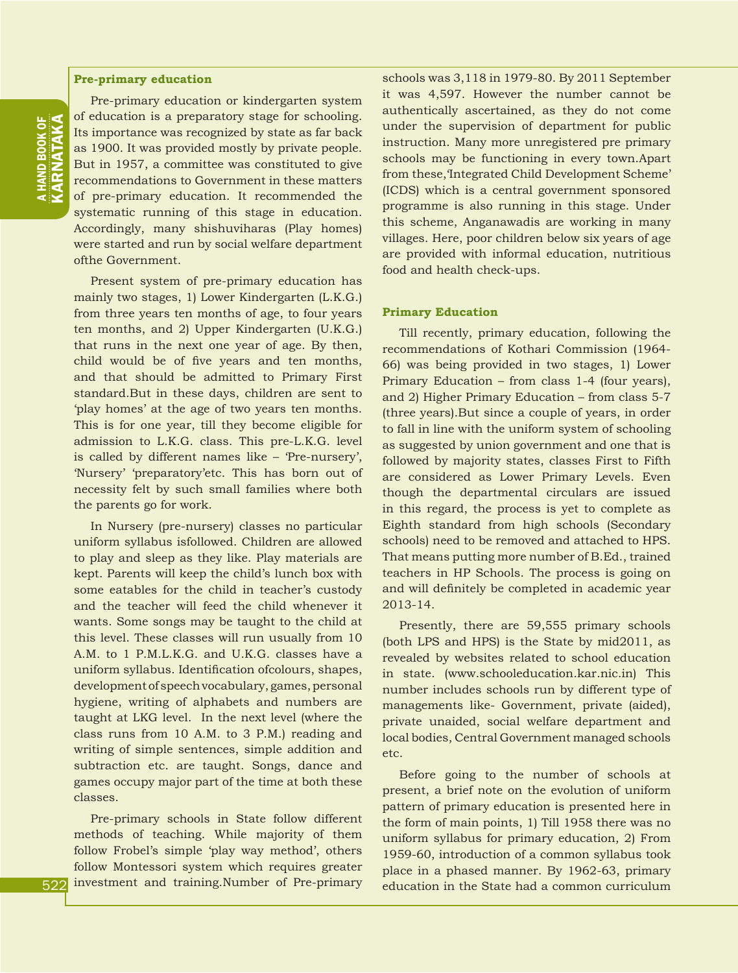#### **Pre-primary education**

Pre-primary education or kindergarten system of education is a preparatory stage for schooling. Its importance was recognized by state as far back as 1900. It was provided mostly by private people. But in 1957, a committee was constituted to give recommendations to Government in these matters of pre-primary education. It recommended the systematic running of this stage in education. Accordingly, many shishuviharas (Play homes) were started and run by social welfare department ofthe Government.

Present system of pre-primary education has mainly two stages, 1) Lower Kindergarten (L.K.G.) from three years ten months of age, to four years ten months, and 2) Upper Kindergarten (U.K.G.) that runs in the next one year of age. By then, child would be of five years and ten months, and that should be admitted to Primary First standard.But in these days, children are sent to 'play homes' at the age of two years ten months. This is for one year, till they become eligible for admission to L.K.G. class. This pre-L.K.G. level is called by different names like – 'Pre-nursery', 'Nursery' 'preparatory'etc. This has born out of necessity felt by such small families where both the parents go for work.

In Nursery (pre-nursery) classes no particular uniform syllabus isfollowed. Children are allowed to play and sleep as they like. Play materials are kept. Parents will keep the child's lunch box with some eatables for the child in teacher's custody and the teacher will feed the child whenever it wants. Some songs may be taught to the child at this level. These classes will run usually from 10 A.M. to 1 P.M.L.K.G. and U.K.G. classes have a uniform syllabus. Identification ofcolours, shapes, development of speech vocabulary, games, personal hygiene, writing of alphabets and numbers are taught at LKG level. In the next level (where the class runs from 10 A.M. to 3 P.M.) reading and writing of simple sentences, simple addition and subtraction etc. are taught. Songs, dance and games occupy major part of the time at both these classes.

Pre-primary schools in State follow different methods of teaching. While majority of them follow Frobel's simple 'play way method', others follow Montessori system which requires greater investment and training.Number of Pre-primary schools was 3,118 in 1979-80. By 2011 September it was 4,597. However the number cannot be authentically ascertained, as they do not come under the supervision of department for public instruction. Many more unregistered pre primary schools may be functioning in every town.Apart from these,'Integrated Child Development Scheme' (ICDS) which is a central government sponsored programme is also running in this stage. Under this scheme, Anganawadis are working in many villages. Here, poor children below six years of age are provided with informal education, nutritious food and health check-ups.

#### **Primary Education**

Till recently, primary education, following the recommendations of Kothari Commission (1964- 66) was being provided in two stages, 1) Lower Primary Education – from class 1-4 (four years), and 2) Higher Primary Education – from class 5-7 (three years).But since a couple of years, in order to fall in line with the uniform system of schooling as suggested by union government and one that is followed by majority states, classes First to Fifth are considered as Lower Primary Levels. Even though the departmental circulars are issued in this regard, the process is yet to complete as Eighth standard from high schools (Secondary schools) need to be removed and attached to HPS. That means putting more number of B.Ed., trained teachers in HP Schools. The process is going on and will definitely be completed in academic year 2013-14.

Presently, there are 59,555 primary schools (both LPS and HPS) is the State by mid2011, as revealed by websites related to school education in state. (www.schooleducation.kar.nic.in) This number includes schools run by different type of managements like- Government, private (aided), private unaided, social welfare department and local bodies, Central Government managed schools etc.

Before going to the number of schools at present, a brief note on the evolution of uniform pattern of primary education is presented here in the form of main points, 1) Till 1958 there was no uniform syllabus for primary education, 2) From 1959-60, introduction of a common syllabus took place in a phased manner. By 1962-63, primary education in the State had a common curriculum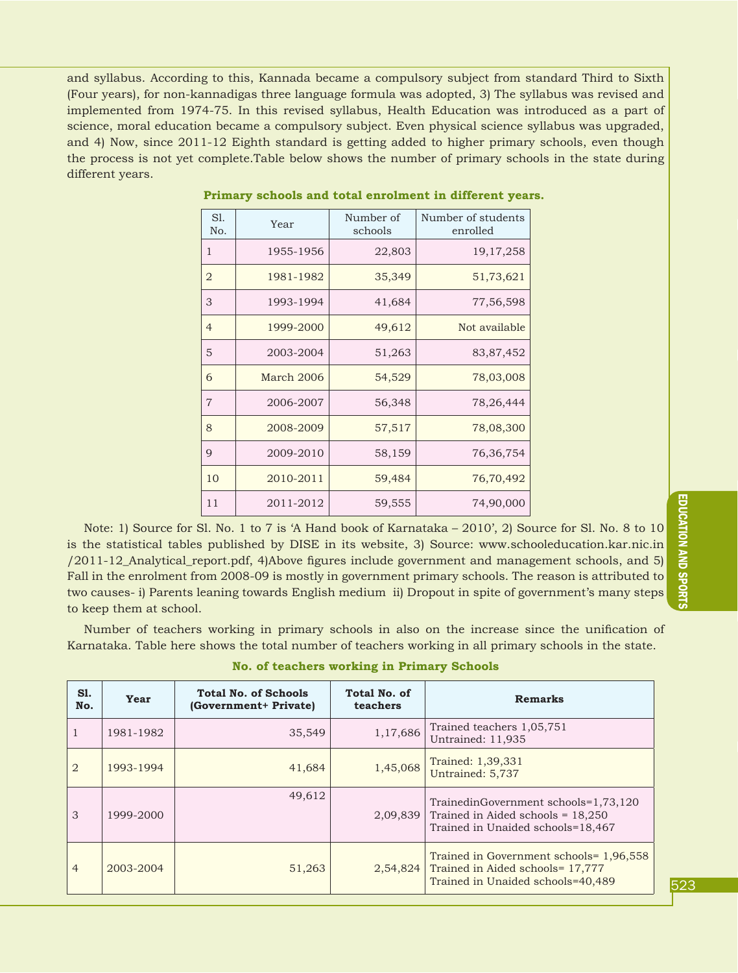and syllabus. According to this, Kannada became a compulsory subject from standard Third to Sixth (Four years), for non-kannadigas three language formula was adopted, 3) The syllabus was revised and implemented from 1974-75. In this revised syllabus, Health Education was introduced as a part of science, moral education became a compulsory subject. Even physical science syllabus was upgraded, and 4) Now, since 2011-12 Eighth standard is getting added to higher primary schools, even though the process is not yet complete.Table below shows the number of primary schools in the state during different years.

| SI.<br>No.     | Year       | Number of<br>schools | Number of students<br>enrolled |  |
|----------------|------------|----------------------|--------------------------------|--|
| $\mathbf{1}$   | 1955-1956  | 22,803               | 19, 17, 258                    |  |
| $\overline{2}$ | 1981-1982  | 35,349               | 51,73,621                      |  |
| 3              | 1993-1994  | 41,684               | 77,56,598                      |  |
| $\overline{4}$ | 1999-2000  | 49,612               | Not available                  |  |
| 5              | 2003-2004  | 51,263               | 83, 87, 452                    |  |
| 6              | March 2006 | 54,529               | 78,03,008                      |  |
| $\overline{7}$ | 2006-2007  | 56,348               | 78, 26, 444                    |  |
| 8              | 2008-2009  | 57,517               | 78,08,300                      |  |
| 9              | 2009-2010  | 58,159               | 76,36,754                      |  |
| 10             | 2010-2011  | 59,484               | 76,70,492                      |  |
| 11             | 2011-2012  | 59,555               | 74,90,000                      |  |

#### **Primary schools and total enrolment in different years.**

Note: 1) Source for Sl. No. 1 to 7 is 'A Hand book of Karnataka – 2010', 2) Source for Sl. No. 8 to 10 is the statistical tables published by DISE in its website, 3) Source: www.schooleducation.kar.nic.in /2011-12\_Analytical\_report.pdf, 4)Above figures include government and management schools, and 5) Fall in the enrolment from 2008-09 is mostly in government primary schools. The reason is attributed to two causes- i) Parents leaning towards English medium ii) Dropout in spite of government's many steps to keep them at school.

Number of teachers working in primary schools in also on the increase since the unification of Karnataka. Table here shows the total number of teachers working in all primary schools in the state.

|  |  |  |  | <b>No. of teachers working in Primary Schools</b> |
|--|--|--|--|---------------------------------------------------|
|--|--|--|--|---------------------------------------------------|

| S1.<br>No.     | Year      | <b>Total No. of Schools</b><br>(Government+ Private) | Total No. of<br>teachers | <b>Remarks</b>                                                                                                   |
|----------------|-----------|------------------------------------------------------|--------------------------|------------------------------------------------------------------------------------------------------------------|
|                | 1981-1982 | 35,549                                               | 1,17,686                 | Trained teachers 1,05,751<br>Untrained: 11,935                                                                   |
| $\overline{2}$ | 1993-1994 | 41,684                                               | 1,45,068                 | Trained: 1,39,331<br>Untrained: 5,737                                                                            |
| 3              | 1999-2000 | 49,612                                               | 2,09,839                 | TrainedinGovernment schools=1,73,120<br>Trained in Aided schools = $18,250$<br>Trained in Unaided schools=18,467 |
| $\overline{4}$ | 2003-2004 | 51,263                                               | 2,54,824                 | Trained in Government schools= 1,96,558<br>Trained in Aided schools= 17,777<br>Trained in Unaided schools=40,489 |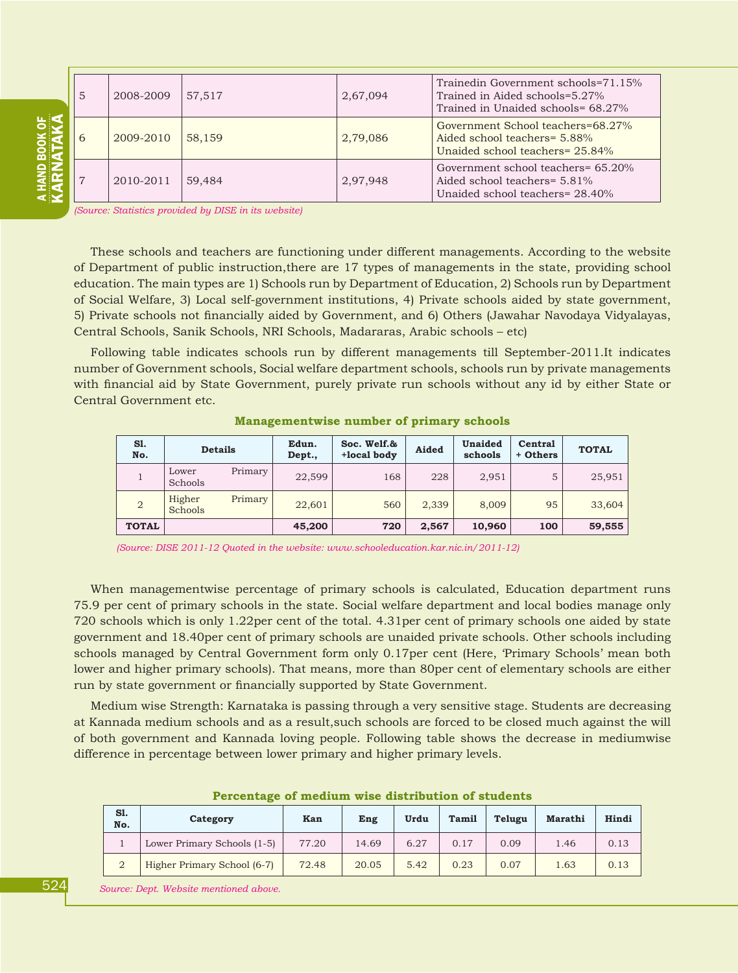| 5 | 2008-2009 | 57.517 | 2,67,094 | Trainedin Government schools=71.15%<br>Trained in Aided schools=5.27%<br>Trained in Unaided schools= 68.27% |
|---|-----------|--------|----------|-------------------------------------------------------------------------------------------------------------|
| 6 | 2009-2010 | 58,159 | 2,79,086 | Government School teachers=68.27%<br>Aided school teachers = 5.88%<br>Unaided school teachers= 25.84%       |
|   | 2010-2011 | 59,484 | 2,97,948 | Government school teachers= 65.20%<br>Aided school teachers= 5.81%<br>Unaided school teachers= 28.40%       |

*(Source: Statistics provided by DISE in its website)*

These schools and teachers are functioning under different managements. According to the website of Department of public instruction,there are 17 types of managements in the state, providing school education. The main types are 1) Schools run by Department of Education, 2) Schools run by Department of Social Welfare, 3) Local self-government institutions, 4) Private schools aided by state government, 5) Private schools not financially aided by Government, and 6) Others (Jawahar Navodaya Vidyalayas, Central Schools, Sanik Schools, NRI Schools, Madararas, Arabic schools – etc)

Following table indicates schools run by different managements till September-2011.It indicates number of Government schools, Social welfare department schools, schools run by private managements with financial aid by State Government, purely private run schools without any id by either State or Central Government etc.

| S1.<br>No.     | <b>Details</b>    |         | Edun.<br>Dept., | Soc. Welf.&<br>+local body | Aided | Unaided<br>schools | Central<br>+ Others | <b>TOTAL</b> |
|----------------|-------------------|---------|-----------------|----------------------------|-------|--------------------|---------------------|--------------|
|                | Lower<br>Schools  | Primary | 22,599          | 168                        | 228   | 2,951              | 5                   | 25,951       |
| $\overline{2}$ | Higher<br>Schools | Primary | 22,601          | 560                        | 2,339 | 8,009              | 95                  | 33,604       |
| <b>TOTAL</b>   |                   |         | 45,200          | 720                        | 2,567 | 10,960             | 100                 | 59,555       |

**Managementwise number of primary schools**

*(Source: DISE 2011-12 Quoted in the website: www.schooleducation.kar.nic.in/2011-12)*

When managementwise percentage of primary schools is calculated, Education department runs 75.9 per cent of primary schools in the state. Social welfare department and local bodies manage only 720 schools which is only 1.22per cent of the total. 4.31per cent of primary schools one aided by state government and 18.40per cent of primary schools are unaided private schools. Other schools including schools managed by Central Government form only 0.17per cent (Here, 'Primary Schools' mean both lower and higher primary schools). That means, more than 80per cent of elementary schools are either run by state government or financially supported by State Government.

Medium wise Strength: Karnataka is passing through a very sensitive stage. Students are decreasing at Kannada medium schools and as a result,such schools are forced to be closed much against the will of both government and Kannada loving people. Following table shows the decrease in mediumwise difference in percentage between lower primary and higher primary levels.

| S1.<br>No. | Category                    | Kan   | Eng   | Urdu | Tamil | Telugu | Marathi | Hindi |
|------------|-----------------------------|-------|-------|------|-------|--------|---------|-------|
|            | Lower Primary Schools (1-5) | 77.20 | 14.69 | 6.27 | 0.17  | 0.09   | 1.46    | 0.13  |
| $\Omega$   | Higher Primary School (6-7) | 72.48 | 20.05 | 5.42 | 0.23  | 0.07   | 1.63    | 0.13  |

**Percentage of medium wise distribution of students**

 *Source: Dept. Website mentioned above.*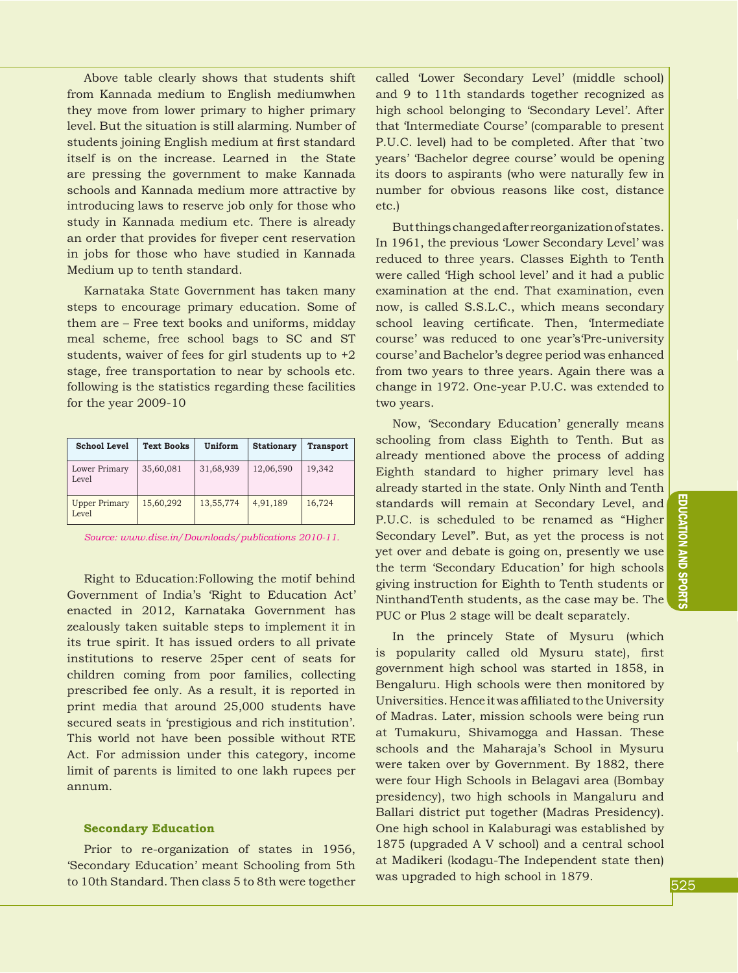Above table clearly shows that students shift from Kannada medium to English mediumwhen they move from lower primary to higher primary level. But the situation is still alarming. Number of students joining English medium at first standard itself is on the increase. Learned in the State are pressing the government to make Kannada schools and Kannada medium more attractive by introducing laws to reserve job only for those who study in Kannada medium etc. There is already an order that provides for fiveper cent reservation in jobs for those who have studied in Kannada Medium up to tenth standard.

Karnataka State Government has taken many steps to encourage primary education. Some of them are – Free text books and uniforms, midday meal scheme, free school bags to SC and ST students, waiver of fees for girl students up to +2 stage, free transportation to near by schools etc. following is the statistics regarding these facilities for the year 2009-10

| <b>School Level</b>           | <b>Text Books</b> | Uniform   | <b>Stationary</b> | <b>Transport</b> |
|-------------------------------|-------------------|-----------|-------------------|------------------|
| Lower Primary<br>Level        | 35,60,081         | 31,68,939 | 12,06,590         | 19,342           |
| <b>Upper Primary</b><br>Level | 15,60,292         | 13,55,774 | 4,91,189          | 16,724           |

*Source: www.dise.in/Downloads/publications 2010-11.*

Right to Education:Following the motif behind Government of India's 'Right to Education Act' enacted in 2012, Karnataka Government has zealously taken suitable steps to implement it in its true spirit. It has issued orders to all private institutions to reserve 25per cent of seats for children coming from poor families, collecting prescribed fee only. As a result, it is reported in print media that around 25,000 students have secured seats in 'prestigious and rich institution'. This world not have been possible without RTE Act. For admission under this category, income limit of parents is limited to one lakh rupees per annum.

#### **Secondary Education**

Prior to re-organization of states in 1956, 'Secondary Education' meant Schooling from 5th to 10th Standard. Then class 5 to 8th were together

called 'Lower Secondary Level' (middle school) and 9 to 11th standards together recognized as high school belonging to 'Secondary Level'. After that 'Intermediate Course' (comparable to present P.U.C. level) had to be completed. After that `two years' 'Bachelor degree course' would be opening its doors to aspirants (who were naturally few in number for obvious reasons like cost, distance etc.)

But things changed after reorganization of states. In 1961, the previous 'Lower Secondary Level' was reduced to three years. Classes Eighth to Tenth were called 'High school level' and it had a public examination at the end. That examination, even now, is called S.S.L.C., which means secondary school leaving certificate. Then, 'Intermediate course' was reduced to one year's'Pre-university course' and Bachelor's degree period was enhanced from two years to three years. Again there was a change in 1972. One-year P.U.C. was extended to two years.

Now, 'Secondary Education' generally means schooling from class Eighth to Tenth. But as already mentioned above the process of adding Eighth standard to higher primary level has already started in the state. Only Ninth and Tenth standards will remain at Secondary Level, and P.U.C. is scheduled to be renamed as "Higher Secondary Level". But, as yet the process is not yet over and debate is going on, presently we use the term 'Secondary Education' for high schools giving instruction for Eighth to Tenth students or NinthandTenth students, as the case may be. The PUC or Plus 2 stage will be dealt separately.

In the princely State of Mysuru (which is popularity called old Mysuru state), first government high school was started in 1858, in Bengaluru. High schools were then monitored by Universities. Hence it was affiliated to the University of Madras. Later, mission schools were being run at Tumakuru, Shivamogga and Hassan. These schools and the Maharaja's School in Mysuru were taken over by Government. By 1882, there were four High Schools in Belagavi area (Bombay presidency), two high schools in Mangaluru and Ballari district put together (Madras Presidency). One high school in Kalaburagi was established by 1875 (upgraded A V school) and a central school at Madikeri (kodagu-The Independent state then) was upgraded to high school in 1879.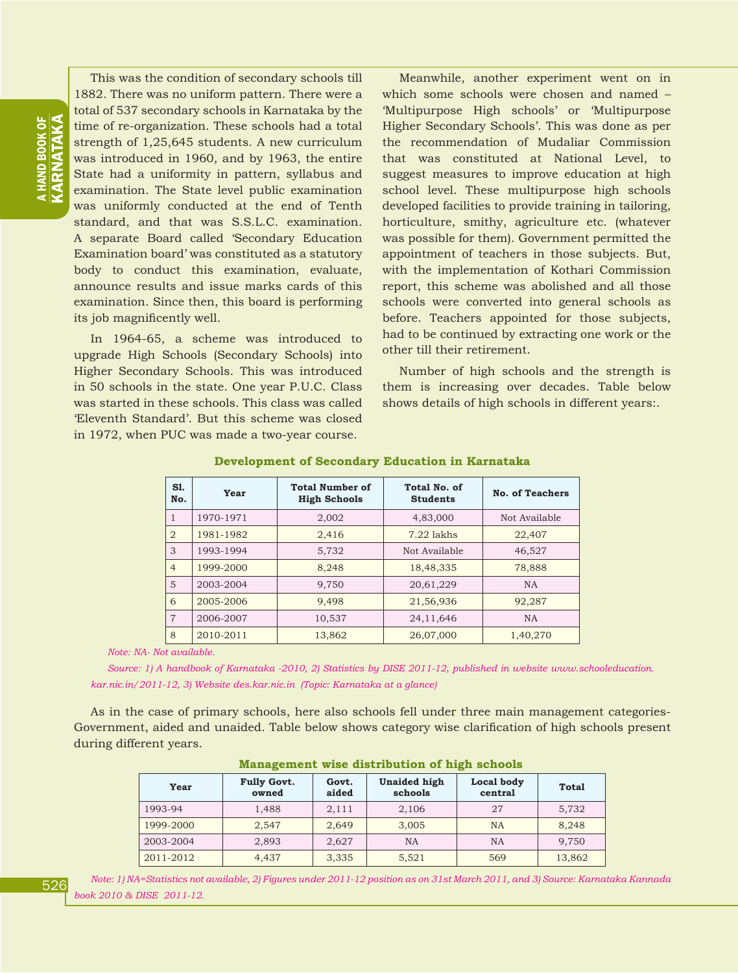# **HAND BOOK OF<br>ARNATAKA** KARNATAKA a HAND BOOK OF

This was the condition of secondary schools till 1882. There was no uniform pattern. There were a total of 537 secondary schools in Karnataka by the time of re-organization. These schools had a total strength of 1,25,645 students. A new curriculum was introduced in 1960, and by 1963, the entire State had a uniformity in pattern, syllabus and examination. The State level public examination was uniformly conducted at the end of Tenth standard, and that was S.S.L.C. examination. A separate Board called 'Secondary Education Examination board' was constituted as a statutory body to conduct this examination, evaluate, announce results and issue marks cards of this examination. Since then, this board is performing its job magnificently well.

In 1964-65, a scheme was introduced to upgrade High Schools (Secondary Schools) into Higher Secondary Schools. This was introduced in 50 schools in the state. One year P.U.C. Class was started in these schools. This class was called 'Eleventh Standard'. But this scheme was closed in 1972, when PUC was made a two-year course.

Meanwhile, another experiment went on in which some schools were chosen and named – 'Multipurpose High schools' or 'Multipurpose Higher Secondary Schools'. This was done as per the recommendation of Mudaliar Commission that was constituted at National Level, to suggest measures to improve education at high school level. These multipurpose high schools developed facilities to provide training in tailoring, horticulture, smithy, agriculture etc. (whatever was possible for them). Government permitted the appointment of teachers in those subjects. But, with the implementation of Kothari Commission report, this scheme was abolished and all those schools were converted into general schools as before. Teachers appointed for those subjects, had to be continued by extracting one work or the other till their retirement.

Number of high schools and the strength is them is increasing over decades. Table below shows details of high schools in different years:.

| S1.<br>No.     | Year      | <b>Total Number of</b><br><b>High Schools</b> | Total No. of<br><b>Students</b> | <b>No. of Teachers</b> |
|----------------|-----------|-----------------------------------------------|---------------------------------|------------------------|
| 1              | 1970-1971 | 2,002                                         | 4,83,000                        | Not Available          |
| $\overline{2}$ | 1981-1982 | 2,416                                         | $7.22$ lakhs                    | 22,407                 |
| 3              | 1993-1994 | 5,732                                         | Not Available                   | 46,527                 |
| $\overline{4}$ | 1999-2000 | 8,248                                         | 18,48,335                       | 78,888                 |
| 5              | 2003-2004 | 9,750                                         | 20,61,229                       | <b>NA</b>              |
| 6              | 2005-2006 | 9,498                                         | 21,56,936                       | 92,287                 |
| $\overline{7}$ | 2006-2007 | 10,537                                        | 24, 11, 646                     | <b>NA</b>              |
| 8              | 2010-2011 | 13,862                                        | 26,07,000                       | 1,40,270               |

#### **Development of Secondary Education in Karnataka**

*Note: NA- Not available.*

*Source: 1) A handbook of Karnataka -2010, 2) Statistics by DISE 2011-12, published in website www.schooleducation. kar.nic.in/2011-12, 3) Website des.kar.nic.in (Topic: Karnataka at a glance)*

As in the case of primary schools, here also schools fell under three main management categories-Government, aided and unaided. Table below shows category wise clarification of high schools present during different years.

| ATAMAAMAN WAAA WAA |                             |                |                                |                       |              |  |  |  |
|--------------------|-----------------------------|----------------|--------------------------------|-----------------------|--------------|--|--|--|
| Year               | <b>Fully Govt.</b><br>owned | Govt.<br>aided | <b>Unaided high</b><br>schools | Local body<br>central | <b>Total</b> |  |  |  |
| 1993-94            | 1,488                       | 2,111          | 2,106                          | 27                    | 5,732        |  |  |  |
| 1999-2000          | 2,547                       | 2,649          | 3,005                          | <b>NA</b>             | 8,248        |  |  |  |
| 2003-2004          | 2,893                       | 2,627          | NA                             | NA                    | 9,750        |  |  |  |
| 2011-2012          | 4,437                       | 3,335          | 5,521                          | 569                   | 13,862       |  |  |  |

#### **Management wise distribution of high schools**

526

*Note: 1) NA=Statistics not available, 2) Figures under 2011-12 position as on 31st March 2011, and 3) Source: Karnataka Kannada book 2010 & DISE 2011-12.*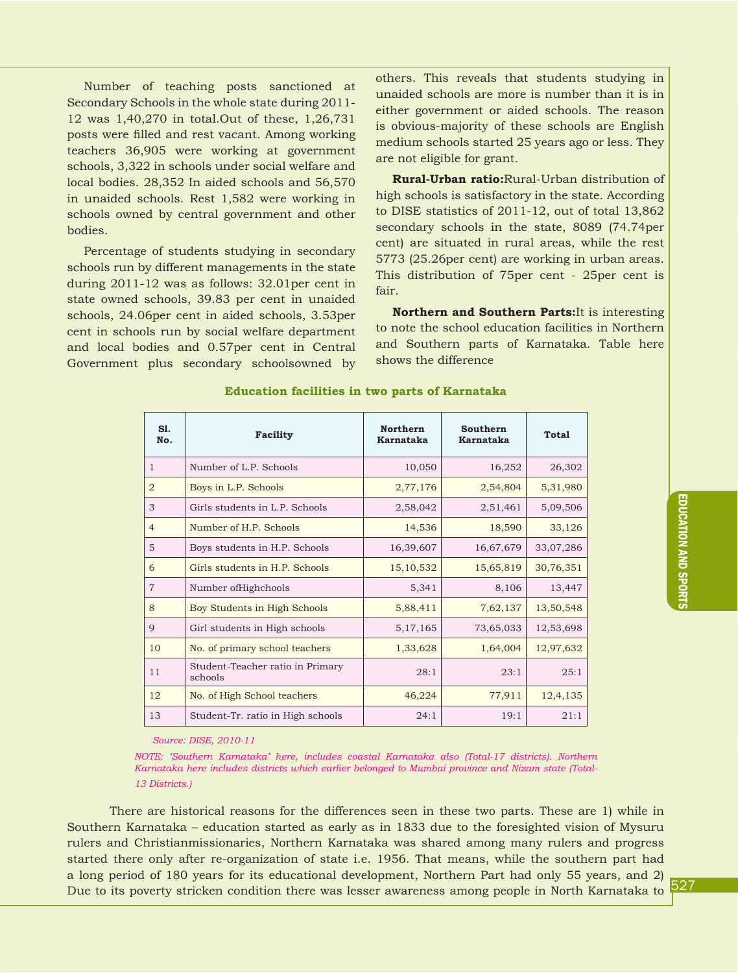Number of teaching posts sanctioned at Secondary Schools in the whole state during 2011- 12 was 1,40,270 in total.Out of these, 1,26,731 posts were filled and rest vacant. Among working teachers 36,905 were working at government schools, 3,322 in schools under social welfare and local bodies. 28,352 In aided schools and 56,570 in unaided schools. Rest 1,582 were working in schools owned by central government and other bodies.

Percentage of students studying in secondary schools run by different managements in the state during 2011-12 was as follows: 32.01per cent in state owned schools, 39.83 per cent in unaided schools, 24.06per cent in aided schools, 3.53per cent in schools run by social welfare department and local bodies and 0.57per cent in Central Government plus secondary schoolsowned by

others. This reveals that students studying in unaided schools are more is number than it is in either government or aided schools. The reason is obvious-majority of these schools are English medium schools started 25 years ago or less. They are not eligible for grant.

**Rural-Urban ratio:**Rural-Urban distribution of high schools is satisfactory in the state. According to DISE statistics of 2011-12, out of total 13,862 secondary schools in the state, 8089 (74.74per cent) are situated in rural areas, while the rest 5773 (25.26per cent) are working in urban areas. This distribution of 75per cent - 25per cent is fair.

**Northern and Southern Parts:**It is interesting to note the school education facilities in Northern and Southern parts of Karnataka. Table here shows the difference

| S1.<br>No.     | Facility                                    | <b>Northern</b><br><b>Karnataka</b> | <b>Southern</b><br><b>Karnataka</b> | Total     |
|----------------|---------------------------------------------|-------------------------------------|-------------------------------------|-----------|
| $\mathbf{1}$   | Number of L.P. Schools                      | 10,050                              | 16,252                              | 26,302    |
| $\overline{2}$ | Boys in L.P. Schools                        | 2,77,176                            | 2,54,804                            | 5,31,980  |
| 3              | Girls students in L.P. Schools              | 2,58,042                            | 2,51,461                            | 5,09,506  |
| $\overline{4}$ | Number of H.P. Schools                      | 14,536                              | 18,590                              | 33,126    |
| 5              | Boys students in H.P. Schools               | 16,39,607                           | 16,67,679                           | 33,07,286 |
| 6              | Girls students in H.P. Schools              | 15, 10, 532                         | 15,65,819                           | 30,76,351 |
| $\overline{7}$ | Number of High chools                       | 5,341                               | 8,106                               | 13,447    |
| 8              | Boy Students in High Schools                | 5,88,411                            | 7,62,137                            | 13,50,548 |
| 9              | Girl students in High schools               | 5, 17, 165                          | 73,65,033                           | 12,53,698 |
| 10             | No. of primary school teachers              | 1,33,628                            | 1,64,004                            | 12,97,632 |
| 11             | Student-Teacher ratio in Primary<br>schools | 28:1                                | 23:1                                | 25:1      |
| 12             | No. of High School teachers                 | 46,224                              | 77,911                              | 12,4,135  |
| 13             | Student-Tr. ratio in High schools           | 24:1                                | 19:1                                | 21:1      |

#### **Education facilities in two parts of Karnataka**

*Source: DISE, 2010-11*

*NOTE: 'Southern Karnataka' here, includes coastal Karnataka also (Total-17 districts). Northern Karnataka here includes districts which earlier belonged to Mumbai province and Nizam state (Total-13 Districts.)*

There are historical reasons for the differences seen in these two parts. These are 1) while in Southern Karnataka – education started as early as in 1833 due to the foresighted vision of Mysuru rulers and Christianmissionaries, Northern Karnataka was shared among many rulers and progress started there only after re-organization of state i.e. 1956. That means, while the southern part had a long period of 180 years for its educational development, Northern Part had only 55 years, and 2) Due to its poverty stricken condition there was lesser awareness among people in North Karnataka to

527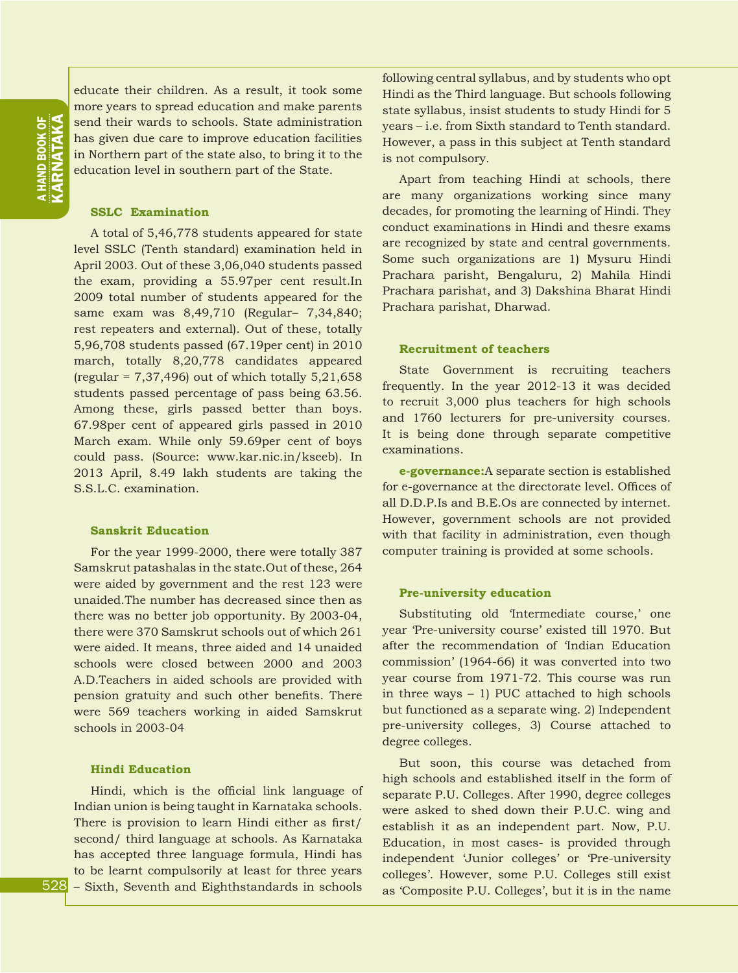educate their children. As a result, it took some more years to spread education and make parents send their wards to schools. State administration has given due care to improve education facilities in Northern part of the state also, to bring it to the education level in southern part of the State.

#### **SSLC Examination**

A total of 5,46,778 students appeared for state level SSLC (Tenth standard) examination held in April 2003. Out of these 3,06,040 students passed the exam, providing a 55.97per cent result.In 2009 total number of students appeared for the same exam was 8,49,710 (Regular– 7,34,840; rest repeaters and external). Out of these, totally 5,96,708 students passed (67.19per cent) in 2010 march, totally 8,20,778 candidates appeared (regular =  $7,37,496$ ) out of which totally  $5,21,658$ students passed percentage of pass being 63.56. Among these, girls passed better than boys. 67.98per cent of appeared girls passed in 2010 March exam. While only 59.69per cent of boys could pass. (Source: www.kar.nic.in/kseeb). In 2013 April, 8.49 lakh students are taking the S.S.L.C. examination.

#### **Sanskrit Education**

For the year 1999-2000, there were totally 387 Samskrut patashalas in the state.Out of these, 264 were aided by government and the rest 123 were unaided.The number has decreased since then as there was no better job opportunity. By 2003-04, there were 370 Samskrut schools out of which 261 were aided. It means, three aided and 14 unaided schools were closed between 2000 and 2003 A.D.Teachers in aided schools are provided with pension gratuity and such other benefits. There were 569 teachers working in aided Samskrut schools in 2003-04

#### **Hindi Education**

Hindi, which is the official link language of Indian union is being taught in Karnataka schools. There is provision to learn Hindi either as first/ second/ third language at schools. As Karnataka has accepted three language formula, Hindi has to be learnt compulsorily at least for three years – Sixth, Seventh and Eighthstandards in schools following central syllabus, and by students who opt Hindi as the Third language. But schools following state syllabus, insist students to study Hindi for 5 years – i.e. from Sixth standard to Tenth standard. However, a pass in this subject at Tenth standard is not compulsory.

Apart from teaching Hindi at schools, there are many organizations working since many decades, for promoting the learning of Hindi. They conduct examinations in Hindi and thesre exams are recognized by state and central governments. Some such organizations are 1) Mysuru Hindi Prachara parisht, Bengaluru, 2) Mahila Hindi Prachara parishat, and 3) Dakshina Bharat Hindi Prachara parishat, Dharwad.

#### **Recruitment of teachers**

State Government is recruiting teachers frequently. In the year 2012-13 it was decided to recruit 3,000 plus teachers for high schools and 1760 lecturers for pre-university courses. It is being done through separate competitive examinations.

**e-governance:**A separate section is established for e-governance at the directorate level. Offices of all D.D.P.Is and B.E.Os are connected by internet. However, government schools are not provided with that facility in administration, even though computer training is provided at some schools.

#### **Pre-university education**

Substituting old 'Intermediate course,' one year 'Pre-university course' existed till 1970. But after the recommendation of 'Indian Education commission' (1964-66) it was converted into two year course from 1971-72. This course was run in three ways – 1) PUC attached to high schools but functioned as a separate wing. 2) Independent pre-university colleges, 3) Course attached to degree colleges.

But soon, this course was detached from high schools and established itself in the form of separate P.U. Colleges. After 1990, degree colleges were asked to shed down their P.U.C. wing and establish it as an independent part. Now, P.U. Education, in most cases- is provided through independent 'Junior colleges' or 'Pre-university colleges'. However, some P.U. Colleges still exist as 'Composite P.U. Colleges', but it is in the name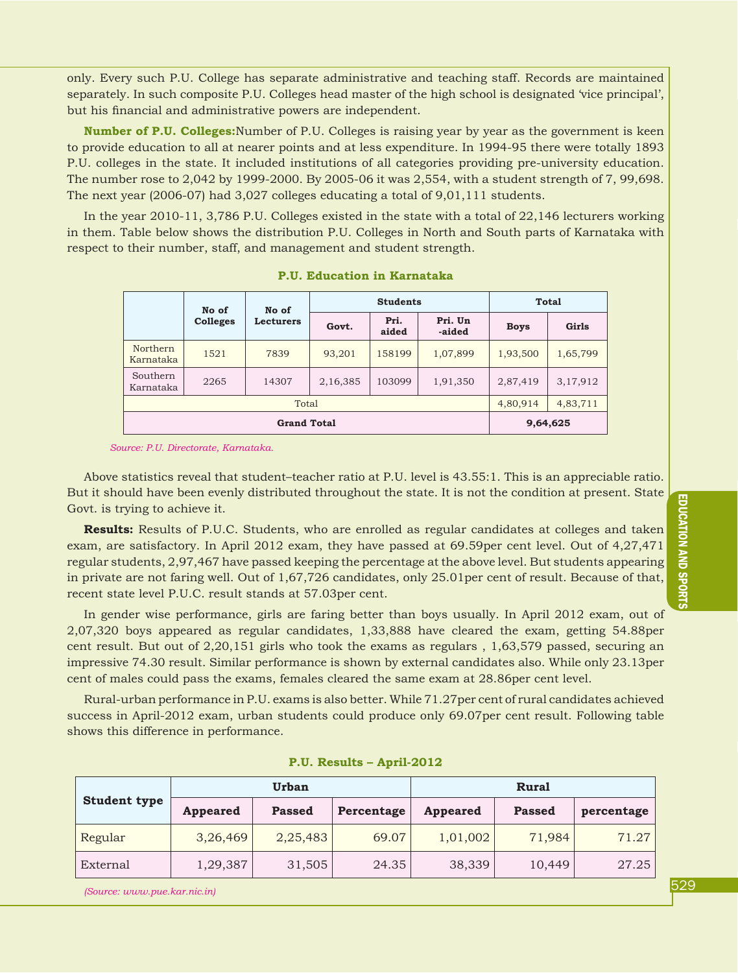only. Every such P.U. College has separate administrative and teaching staff. Records are maintained separately. In such composite P.U. Colleges head master of the high school is designated 'vice principal', but his financial and administrative powers are independent.

**Number of P.U. Colleges:**Number of P.U. Colleges is raising year by year as the government is keen to provide education to all at nearer points and at less expenditure. In 1994-95 there were totally 1893 P.U. colleges in the state. It included institutions of all categories providing pre-university education. The number rose to 2,042 by 1999-2000. By 2005-06 it was 2,554, with a student strength of 7, 99,698. The next year (2006-07) had 3,027 colleges educating a total of 9,01,111 students.

In the year 2010-11, 3,786 P.U. Colleges existed in the state with a total of 22,146 lecturers working in them. Table below shows the distribution P.U. Colleges in North and South parts of Karnataka with respect to their number, staff, and management and student strength.

|                       | No of<br>No of  |                  | <b>Students</b> |               |                   | <b>Total</b> |          |
|-----------------------|-----------------|------------------|-----------------|---------------|-------------------|--------------|----------|
|                       | <b>Colleges</b> | <b>Lecturers</b> | Govt.           | Pri.<br>aided | Pri. Un<br>-aided | <b>Boys</b>  | Girls    |
| Northern<br>Karnataka | 1521            | 7839             | 93,201          | 158199        | 1,07,899          | 1,93,500     | 1,65,799 |
| Southern<br>Karnataka | 2265            | 14307            | 2,16,385        | 103099        | 1,91,350          | 2,87,419     | 3,17,912 |
| Total                 |                 |                  |                 |               |                   | 4,80,914     | 4,83,711 |
| <b>Grand Total</b>    |                 |                  |                 |               |                   |              | 9,64,625 |

**P.U. Education in Karnataka**

*Source: P.U. Directorate, Karnataka.*

Above statistics reveal that student–teacher ratio at P.U. level is 43.55:1. This is an appreciable ratio. But it should have been evenly distributed throughout the state. It is not the condition at present. State Govt. is trying to achieve it.

**Results:** Results of P.U.C. Students, who are enrolled as regular candidates at colleges and taken exam, are satisfactory. In April 2012 exam, they have passed at 69.59per cent level. Out of 4,27,471 regular students, 2,97,467 have passed keeping the percentage at the above level. But students appearing in private are not faring well. Out of 1,67,726 candidates, only 25.01per cent of result. Because of that, recent state level P.U.C. result stands at 57.03per cent.

In gender wise performance, girls are faring better than boys usually. In April 2012 exam, out of 2,07,320 boys appeared as regular candidates, 1,33,888 have cleared the exam, getting 54.88per cent result. But out of 2,20,151 girls who took the exams as regulars , 1,63,579 passed, securing an impressive 74.30 result. Similar performance is shown by external candidates also. While only 23.13per cent of males could pass the exams, females cleared the same exam at 28.86per cent level.

Rural-urban performance in P.U. exams is also better. While 71.27per cent of rural candidates achieved success in April-2012 exam, urban students could produce only 69.07per cent result. Following table shows this difference in performance.

| <b>Student type</b> |                 | <b>Urban</b>  |            | <b>Rural</b>    |               |            |  |
|---------------------|-----------------|---------------|------------|-----------------|---------------|------------|--|
|                     | <b>Appeared</b> | <b>Passed</b> | Percentage | <b>Appeared</b> | <b>Passed</b> | percentage |  |
| Regular             | 3,26,469        | 2,25,483      | 69.07      | 1,01,002        | 71,984        | 71.27      |  |
| External            | 1,29,387        | 31,505        | 24.35      | 38,339          | 10,449        | 27.25      |  |

**P.U. Results – April-2012**

*(Source: www.pue.kar.nic.in)*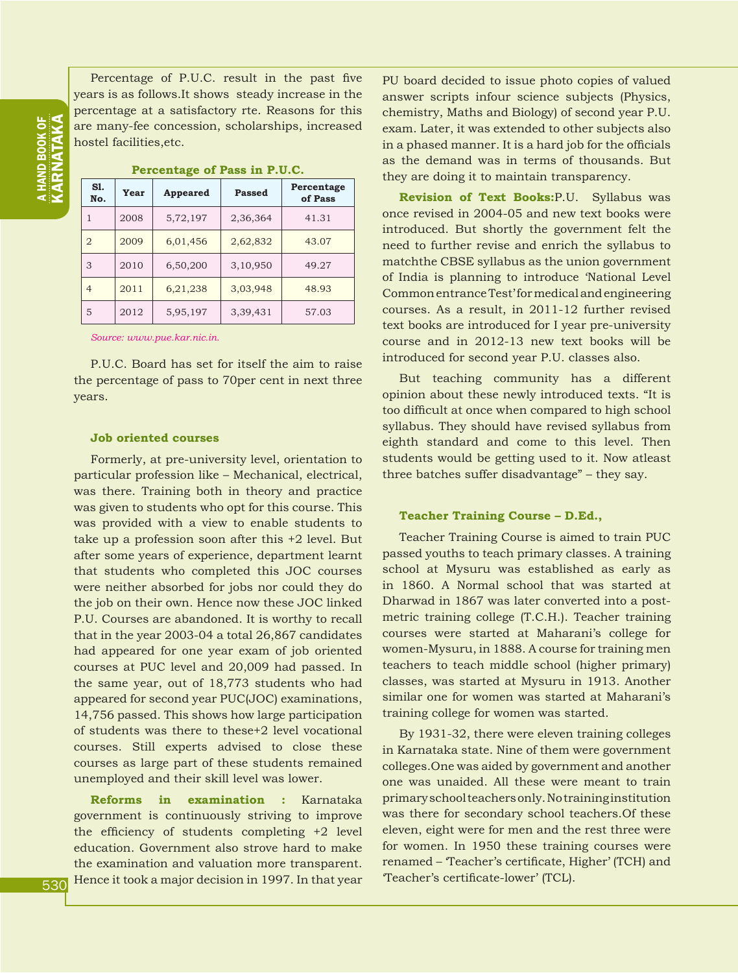ND BOOK OF<br>RNATAKA KARNATAKA a HAND BOOK OF

Percentage of P.U.C. result in the past five years is as follows.It shows steady increase in the percentage at a satisfactory rte. Reasons for this are many-fee concession, scholarships, increased hostel facilities,etc.

| S1.<br>No.     | Year | <b>Appeared</b> | Passed   | Percentage<br>of Pass |
|----------------|------|-----------------|----------|-----------------------|
| 1              | 2008 | 5,72,197        | 2,36,364 | 41.31                 |
| $\overline{2}$ | 2009 | 6,01,456        | 2,62,832 | 43.07                 |
| 3              | 2010 | 6,50,200        | 3,10,950 | 49.27                 |
| $\overline{4}$ | 2011 | 6,21,238        | 3,03,948 | 48.93                 |
| 5              | 2012 | 5,95,197        | 3,39,431 | 57.03                 |

**Percentage of Pass in P.U.C.**

*Source: www.pue.kar.nic.in.*

P.U.C. Board has set for itself the aim to raise the percentage of pass to 70per cent in next three years.

#### **Job oriented courses**

Formerly, at pre-university level, orientation to particular profession like – Mechanical, electrical, was there. Training both in theory and practice was given to students who opt for this course. This was provided with a view to enable students to take up a profession soon after this +2 level. But after some years of experience, department learnt that students who completed this JOC courses were neither absorbed for jobs nor could they do the job on their own. Hence now these JOC linked P.U. Courses are abandoned. It is worthy to recall that in the year 2003-04 a total 26,867 candidates had appeared for one year exam of job oriented courses at PUC level and 20,009 had passed. In the same year, out of 18,773 students who had appeared for second year PUC(JOC) examinations, 14,756 passed. This shows how large participation of students was there to these+2 level vocational courses. Still experts advised to close these courses as large part of these students remained unemployed and their skill level was lower.

**Reforms in examination :** Karnataka government is continuously striving to improve the efficiency of students completing +2 level education. Government also strove hard to make the examination and valuation more transparent. Hence it took a major decision in 1997. In that year PU board decided to issue photo copies of valued answer scripts infour science subjects (Physics, chemistry, Maths and Biology) of second year P.U. exam. Later, it was extended to other subjects also in a phased manner. It is a hard job for the officials as the demand was in terms of thousands. But they are doing it to maintain transparency.

**Revision of Text Books:**P.U. Syllabus was once revised in 2004-05 and new text books were introduced. But shortly the government felt the need to further revise and enrich the syllabus to matchthe CBSE syllabus as the union government of India is planning to introduce 'National Level Common entrance Test' for medical and engineering courses. As a result, in 2011-12 further revised text books are introduced for I year pre-university course and in 2012-13 new text books will be introduced for second year P.U. classes also.

But teaching community has a different opinion about these newly introduced texts. "It is too difficult at once when compared to high school syllabus. They should have revised syllabus from eighth standard and come to this level. Then students would be getting used to it. Now atleast three batches suffer disadvantage" – they say.

#### **Teacher Training Course – D.Ed.,**

Teacher Training Course is aimed to train PUC passed youths to teach primary classes. A training school at Mysuru was established as early as in 1860. A Normal school that was started at Dharwad in 1867 was later converted into a postmetric training college (T.C.H.). Teacher training courses were started at Maharani's college for women-Mysuru, in 1888. A course for training men teachers to teach middle school (higher primary) classes, was started at Mysuru in 1913. Another similar one for women was started at Maharani's training college for women was started.

By 1931-32, there were eleven training colleges in Karnataka state. Nine of them were government colleges.One was aided by government and another one was unaided. All these were meant to train primary school teachers only. No training institution was there for secondary school teachers.Of these eleven, eight were for men and the rest three were for women. In 1950 these training courses were renamed – 'Teacher's certificate, Higher' (TCH) and 'Teacher's certificate-lower' (TCL).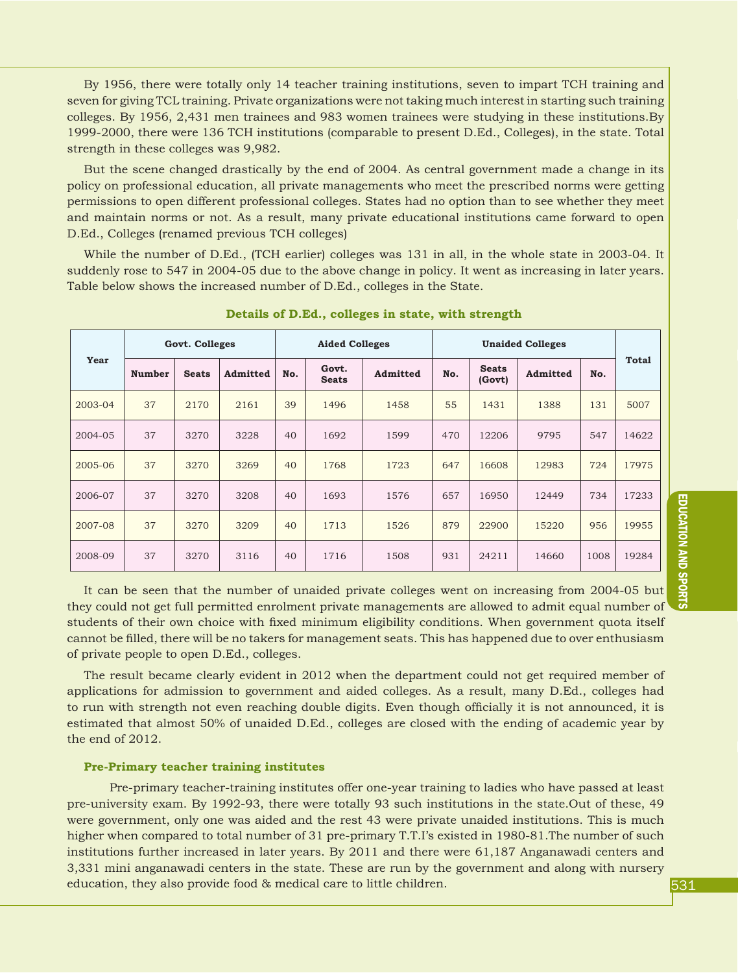By 1956, there were totally only 14 teacher training institutions, seven to impart TCH training and seven for giving TCL training. Private organizations were not taking much interest in starting such training colleges. By 1956, 2,431 men trainees and 983 women trainees were studying in these institutions.By 1999-2000, there were 136 TCH institutions (comparable to present D.Ed., Colleges), in the state. Total strength in these colleges was 9,982.

But the scene changed drastically by the end of 2004. As central government made a change in its policy on professional education, all private managements who meet the prescribed norms were getting permissions to open different professional colleges. States had no option than to see whether they meet and maintain norms or not. As a result, many private educational institutions came forward to open D.Ed., Colleges (renamed previous TCH colleges)

While the number of D.Ed., (TCH earlier) colleges was 131 in all, in the whole state in 2003-04. It suddenly rose to 547 in 2004-05 due to the above change in policy. It went as increasing in later years. Table below shows the increased number of D.Ed., colleges in the State.

|         | Govt. Colleges |              |          |     | <b>Aided Colleges</b> |          | <b>Unaided Colleges</b> |                        |          |      |              |
|---------|----------------|--------------|----------|-----|-----------------------|----------|-------------------------|------------------------|----------|------|--------------|
| Year    | <b>Number</b>  | <b>Seats</b> | Admitted | No. | Govt.<br><b>Seats</b> | Admitted | No.                     | <b>Seats</b><br>(Govt) | Admitted | No.  | <b>Total</b> |
| 2003-04 | 37             | 2170         | 2161     | 39  | 1496                  | 1458     | 55                      | 1431                   | 1388     | 131  | 5007         |
| 2004-05 | 37             | 3270         | 3228     | 40  | 1692                  | 1599     | 470                     | 12206                  | 9795     | 547  | 14622        |
| 2005-06 | 37             | 3270         | 3269     | 40  | 1768                  | 1723     | 647                     | 16608                  | 12983    | 724  | 17975        |
| 2006-07 | 37             | 3270         | 3208     | 40  | 1693                  | 1576     | 657                     | 16950                  | 12449    | 734  | 17233        |
| 2007-08 | 37             | 3270         | 3209     | 40  | 1713                  | 1526     | 879                     | 22900                  | 15220    | 956  | 19955        |
| 2008-09 | 37             | 3270         | 3116     | 40  | 1716                  | 1508     | 931                     | 24211                  | 14660    | 1008 | 19284        |

**Details of D.Ed., colleges in state, with strength**

It can be seen that the number of unaided private colleges went on increasing from 2004-05 but they could not get full permitted enrolment private managements are allowed to admit equal number of students of their own choice with fixed minimum eligibility conditions. When government quota itself cannot be filled, there will be no takers for management seats. This has happened due to over enthusiasm of private people to open D.Ed., colleges.

The result became clearly evident in 2012 when the department could not get required member of applications for admission to government and aided colleges. As a result, many D.Ed., colleges had to run with strength not even reaching double digits. Even though officially it is not announced, it is estimated that almost 50% of unaided D.Ed., colleges are closed with the ending of academic year by the end of 2012.

#### **Pre-Primary teacher training institutes**

Pre-primary teacher-training institutes offer one-year training to ladies who have passed at least pre-university exam. By 1992-93, there were totally 93 such institutions in the state.Out of these, 49 were government, only one was aided and the rest 43 were private unaided institutions. This is much higher when compared to total number of 31 pre-primary T.T.I's existed in 1980-81. The number of such institutions further increased in later years. By 2011 and there were 61,187 Anganawadi centers and 3,331 mini anganawadi centers in the state. These are run by the government and along with nursery education, they also provide food & medical care to little children.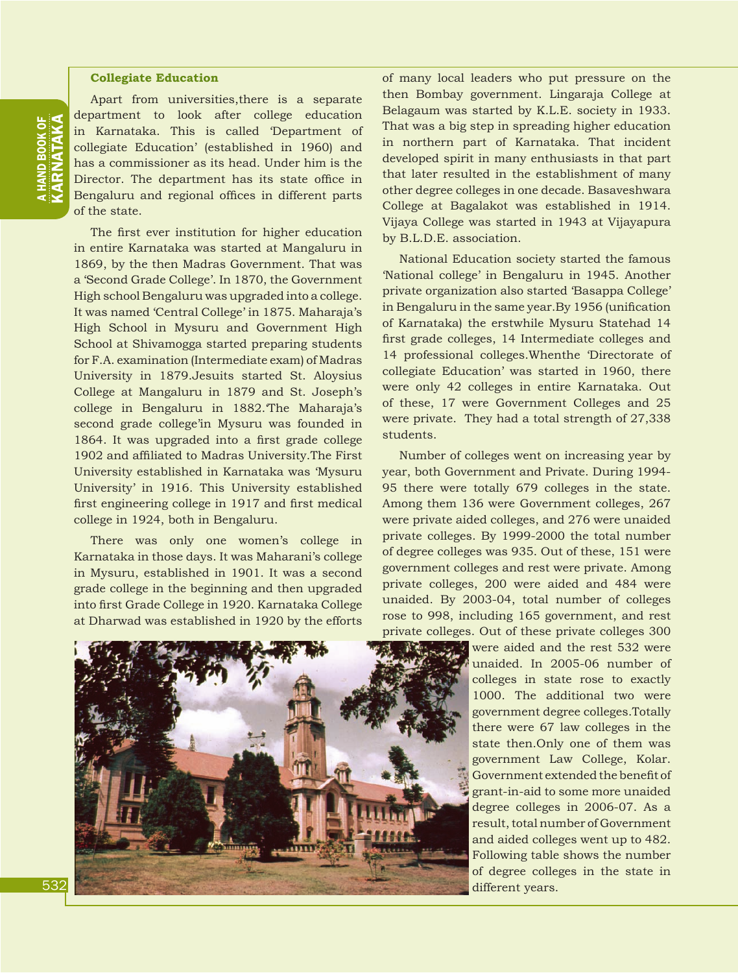#### **Collegiate Education**

Apart from universities,there is a separate department to look after college education in Karnataka. This is called 'Department of collegiate Education' (established in 1960) and has a commissioner as its head. Under him is the Director. The department has its state office in Bengaluru and regional offices in different parts of the state.

The first ever institution for higher education in entire Karnataka was started at Mangaluru in 1869, by the then Madras Government. That was a 'Second Grade College'. In 1870, the Government High school Bengaluru was upgraded into a college. It was named 'Central College' in 1875. Maharaja's High School in Mysuru and Government High School at Shivamogga started preparing students for F.A. examination (Intermediate exam) of Madras University in 1879.Jesuits started St. Aloysius College at Mangaluru in 1879 and St. Joseph's college in Bengaluru in 1882.'The Maharaja's second grade college'in Mysuru was founded in 1864. It was upgraded into a first grade college 1902 and affiliated to Madras University.The First University established in Karnataka was 'Mysuru University' in 1916. This University established first engineering college in 1917 and first medical college in 1924, both in Bengaluru.

There was only one women's college in Karnataka in those days. It was Maharani's college in Mysuru, established in 1901. It was a second grade college in the beginning and then upgraded into first Grade College in 1920. Karnataka College at Dharwad was established in 1920 by the efforts of many local leaders who put pressure on the then Bombay government. Lingaraja College at Belagaum was started by K.L.E. society in 1933. That was a big step in spreading higher education in northern part of Karnataka. That incident developed spirit in many enthusiasts in that part that later resulted in the establishment of many other degree colleges in one decade. Basaveshwara College at Bagalakot was established in 1914. Vijaya College was started in 1943 at Vijayapura by B.L.D.E. association.

National Education society started the famous 'National college' in Bengaluru in 1945. Another private organization also started 'Basappa College' in Bengaluru in the same year.By 1956 (unification of Karnataka) the erstwhile Mysuru Statehad 14 first grade colleges, 14 Intermediate colleges and 14 professional colleges.Whenthe 'Directorate of collegiate Education' was started in 1960, there were only 42 colleges in entire Karnataka. Out of these, 17 were Government Colleges and 25 were private. They had a total strength of 27,338 students.

Number of colleges went on increasing year by year, both Government and Private. During 1994- 95 there were totally 679 colleges in the state. Among them 136 were Government colleges, 267 were private aided colleges, and 276 were unaided private colleges. By 1999-2000 the total number of degree colleges was 935. Out of these, 151 were government colleges and rest were private. Among private colleges, 200 were aided and 484 were unaided. By 2003-04, total number of colleges rose to 998, including 165 government, and rest private colleges. Out of these private colleges 300



were aided and the rest 532 were unaided. In 2005-06 number of colleges in state rose to exactly 1000. The additional two were government degree colleges.Totally there were 67 law colleges in the state then.Only one of them was government Law College, Kolar. Government extended the benefit of grant-in-aid to some more unaided degree colleges in 2006-07. As a result, total number of Government and aided colleges went up to 482. Following table shows the number of degree colleges in the state in different years.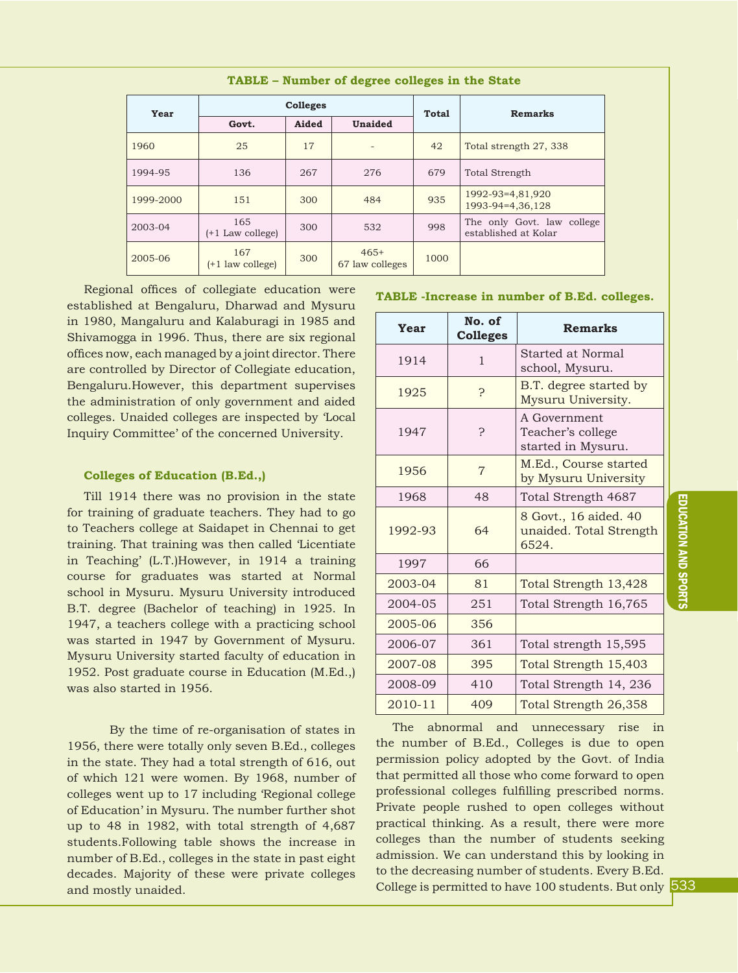| Year      |                           | <b>Colleges</b> |                           | <b>Total</b> | Remarks                                            |  |  |
|-----------|---------------------------|-----------------|---------------------------|--------------|----------------------------------------------------|--|--|
|           | Govt.                     | Aided           | Unaided                   |              |                                                    |  |  |
| 1960      | 25                        | 17              | -                         | 42           | Total strength 27, 338                             |  |  |
| 1994-95   | 136                       | 267             | 276                       | 679          | <b>Total Strength</b>                              |  |  |
| 1999-2000 | 151                       | 300             | 484                       | 935          | 1992-93=4,81,920<br>1993-94=4,36,128               |  |  |
| 2003-04   | 165<br>$(+1$ Law college) | 300             | 532                       | 998          | The only Govt. law college<br>established at Kolar |  |  |
| 2005-06   | 167<br>$(+1$ law college) | 300             | $465+$<br>67 law colleges | 1000         |                                                    |  |  |

#### **TABLE – Number of degree colleges in the State**

Regional offices of collegiate education were established at Bengaluru, Dharwad and Mysuru in 1980, Mangaluru and Kalaburagi in 1985 and Shivamogga in 1996. Thus, there are six regional offices now, each managed by a joint director. There are controlled by Director of Collegiate education, Bengaluru.However, this department supervises the administration of only government and aided colleges. Unaided colleges are inspected by 'Local Inquiry Committee' of the concerned University.

#### **Colleges of Education (B.Ed.,)**

Till 1914 there was no provision in the state for training of graduate teachers. They had to go to Teachers college at Saidapet in Chennai to get training. That training was then called 'Licentiate in Teaching' (L.T.)However, in 1914 a training course for graduates was started at Normal school in Mysuru. Mysuru University introduced B.T. degree (Bachelor of teaching) in 1925. In 1947, a teachers college with a practicing school was started in 1947 by Government of Mysuru. Mysuru University started faculty of education in 1952. Post graduate course in Education (M.Ed.,) was also started in 1956.

By the time of re-organisation of states in 1956, there were totally only seven B.Ed., colleges in the state. They had a total strength of 616, out of which 121 were women. By 1968, number of colleges went up to 17 including 'Regional college of Education' in Mysuru. The number further shot up to 48 in 1982, with total strength of 4,687 students.Following table shows the increase in number of B.Ed., colleges in the state in past eight decades. Majority of these were private colleges and mostly unaided.

#### **TABLE -Increase in number of B.Ed. colleges.**

| Year    | No. of<br><b>Colleges</b> | <b>Remarks</b>                                            |
|---------|---------------------------|-----------------------------------------------------------|
| 1914    | $\mathbf{1}$              | Started at Normal<br>school, Mysuru.                      |
| 1925    | Ç                         | B.T. degree started by<br>Mysuru University.              |
| 1947    | Ç                         | A Government<br>Teacher's college<br>started in Mysuru.   |
| 1956    | $\overline{7}$            | M.Ed., Course started<br>by Mysuru University             |
| 1968    | 48                        | Total Strength 4687                                       |
| 1992-93 | 64                        | 8 Govt., 16 aided. 40<br>unaided. Total Strength<br>6524. |
| 1997    | 66                        |                                                           |
| 2003-04 | 81                        | Total Strength 13,428                                     |
| 2004-05 | 251                       | Total Strength 16,765                                     |
| 2005-06 | 356                       |                                                           |
| 2006-07 | 361                       | Total strength 15,595                                     |
| 2007-08 | 395                       | Total Strength 15,403                                     |
| 2008-09 | 410                       | Total Strength 14, 236                                    |
| 2010-11 | 409                       | Total Strength 26,358                                     |

The abnormal and unnecessary rise in the number of B.Ed., Colleges is due to open permission policy adopted by the Govt. of India that permitted all those who come forward to open professional colleges fulfilling prescribed norms. Private people rushed to open colleges without practical thinking. As a result, there were more colleges than the number of students seeking admission. We can understand this by looking in to the decreasing number of students. Every B.Ed. College is permitted to have 100 students. But only 533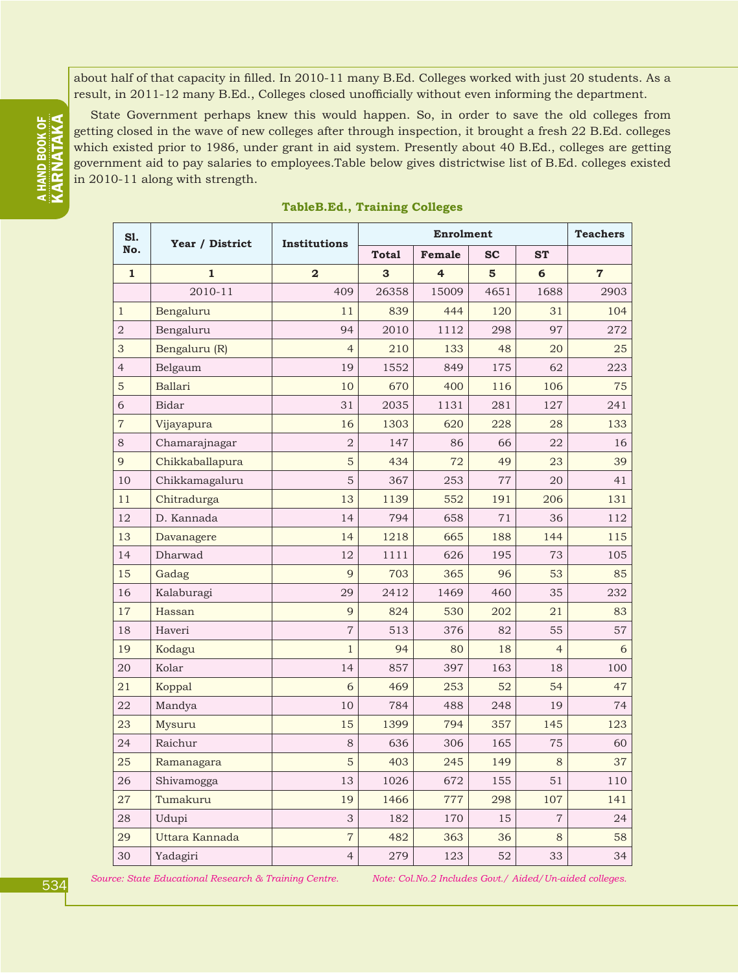about half of that capacity in filled. In 2010-11 many B.Ed. Colleges worked with just 20 students. As a result, in 2011-12 many B.Ed., Colleges closed unofficially without even informing the department.

State Government perhaps knew this would happen. So, in order to save the old colleges from getting closed in the wave of new colleges after through inspection, it brought a fresh 22 B.Ed. colleges which existed prior to 1986, under grant in aid system. Presently about 40 B.Ed., colleges are getting government aid to pay salaries to employees.Table below gives districtwise list of B.Ed. colleges existed in 2010-11 along with strength.

| S1.            | Year / District | Institutions   |              | <b>Enrolment</b> |           |                | <b>Teachers</b> |  |
|----------------|-----------------|----------------|--------------|------------------|-----------|----------------|-----------------|--|
| No.            |                 |                | <b>Total</b> | Female           | <b>SC</b> | <b>ST</b>      |                 |  |
| $\mathbf{1}$   | $\mathbf{1}$    | $\overline{2}$ | 3            | 4                | 5         | 6              | $\overline{7}$  |  |
|                | 2010-11         | 409            | 26358        | 15009            | 4651      | 1688           | 2903            |  |
| $\mathbf{1}$   | Bengaluru       | 11             | 839          | 444              | 120       | 31             | 104             |  |
| $\sqrt{2}$     | Bengaluru       | 94             | 2010         | 1112             | 298       | 97             | 272             |  |
| 3              | Bengaluru (R)   | $\overline{4}$ | 210          | 133              | 48        | 20             | 25              |  |
| $\overline{4}$ | Belgaum         | 19             | 1552         | 849              | 175       | 62             | 223             |  |
| 5              | Ballari         | 10             | 670          | 400              | 116       | 106            | 75              |  |
| 6              | <b>Bidar</b>    | 31             | 2035         | 1131             | 281       | 127            | 241             |  |
| $\overline{7}$ | Vijayapura      | 16             | 1303         | 620              | 228       | 28             | 133             |  |
| 8              | Chamarajnagar   | $\overline{2}$ | 147          | 86               | 66        | 22             | 16              |  |
| $\overline{9}$ | Chikkaballapura | 5              | 434          | 72               | 49        | 23             | 39              |  |
| 10             | Chikkamagaluru  | 5              | 367          | 253              | 77        | 20             | 41              |  |
| 11             | Chitradurga     | 13             | 1139         | 552              | 191       | 206            | 131             |  |
| 12             | D. Kannada      | 14             | 794          | 658              | 71        | 36             | 112             |  |
| 13             | Davanagere      | 14             | 1218         | 665              | 188       | 144            | 115             |  |
| 14             | Dharwad         | 12             | 1111         | 626              | 195       | 73             | 105             |  |
| 15             | Gadag           | 9              | 703          | 365              | 96        | 53             | 85              |  |
| 16             | Kalaburagi      | 29             | 2412         | 1469             | 460       | 35             | 232             |  |
| 17             | Hassan          | 9              | 824          | 530              | 202       | 21             | 83              |  |
| 18             | Haveri          | $\overline{7}$ | 513          | 376              | 82        | 55             | 57              |  |
| 19             | Kodagu          | $\mathbf{1}$   | 94           | 80               | 18        | $\overline{4}$ | 6               |  |
| 20             | Kolar           | 14             | 857          | 397              | 163       | 18             | 100             |  |
| 21             | Koppal          | 6              | 469          | 253              | 52        | 54             | 47              |  |
| 22             | Mandya          | 10             | 784          | 488              | 248       | 19             | 74              |  |
| 23             | Mysuru          | 15             | 1399         | 794              | 357       | 145            | 123             |  |
| 24             | Raichur         | $\,8\,$        | 636          | 306              | 165       | 75             | 60              |  |
| 25             | Ramanagara      | $\mathbf 5$    | 403          | 245              | 149       | $\,8\,$        | 37              |  |
| 26             | Shivamogga      | 13             | 1026         | 672              | 155       | 51             | 110             |  |
| 27             | Tumakuru        | 19             | 1466         | 777              | 298       | 107            | 141             |  |
| 28             | Udupi           | $\mathfrak{S}$ | 182          | 170              | 15        | $\overline{7}$ | 24              |  |
| 29             | Uttara Kannada  | $\overline{7}$ | 482          | 363              | 36        | $8\,$          | 58              |  |
| 30             | Yadagiri        | $\overline{4}$ | 279          | 123              | 52        | 33             | 34              |  |

#### **TableB.Ed., Training Colleges**

*Source: State Educational Research & Training Centre. Note: Col.No.2 Includes Govt./ Aided/Un-aided colleges.*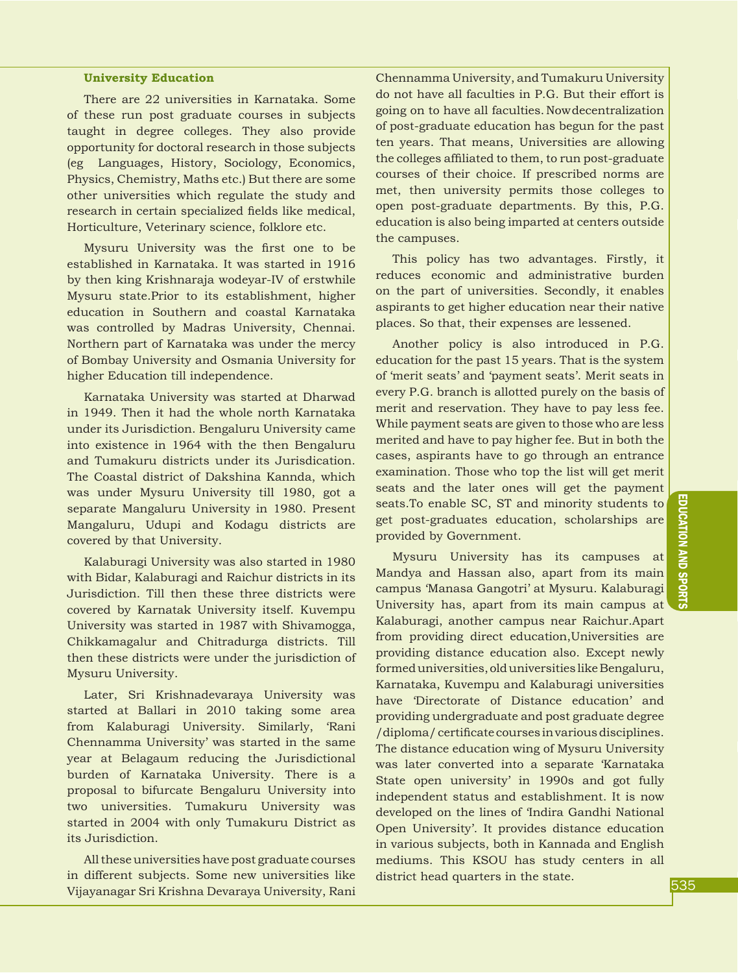#### **University Education**

There are 22 universities in Karnataka. Some of these run post graduate courses in subjects taught in degree colleges. They also provide opportunity for doctoral research in those subjects (eg Languages, History, Sociology, Economics, Physics, Chemistry, Maths etc.) But there are some other universities which regulate the study and research in certain specialized fields like medical, Horticulture, Veterinary science, folklore etc.

Mysuru University was the first one to be established in Karnataka. It was started in 1916 by then king Krishnaraja wodeyar-IV of erstwhile Mysuru state.Prior to its establishment, higher education in Southern and coastal Karnataka was controlled by Madras University, Chennai. Northern part of Karnataka was under the mercy of Bombay University and Osmania University for higher Education till independence.

Karnataka University was started at Dharwad in 1949. Then it had the whole north Karnataka under its Jurisdiction. Bengaluru University came into existence in 1964 with the then Bengaluru and Tumakuru districts under its Jurisdication. The Coastal district of Dakshina Kannda, which was under Mysuru University till 1980, got a separate Mangaluru University in 1980. Present Mangaluru, Udupi and Kodagu districts are covered by that University.

Kalaburagi University was also started in 1980 with Bidar, Kalaburagi and Raichur districts in its Jurisdiction. Till then these three districts were covered by Karnatak University itself. Kuvempu University was started in 1987 with Shivamogga, Chikkamagalur and Chitradurga districts. Till then these districts were under the jurisdiction of Mysuru University.

Later, Sri Krishnadevaraya University was started at Ballari in 2010 taking some area from Kalaburagi University. Similarly, 'Rani Chennamma University' was started in the same year at Belagaum reducing the Jurisdictional burden of Karnataka University. There is a proposal to bifurcate Bengaluru University into two universities. Tumakuru University was started in 2004 with only Tumakuru District as its Jurisdiction.

All these universities have post graduate courses in different subjects. Some new universities like Vijayanagar Sri Krishna Devaraya University, Rani Chennamma University, and Tumakuru University do not have all faculties in P.G. But their effort is going on to have all faculties.Now decentralization of post-graduate education has begun for the past ten years. That means, Universities are allowing the colleges affiliated to them, to run post-graduate courses of their choice. If prescribed norms are met, then university permits those colleges to open post-graduate departments. By this, P.G. education is also being imparted at centers outside the campuses.

This policy has two advantages. Firstly, it reduces economic and administrative burden on the part of universities. Secondly, it enables aspirants to get higher education near their native places. So that, their expenses are lessened.

Another policy is also introduced in P.G. education for the past 15 years. That is the system of 'merit seats' and 'payment seats'. Merit seats in every P.G. branch is allotted purely on the basis of merit and reservation. They have to pay less fee. While payment seats are given to those who are less merited and have to pay higher fee. But in both the cases, aspirants have to go through an entrance examination. Those who top the list will get merit seats and the later ones will get the payment seats.To enable SC, ST and minority students to get post-graduates education, scholarships are provided by Government.

Mysuru University has its campuses at Mandya and Hassan also, apart from its main campus 'Manasa Gangotri' at Mysuru. Kalaburagi University has, apart from its main campus at Kalaburagi, another campus near Raichur.Apart from providing direct education,Universities are providing distance education also. Except newly formed universities, old universities like Bengaluru, Karnataka, Kuvempu and Kalaburagi universities have 'Directorate of Distance education' and providing undergraduate and post graduate degree /diploma/ certificate courses in various disciplines. The distance education wing of Mysuru University was later converted into a separate 'Karnataka State open university' in 1990s and got fully independent status and establishment. It is now developed on the lines of 'Indira Gandhi National Open University'. It provides distance education in various subjects, both in Kannada and English mediums. This KSOU has study centers in all district head quarters in the state.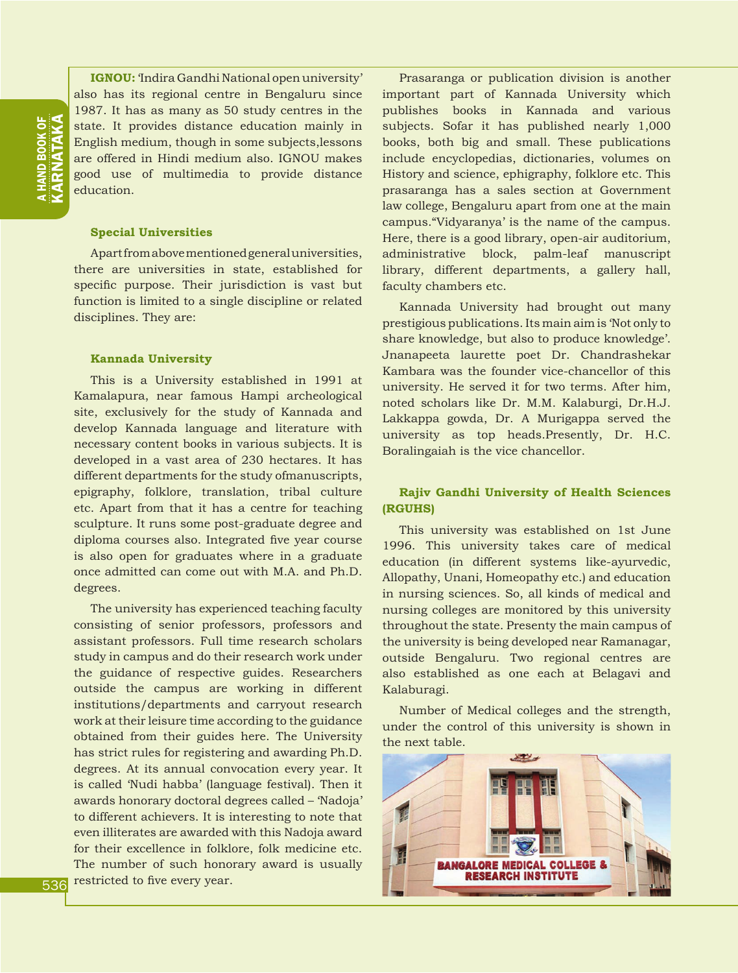a HAND BOOK OF KARNATAKA

**IGNOU:** 'Indira Gandhi National open university' also has its regional centre in Bengaluru since 1987. It has as many as 50 study centres in the state. It provides distance education mainly in English medium, though in some subjects,lessons are offered in Hindi medium also. IGNOU makes good use of multimedia to provide distance education.

#### **Special Universities**

Apart from above mentioned general universities, there are universities in state, established for specific purpose. Their jurisdiction is vast but function is limited to a single discipline or related disciplines. They are:

#### **Kannada University**

This is a University established in 1991 at Kamalapura, near famous Hampi archeological site, exclusively for the study of Kannada and develop Kannada language and literature with necessary content books in various subjects. It is developed in a vast area of 230 hectares. It has different departments for the study ofmanuscripts, epigraphy, folklore, translation, tribal culture etc. Apart from that it has a centre for teaching sculpture. It runs some post-graduate degree and diploma courses also. Integrated five year course is also open for graduates where in a graduate once admitted can come out with M.A. and Ph.D. degrees.

The university has experienced teaching faculty consisting of senior professors, professors and assistant professors. Full time research scholars study in campus and do their research work under the guidance of respective guides. Researchers outside the campus are working in different institutions/departments and carryout research work at their leisure time according to the guidance obtained from their guides here. The University has strict rules for registering and awarding Ph.D. degrees. At its annual convocation every year. It is called 'Nudi habba' (language festival). Then it awards honorary doctoral degrees called – 'Nadoja' to different achievers. It is interesting to note that even illiterates are awarded with this Nadoja award for their excellence in folklore, folk medicine etc. The number of such honorary award is usually restricted to five every year.

Prasaranga or publication division is another important part of Kannada University which publishes books in Kannada and various subjects. Sofar it has published nearly 1,000 books, both big and small. These publications include encyclopedias, dictionaries, volumes on History and science, ephigraphy, folklore etc. This prasaranga has a sales section at Government law college, Bengaluru apart from one at the main campus."Vidyaranya' is the name of the campus. Here, there is a good library, open-air auditorium, administrative block, palm-leaf manuscript library, different departments, a gallery hall, faculty chambers etc.

Kannada University had brought out many prestigious publications. Its main aim is 'Not only to share knowledge, but also to produce knowledge'. Jnanapeeta laurette poet Dr. Chandrashekar Kambara was the founder vice-chancellor of this university. He served it for two terms. After him, noted scholars like Dr. M.M. Kalaburgi, Dr.H.J. Lakkappa gowda, Dr. A Murigappa served the university as top heads.Presently, Dr. H.C. Boralingaiah is the vice chancellor.

#### **Rajiv Gandhi University of Health Sciences (RGUHS)**

This university was established on 1st June 1996. This university takes care of medical education (in different systems like-ayurvedic, Allopathy, Unani, Homeopathy etc.) and education in nursing sciences. So, all kinds of medical and nursing colleges are monitored by this university throughout the state. Presenty the main campus of the university is being developed near Ramanagar, outside Bengaluru. Two regional centres are also established as one each at Belagavi and Kalaburagi.

Number of Medical colleges and the strength, under the control of this university is shown in the next table.

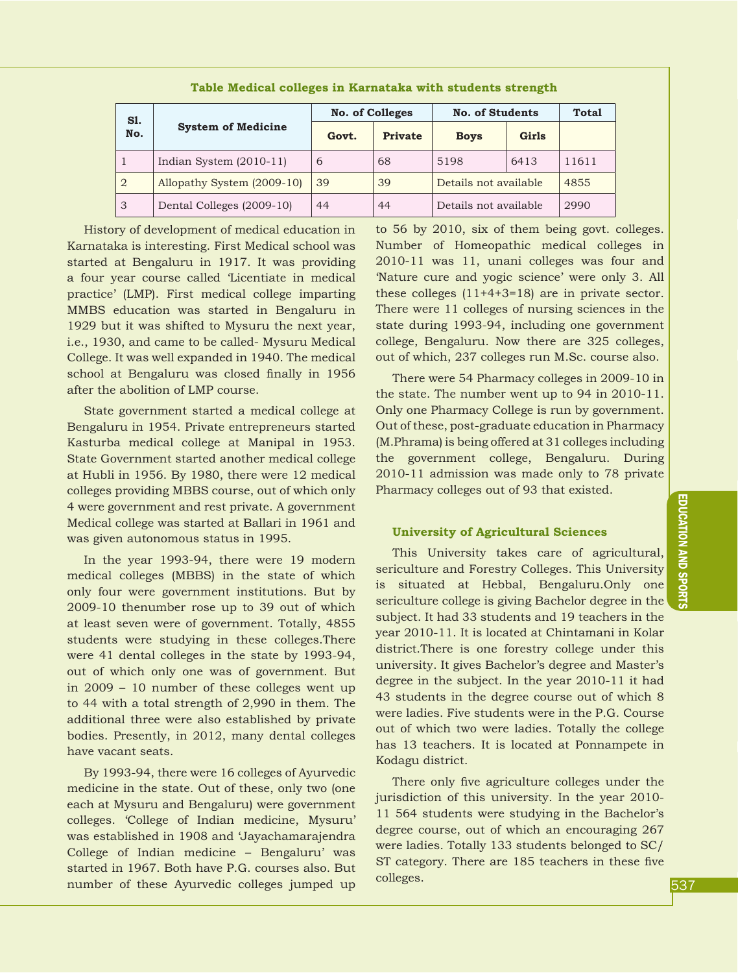| S1.<br>No.     |                            | <b>No. of Colleges</b> |         | <b>No. of Students</b> | Total |       |
|----------------|----------------------------|------------------------|---------|------------------------|-------|-------|
|                | <b>System of Medicine</b>  | Govt.                  | Private | <b>Boys</b>            | Girls |       |
| $\overline{1}$ | Indian System $(2010-11)$  | 6                      | 68      | 5198                   | 6413  | 11611 |
| 2              | Allopathy System (2009-10) | 39                     | 39      | Details not available  |       | 4855  |
| 3              | Dental Colleges (2009-10)  | 44                     | 44      | Details not available  |       | 2990  |

**Table Medical colleges in Karnataka with students strength**

History of development of medical education in Karnataka is interesting. First Medical school was started at Bengaluru in 1917. It was providing a four year course called 'Licentiate in medical practice' (LMP). First medical college imparting MMBS education was started in Bengaluru in 1929 but it was shifted to Mysuru the next year, i.e., 1930, and came to be called- Mysuru Medical College. It was well expanded in 1940. The medical school at Bengaluru was closed finally in 1956 after the abolition of LMP course.

State government started a medical college at Bengaluru in 1954. Private entrepreneurs started Kasturba medical college at Manipal in 1953. State Government started another medical college at Hubli in 1956. By 1980, there were 12 medical colleges providing MBBS course, out of which only 4 were government and rest private. A government Medical college was started at Ballari in 1961 and was given autonomous status in 1995.

In the year 1993-94, there were 19 modern medical colleges (MBBS) in the state of which only four were government institutions. But by 2009-10 thenumber rose up to 39 out of which at least seven were of government. Totally, 4855 students were studying in these colleges.There were 41 dental colleges in the state by 1993-94, out of which only one was of government. But in 2009 – 10 number of these colleges went up to 44 with a total strength of 2,990 in them. The additional three were also established by private bodies. Presently, in 2012, many dental colleges have vacant seats.

By 1993-94, there were 16 colleges of Ayurvedic medicine in the state. Out of these, only two (one each at Mysuru and Bengaluru) were government colleges. 'College of Indian medicine, Mysuru' was established in 1908 and 'Jayachamarajendra College of Indian medicine – Bengaluru' was started in 1967. Both have P.G. courses also. But number of these Ayurvedic colleges jumped up

to 56 by 2010, six of them being govt. colleges. Number of Homeopathic medical colleges in 2010-11 was 11, unani colleges was four and 'Nature cure and yogic science' were only 3. All these colleges (11+4+3=18) are in private sector. There were 11 colleges of nursing sciences in the state during 1993-94, including one government college, Bengaluru. Now there are 325 colleges, out of which, 237 colleges run M.Sc. course also.

There were 54 Pharmacy colleges in 2009-10 in the state. The number went up to 94 in 2010-11. Only one Pharmacy College is run by government. Out of these, post-graduate education in Pharmacy (M.Phrama) is being offered at 31 colleges including the government college, Bengaluru. During 2010-11 admission was made only to 78 private Pharmacy colleges out of 93 that existed.

#### **University of Agricultural Sciences**

This University takes care of agricultural, sericulture and Forestry Colleges. This University is situated at Hebbal, Bengaluru.Only one sericulture college is giving Bachelor degree in the subject. It had 33 students and 19 teachers in the year 2010-11. It is located at Chintamani in Kolar district.There is one forestry college under this university. It gives Bachelor's degree and Master's degree in the subject. In the year 2010-11 it had 43 students in the degree course out of which 8 were ladies. Five students were in the P.G. Course out of which two were ladies. Totally the college has 13 teachers. It is located at Ponnampete in Kodagu district.

There only five agriculture colleges under the jurisdiction of this university. In the year 2010- 11 564 students were studying in the Bachelor's degree course, out of which an encouraging 267 were ladies. Totally 133 students belonged to SC/ ST category. There are 185 teachers in these five colleges.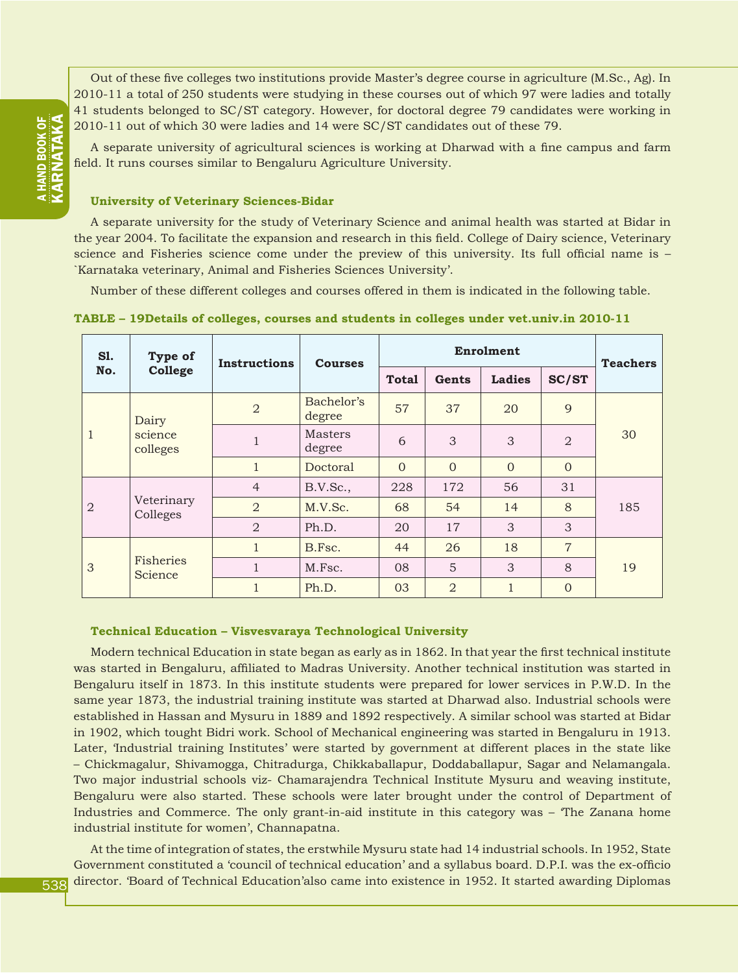Out of these five colleges two institutions provide Master's degree course in agriculture (M.Sc., Ag). In 2010-11 a total of 250 students were studying in these courses out of which 97 were ladies and totally 41 students belonged to SC/ST category. However, for doctoral degree 79 candidates were working in 2010-11 out of which 30 were ladies and 14 were SC/ST candidates out of these 79.

A separate university of agricultural sciences is working at Dharwad with a fine campus and farm field. It runs courses similar to Bengaluru Agriculture University.

#### **University of Veterinary Sciences-Bidar**

A separate university for the study of Veterinary Science and animal health was started at Bidar in the year 2004. To facilitate the expansion and research in this field. College of Dairy science, Veterinary science and Fisheries science come under the preview of this university. Its full official name is – `Karnataka veterinary, Animal and Fisheries Sciences University'.

Number of these different colleges and courses offered in them is indicated in the following table.

| <b>S1.</b>                          | Type of                | <b>Instructions</b>      | <b>Courses</b>       |              |                | <b>Teachers</b> |                |     |  |
|-------------------------------------|------------------------|--------------------------|----------------------|--------------|----------------|-----------------|----------------|-----|--|
| No.                                 | College                |                          |                      | <b>Total</b> | Gents          | <b>Ladies</b>   | SC/ST          |     |  |
|                                     | Dairy                  | $\overline{2}$           | Bachelor's<br>degree | 57           | 37             | 20              | 9              |     |  |
| $\mathbf{1}$<br>science<br>colleges | $\mathbf{1}$           | <b>Masters</b><br>degree | 6                    | 3            | 3              | $\overline{2}$  | 30             |     |  |
|                                     |                        | $\mathbf{1}$             | Doctoral             | $\Omega$     | $\Omega$       | $\Omega$        | $\Omega$       |     |  |
|                                     |                        | $\overline{4}$           | B.V.Sc.,             | 228          | 172            | 56              | 31             |     |  |
| $\overline{2}$                      | Veterinary<br>Colleges | $\overline{2}$           | M.V.Sc.              | 68           | 54             | 14              | 8              | 185 |  |
|                                     |                        | $\overline{2}$           | Ph.D.                | 20           | 17             | 3               | 3              |     |  |
| Fisheries<br>3                      |                        | $\mathbf{1}$             | B.Fsc.               | 44           | 26             | 18              | $\overline{7}$ |     |  |
|                                     | Science                | $\mathbf{1}$             | M.Fsc.               | 08           | 5              | 3               | 8              | 19  |  |
|                                     |                        | $\mathbf{1}$             | Ph.D.                | 03           | $\overline{2}$ | $\mathbf{1}$    | $\overline{0}$ |     |  |

**TABLE – 19Details of colleges, courses and students in colleges under vet.univ.in 2010-11**

#### **Technical Education – Visvesvaraya Technological University**

Modern technical Education in state began as early as in 1862. In that year the first technical institute was started in Bengaluru, affiliated to Madras University. Another technical institution was started in Bengaluru itself in 1873. In this institute students were prepared for lower services in P.W.D. In the same year 1873, the industrial training institute was started at Dharwad also. Industrial schools were established in Hassan and Mysuru in 1889 and 1892 respectively. A similar school was started at Bidar in 1902, which tought Bidri work. School of Mechanical engineering was started in Bengaluru in 1913. Later, 'Industrial training Institutes' were started by government at different places in the state like – Chickmagalur, Shivamogga, Chitradurga, Chikkaballapur, Doddaballapur, Sagar and Nelamangala. Two major industrial schools viz- Chamarajendra Technical Institute Mysuru and weaving institute, Bengaluru were also started. These schools were later brought under the control of Department of Industries and Commerce. The only grant-in-aid institute in this category was – 'The Zanana home industrial institute for women', Channapatna.

At the time of integration of states, the erstwhile Mysuru state had 14 industrial schools. In 1952, State Government constituted a 'council of technical education' and a syllabus board. D.P.I. was the ex-officio director. 'Board of Technical Education'also came into existence in 1952. It started awarding Diplomas

**A HAND BOOK OF** KARNATAKA a HAND BOOK OF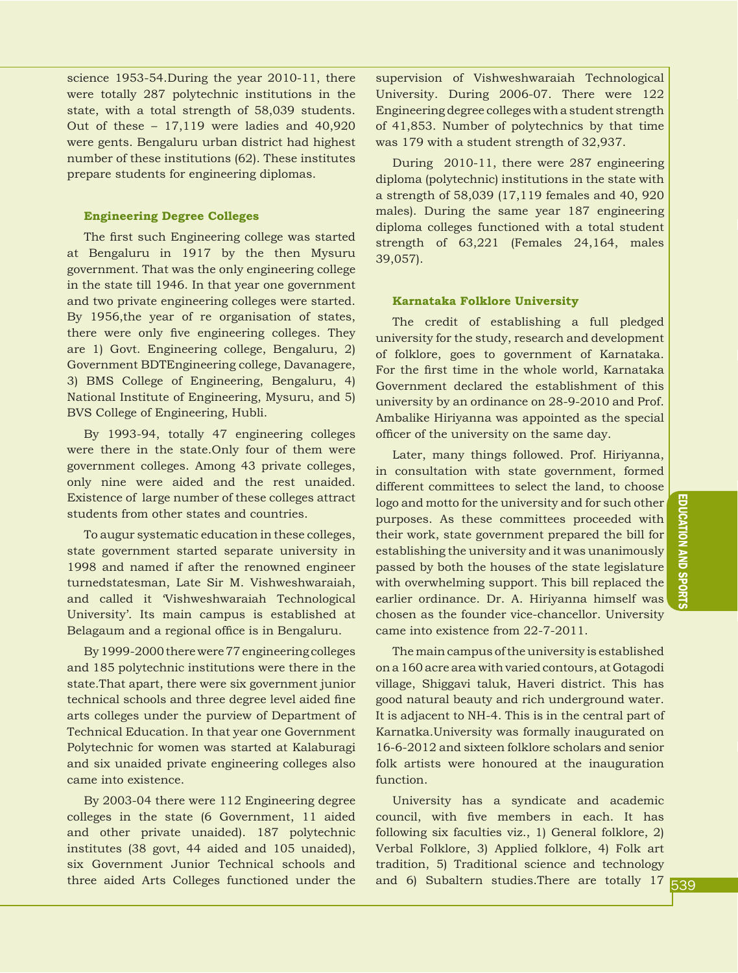science 1953-54.During the year 2010-11, there were totally 287 polytechnic institutions in the state, with a total strength of 58,039 students. Out of these – 17,119 were ladies and 40,920 were gents. Bengaluru urban district had highest number of these institutions (62). These institutes prepare students for engineering diplomas.

#### **Engineering Degree Colleges**

The first such Engineering college was started at Bengaluru in 1917 by the then Mysuru government. That was the only engineering college in the state till 1946. In that year one government and two private engineering colleges were started. By 1956,the year of re organisation of states, there were only five engineering colleges. They are 1) Govt. Engineering college, Bengaluru, 2) Government BDTEngineering college, Davanagere, 3) BMS College of Engineering, Bengaluru, 4) National Institute of Engineering, Mysuru, and 5) BVS College of Engineering, Hubli.

By 1993-94, totally 47 engineering colleges were there in the state.Only four of them were government colleges. Among 43 private colleges, only nine were aided and the rest unaided. Existence of large number of these colleges attract students from other states and countries.

To augur systematic education in these colleges, state government started separate university in 1998 and named if after the renowned engineer turnedstatesman, Late Sir M. Vishweshwaraiah, and called it 'Vishweshwaraiah Technological University'. Its main campus is established at Belagaum and a regional office is in Bengaluru.

By 1999-2000 there were 77 engineering colleges and 185 polytechnic institutions were there in the state.That apart, there were six government junior technical schools and three degree level aided fine arts colleges under the purview of Department of Technical Education. In that year one Government Polytechnic for women was started at Kalaburagi and six unaided private engineering colleges also came into existence.

By 2003-04 there were 112 Engineering degree colleges in the state (6 Government, 11 aided and other private unaided). 187 polytechnic institutes (38 govt, 44 aided and 105 unaided), six Government Junior Technical schools and three aided Arts Colleges functioned under the supervision of Vishweshwaraiah Technological University. During 2006-07. There were 122 Engineering degree colleges with a student strength of 41,853. Number of polytechnics by that time was 179 with a student strength of 32,937.

During 2010-11, there were 287 engineering diploma (polytechnic) institutions in the state with a strength of 58,039 (17,119 females and 40, 920 males). During the same year 187 engineering diploma colleges functioned with a total student strength of 63,221 (Females 24,164, males 39,057).

#### **Karnataka Folklore University**

The credit of establishing a full pledged university for the study, research and development of folklore, goes to government of Karnataka. For the first time in the whole world, Karnataka Government declared the establishment of this university by an ordinance on 28-9-2010 and Prof. Ambalike Hiriyanna was appointed as the special officer of the university on the same day.

Later, many things followed. Prof. Hiriyanna, in consultation with state government, formed different committees to select the land, to choose logo and motto for the university and for such other purposes. As these committees proceeded with their work, state government prepared the bill for establishing the university and it was unanimously passed by both the houses of the state legislature with overwhelming support. This bill replaced the earlier ordinance. Dr. A. Hiriyanna himself was chosen as the founder vice-chancellor. University came into existence from 22-7-2011.

The main campus of the university is established on a 160 acre area with varied contours, at Gotagodi village, Shiggavi taluk, Haveri district. This has good natural beauty and rich underground water. It is adjacent to NH-4. This is in the central part of Karnatka.University was formally inaugurated on 16-6-2012 and sixteen folklore scholars and senior folk artists were honoured at the inauguration function.

University has a syndicate and academic council, with five members in each. It has following six faculties viz., 1) General folklore, 2) Verbal Folklore, 3) Applied folklore, 4) Folk art tradition, 5) Traditional science and technology and 6) Subaltern studies.There are totally 17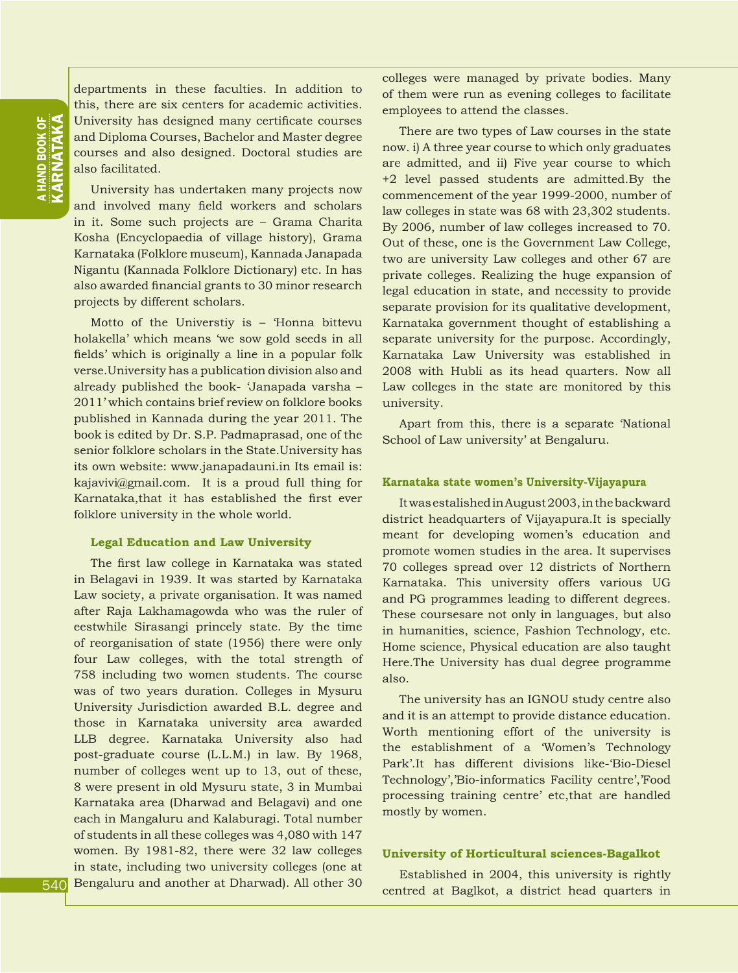departments in these faculties. In addition to this, there are six centers for academic activities. University has designed many certificate courses and Diploma Courses, Bachelor and Master degree courses and also designed. Doctoral studies are also facilitated.

University has undertaken many projects now and involved many field workers and scholars in it. Some such projects are – Grama Charita Kosha (Encyclopaedia of village history), Grama Karnataka (Folklore museum), Kannada Janapada Nigantu (Kannada Folklore Dictionary) etc. In has also awarded financial grants to 30 minor research projects by different scholars.

Motto of the Universtiy is – 'Honna bittevu holakella' which means 'we sow gold seeds in all fields' which is originally a line in a popular folk verse.University has a publication division also and already published the book- 'Janapada varsha – 2011' which contains brief review on folklore books published in Kannada during the year 2011. The book is edited by Dr. S.P. Padmaprasad, one of the senior folklore scholars in the State.University has its own website: www.janapadauni.in Its email is: kajavivi@gmail.com. It is a proud full thing for Karnataka,that it has established the first ever folklore university in the whole world.

#### **Legal Education and Law University**

The first law college in Karnataka was stated in Belagavi in 1939. It was started by Karnataka Law society, a private organisation. It was named after Raja Lakhamagowda who was the ruler of eestwhile Sirasangi princely state. By the time of reorganisation of state (1956) there were only four Law colleges, with the total strength of 758 including two women students. The course was of two years duration. Colleges in Mysuru University Jurisdiction awarded B.L. degree and those in Karnataka university area awarded LLB degree. Karnataka University also had post-graduate course (L.L.M.) in law. By 1968, number of colleges went up to 13, out of these, 8 were present in old Mysuru state, 3 in Mumbai Karnataka area (Dharwad and Belagavi) and one each in Mangaluru and Kalaburagi. Total number of students in all these colleges was 4,080 with 147 women. By 1981-82, there were 32 law colleges in state, including two university colleges (one at Bengaluru and another at Dharwad). All other 30

colleges were managed by private bodies. Many of them were run as evening colleges to facilitate employees to attend the classes.

There are two types of Law courses in the state now. i) A three year course to which only graduates are admitted, and ii) Five year course to which +2 level passed students are admitted.By the commencement of the year 1999-2000, number of law colleges in state was 68 with 23,302 students. By 2006, number of law colleges increased to 70. Out of these, one is the Government Law College, two are university Law colleges and other 67 are private colleges. Realizing the huge expansion of legal education in state, and necessity to provide separate provision for its qualitative development, Karnataka government thought of establishing a separate university for the purpose. Accordingly, Karnataka Law University was established in 2008 with Hubli as its head quarters. Now all Law colleges in the state are monitored by this university.

Apart from this, there is a separate 'National School of Law university' at Bengaluru.

#### **Karnataka state women's University-Vijayapura**

It was estalished in August 2003, in the backward district headquarters of Vijayapura.It is specially meant for developing women's education and promote women studies in the area. It supervises 70 colleges spread over 12 districts of Northern Karnataka. This university offers various UG and PG programmes leading to different degrees. These coursesare not only in languages, but also in humanities, science, Fashion Technology, etc. Home science, Physical education are also taught Here.The University has dual degree programme also.

The university has an IGNOU study centre also and it is an attempt to provide distance education. Worth mentioning effort of the university is the establishment of a 'Women's Technology Park'.It has different divisions like-'Bio-Diesel Technology','Bio-informatics Facility centre','Food processing training centre' etc,that are handled mostly by women.

#### **University of Horticultural sciences-Bagalkot**

Established in 2004, this university is rightly centred at Baglkot, a district head quarters in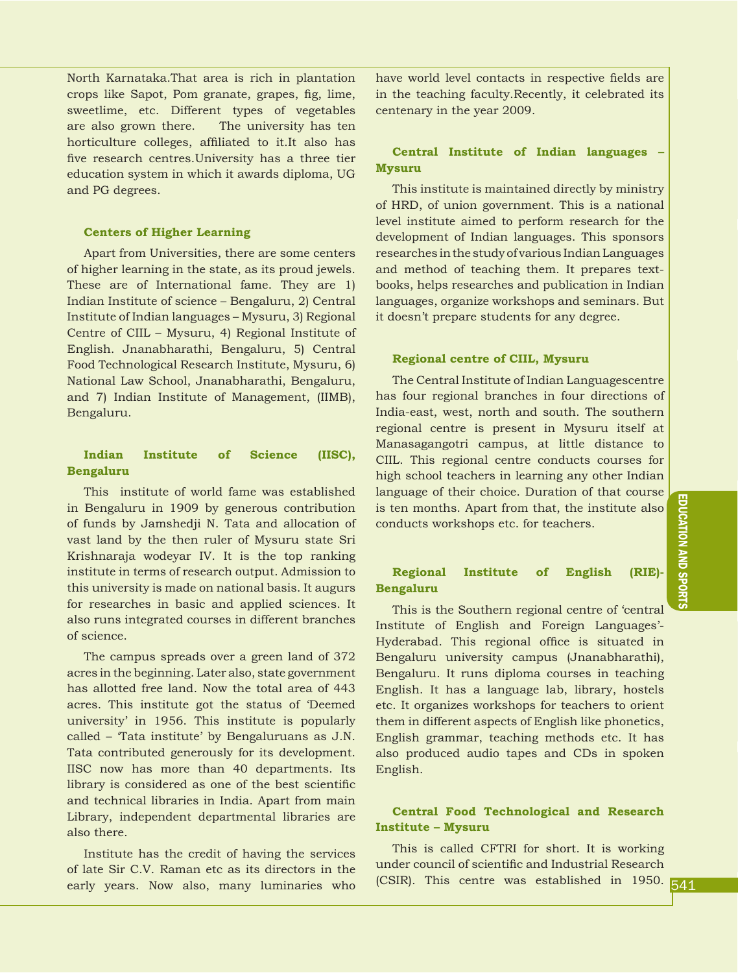North Karnataka.That area is rich in plantation crops like Sapot, Pom granate, grapes, fig, lime, sweetlime, etc. Different types of vegetables are also grown there. The university has ten horticulture colleges, affiliated to it.It also has five research centres.University has a three tier education system in which it awards diploma, UG and PG degrees.

#### **Centers of Higher Learning**

Apart from Universities, there are some centers of higher learning in the state, as its proud jewels. These are of International fame. They are 1) Indian Institute of science – Bengaluru, 2) Central Institute of Indian languages – Mysuru, 3) Regional Centre of CIIL – Mysuru, 4) Regional Institute of English. Jnanabharathi, Bengaluru, 5) Central Food Technological Research Institute, Mysuru, 6) National Law School, Jnanabharathi, Bengaluru, and 7) Indian Institute of Management, (IIMB), Bengaluru.

#### **Indian Institute of Science (IISC), Bengaluru**

This institute of world fame was established in Bengaluru in 1909 by generous contribution of funds by Jamshedji N. Tata and allocation of vast land by the then ruler of Mysuru state Sri Krishnaraja wodeyar IV. It is the top ranking institute in terms of research output. Admission to this university is made on national basis. It augurs for researches in basic and applied sciences. It also runs integrated courses in different branches of science.

The campus spreads over a green land of 372 acres in the beginning. Later also, state government has allotted free land. Now the total area of 443 acres. This institute got the status of 'Deemed university' in 1956. This institute is popularly called – 'Tata institute' by Bengaluruans as J.N. Tata contributed generously for its development. IISC now has more than 40 departments. Its library is considered as one of the best scientific and technical libraries in India. Apart from main Library, independent departmental libraries are also there.

Institute has the credit of having the services of late Sir C.V. Raman etc as its directors in the early years. Now also, many luminaries who have world level contacts in respective fields are in the teaching faculty.Recently, it celebrated its centenary in the year 2009.

#### **Central Institute of Indian languages – Mysuru**

This institute is maintained directly by ministry of HRD, of union government. This is a national level institute aimed to perform research for the development of Indian languages. This sponsors researches in the study of various Indian Languages and method of teaching them. It prepares textbooks, helps researches and publication in Indian languages, organize workshops and seminars. But it doesn't prepare students for any degree.

#### **Regional centre of CIIL, Mysuru**

The Central Institute of Indian Languagescentre has four regional branches in four directions of India-east, west, north and south. The southern regional centre is present in Mysuru itself at Manasagangotri campus, at little distance to CIIL. This regional centre conducts courses for high school teachers in learning any other Indian language of their choice. Duration of that course is ten months. Apart from that, the institute also conducts workshops etc. for teachers.

#### **Regional Institute of English (RIE)- Bengaluru**

This is the Southern regional centre of 'central Institute of English and Foreign Languages'- Hyderabad. This regional office is situated in Bengaluru university campus (Jnanabharathi), Bengaluru. It runs diploma courses in teaching English. It has a language lab, library, hostels etc. It organizes workshops for teachers to orient them in different aspects of English like phonetics, English grammar, teaching methods etc. It has also produced audio tapes and CDs in spoken English.

#### **Central Food Technological and Research Institute – Mysuru**

This is called CFTRI for short. It is working under council of scientific and Industrial Research (CSIR). This centre was established in 1950.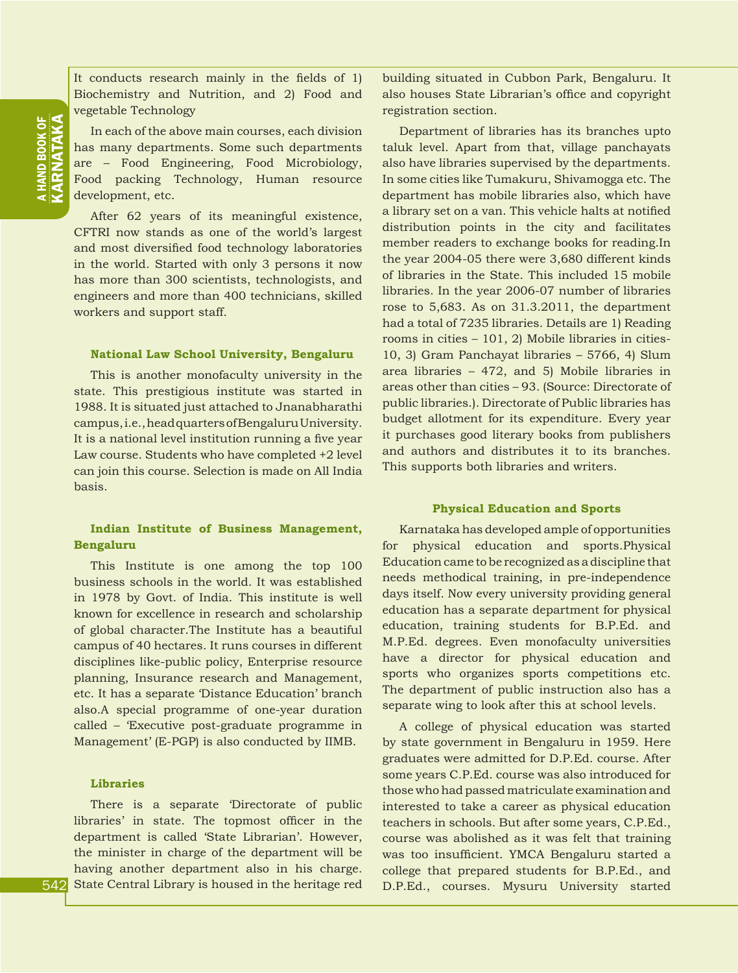It conducts research mainly in the fields of 1) Biochemistry and Nutrition, and 2) Food and vegetable Technology

In each of the above main courses, each division has many departments. Some such departments are – Food Engineering, Food Microbiology, Food packing Technology, Human resource development, etc.

After 62 years of its meaningful existence, CFTRI now stands as one of the world's largest and most diversified food technology laboratories in the world. Started with only 3 persons it now has more than 300 scientists, technologists, and engineers and more than 400 technicians, skilled workers and support staff.

#### **National Law School University, Bengaluru**

This is another monofaculty university in the state. This prestigious institute was started in 1988. It is situated just attached to Jnanabharathi campus, i.e., head quarters of Bengaluru University. It is a national level institution running a five year Law course. Students who have completed +2 level can join this course. Selection is made on All India basis.

#### **Indian Institute of Business Management, Bengaluru**

This Institute is one among the top 100 business schools in the world. It was established in 1978 by Govt. of India. This institute is well known for excellence in research and scholarship of global character.The Institute has a beautiful campus of 40 hectares. It runs courses in different disciplines like-public policy, Enterprise resource planning, Insurance research and Management, etc. It has a separate 'Distance Education' branch also.A special programme of one-year duration called – 'Executive post-graduate programme in Management' (E-PGP) is also conducted by IIMB.

#### **Libraries**

There is a separate 'Directorate of public libraries' in state. The topmost officer in the department is called 'State Librarian'. However, the minister in charge of the department will be having another department also in his charge. State Central Library is housed in the heritage red building situated in Cubbon Park, Bengaluru. It also houses State Librarian's office and copyright registration section.

Department of libraries has its branches upto taluk level. Apart from that, village panchayats also have libraries supervised by the departments. In some cities like Tumakuru, Shivamogga etc. The department has mobile libraries also, which have a library set on a van. This vehicle halts at notified distribution points in the city and facilitates member readers to exchange books for reading.In the year 2004-05 there were 3,680 different kinds of libraries in the State. This included 15 mobile libraries. In the year 2006-07 number of libraries rose to 5,683. As on 31.3.2011, the department had a total of 7235 libraries. Details are 1) Reading rooms in cities – 101, 2) Mobile libraries in cities-10, 3) Gram Panchayat libraries – 5766, 4) Slum area libraries – 472, and 5) Mobile libraries in areas other than cities – 93. (Source: Directorate of public libraries.). Directorate of Public libraries has budget allotment for its expenditure. Every year it purchases good literary books from publishers and authors and distributes it to its branches. This supports both libraries and writers.

#### **Physical Education and Sports**

Karnataka has developed ample of opportunities for physical education and sports.Physical Education came to be recognized as a discipline that needs methodical training, in pre-independence days itself. Now every university providing general education has a separate department for physical education, training students for B.P.Ed. and M.P.Ed. degrees. Even monofaculty universities have a director for physical education and sports who organizes sports competitions etc. The department of public instruction also has a separate wing to look after this at school levels.

A college of physical education was started by state government in Bengaluru in 1959. Here graduates were admitted for D.P.Ed. course. After some years C.P.Ed. course was also introduced for those who had passed matriculate examination and interested to take a career as physical education teachers in schools. But after some years, C.P.Ed., course was abolished as it was felt that training was too insufficient. YMCA Bengaluru started a college that prepared students for B.P.Ed., and D.P.Ed., courses. Mysuru University started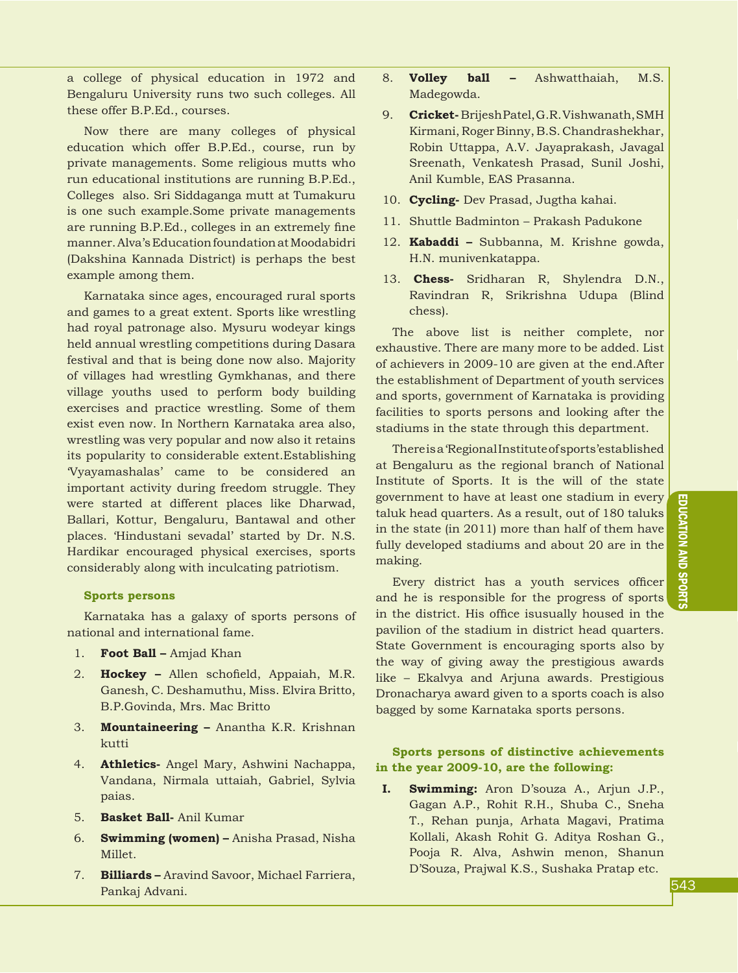a college of physical education in 1972 and Bengaluru University runs two such colleges. All these offer B.P.Ed., courses.

Now there are many colleges of physical education which offer B.P.Ed., course, run by private managements. Some religious mutts who run educational institutions are running B.P.Ed., Colleges also. Sri Siddaganga mutt at Tumakuru is one such example.Some private managements are running B.P.Ed., colleges in an extremely fine manner. Alva's Education foundation at Moodabidri (Dakshina Kannada District) is perhaps the best example among them.

Karnataka since ages, encouraged rural sports and games to a great extent. Sports like wrestling had royal patronage also. Mysuru wodeyar kings held annual wrestling competitions during Dasara festival and that is being done now also. Majority of villages had wrestling Gymkhanas, and there village youths used to perform body building exercises and practice wrestling. Some of them exist even now. In Northern Karnataka area also, wrestling was very popular and now also it retains its popularity to considerable extent.Establishing 'Vyayamashalas' came to be considered an important activity during freedom struggle. They were started at different places like Dharwad, Ballari, Kottur, Bengaluru, Bantawal and other places. 'Hindustani sevadal' started by Dr. N.S. Hardikar encouraged physical exercises, sports considerably along with inculcating patriotism.

#### **Sports persons**

Karnataka has a galaxy of sports persons of national and international fame.

- 1. **Foot Ball –** Amjad Khan
- 2. **Hockey –** Allen schofield, Appaiah, M.R. Ganesh, C. Deshamuthu, Miss. Elvira Britto, B.P.Govinda, Mrs. Mac Britto
- 3. **Mountaineering –** Anantha K.R. Krishnan kutti
- 4. **Athletics-** Angel Mary, Ashwini Nachappa, Vandana, Nirmala uttaiah, Gabriel, Sylvia paias.
- 5. **Basket Ball-** Anil Kumar
- 6. **Swimming (women) –** Anisha Prasad, Nisha Millet.
- 7. **Billiards –** Aravind Savoor, Michael Farriera, Pankaj Advani.
- 8. **Volley ball –** Ashwatthaiah, M.S. Madegowda.
- 9. **Cricket-** Brijesh Patel, G.R. Vishwanath, SMH Kirmani, Roger Binny, B.S. Chandrashekhar, Robin Uttappa, A.V. Jayaprakash, Javagal Sreenath, Venkatesh Prasad, Sunil Joshi, Anil Kumble, EAS Prasanna.
- 10. **Cycling-** Dev Prasad, Jugtha kahai.
- 11. Shuttle Badminton Prakash Padukone
- 12. **Kabaddi –** Subbanna, M. Krishne gowda, H.N. munivenkatappa.
- 13. **Chess-** Sridharan R, Shylendra D.N., Ravindran R, Srikrishna Udupa (Blind chess).

The above list is neither complete, nor exhaustive. There are many more to be added. List of achievers in 2009-10 are given at the end.After the establishment of Department of youth services and sports, government of Karnataka is providing facilities to sports persons and looking after the stadiums in the state through this department.

There is a 'Regional Institute of sports'established at Bengaluru as the regional branch of National Institute of Sports. It is the will of the state government to have at least one stadium in every taluk head quarters. As a result, out of 180 taluks in the state (in 2011) more than half of them have fully developed stadiums and about 20 are in the making.

Every district has a youth services officer and he is responsible for the progress of sports in the district. His office isusually housed in the pavilion of the stadium in district head quarters. State Government is encouraging sports also by the way of giving away the prestigious awards like – Ekalvya and Arjuna awards. Prestigious Dronacharya award given to a sports coach is also bagged by some Karnataka sports persons.

#### **Sports persons of distinctive achievements in the year 2009-10, are the following:**

**I. Swimming:** Aron D'souza A., Arjun J.P., Gagan A.P., Rohit R.H., Shuba C., Sneha T., Rehan punja, Arhata Magavi, Pratima Kollali, Akash Rohit G. Aditya Roshan G., Pooja R. Alva, Ashwin menon, Shanun D'Souza, Prajwal K.S., Sushaka Pratap etc.

EDUCATION AND SPORTS PEOPLE

EDUCATION AND SPORTS

introduction HISTORY introduction HISTORY introduction HISTORY introduction HISTORY introduction HISTORY introduction HISTORY introduction HISTORY introduction HISTORY introduction HISTORY introduction HISTORY introduction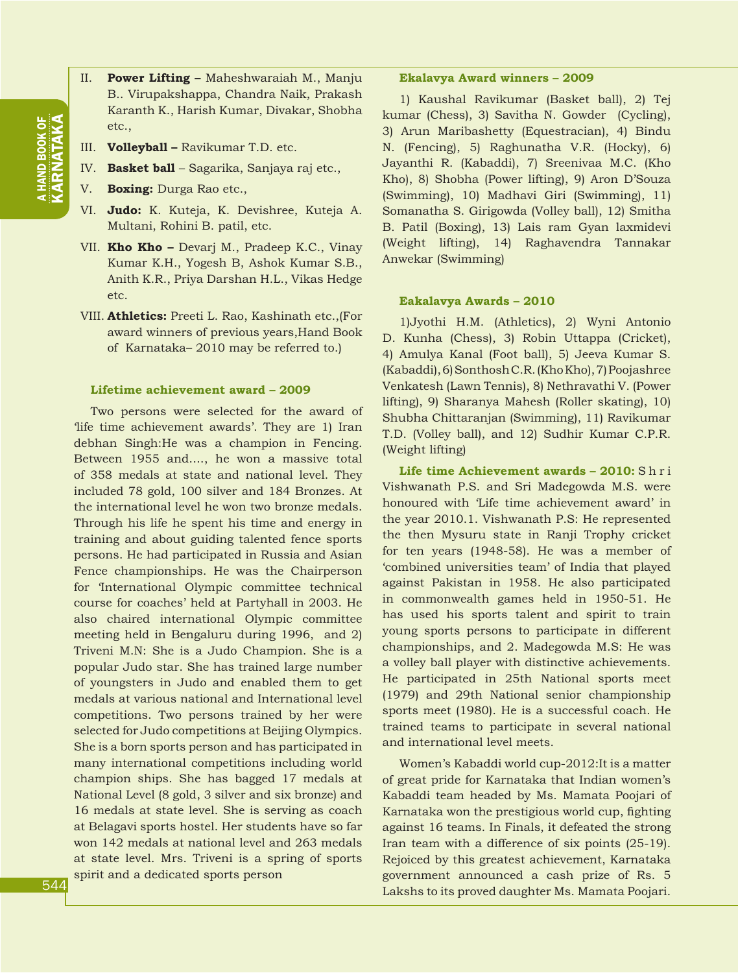- II. **Power Lifting** Maheshwaraiah M., Manju B.. Virupakshappa, Chandra Naik, Prakash Karanth K., Harish Kumar, Divakar, Shobha etc.,
- III. **Volleyball –** Ravikumar T.D. etc.
- IV. **Basket ball**  Sagarika, Sanjaya raj etc.,
- V. **Boxing:** Durga Rao etc.,
- VI. **Judo:** K. Kuteja, K. Devishree, Kuteja A. Multani, Rohini B. patil, etc.
- VII. **Kho Kho –** Devarj M., Pradeep K.C., Vinay Kumar K.H., Yogesh B, Ashok Kumar S.B., Anith K.R., Priya Darshan H.L., Vikas Hedge etc.
- VIII. **Athletics:** Preeti L. Rao, Kashinath etc.,(For award winners of previous years,Hand Book of Karnataka– 2010 may be referred to.)

#### **Lifetime achievement award – 2009**

Two persons were selected for the award of 'life time achievement awards'. They are 1) Iran debhan Singh:He was a champion in Fencing. Between 1955 and...., he won a massive total of 358 medals at state and national level. They included 78 gold, 100 silver and 184 Bronzes. At the international level he won two bronze medals. Through his life he spent his time and energy in training and about guiding talented fence sports persons. He had participated in Russia and Asian Fence championships. He was the Chairperson for 'International Olympic committee technical course for coaches' held at Partyhall in 2003. He also chaired international Olympic committee meeting held in Bengaluru during 1996, and 2) Triveni M.N: She is a Judo Champion. She is a popular Judo star. She has trained large number of youngsters in Judo and enabled them to get medals at various national and International level competitions. Two persons trained by her were selected for Judo competitions at Beijing Olympics. She is a born sports person and has participated in many international competitions including world champion ships. She has bagged 17 medals at National Level (8 gold, 3 silver and six bronze) and 16 medals at state level. She is serving as coach at Belagavi sports hostel. Her students have so far won 142 medals at national level and 263 medals at state level. Mrs. Triveni is a spring of sports spirit and a dedicated sports person

#### **Ekalavya Award winners – 2009**

1) Kaushal Ravikumar (Basket ball), 2) Tej kumar (Chess), 3) Savitha N. Gowder (Cycling), 3) Arun Maribashetty (Equestracian), 4) Bindu N. (Fencing), 5) Raghunatha V.R. (Hocky), 6) Jayanthi R. (Kabaddi), 7) Sreenivaa M.C. (Kho Kho), 8) Shobha (Power lifting), 9) Aron D'Souza (Swimming), 10) Madhavi Giri (Swimming), 11) Somanatha S. Girigowda (Volley ball), 12) Smitha B. Patil (Boxing), 13) Lais ram Gyan laxmidevi (Weight lifting), 14) Raghavendra Tannakar Anwekar (Swimming)

#### **Eakalavya Awards – 2010**

1)Jyothi H.M. (Athletics), 2) Wyni Antonio D. Kunha (Chess), 3) Robin Uttappa (Cricket), 4) Amulya Kanal (Foot ball), 5) Jeeva Kumar S. (Kabaddi), 6) Sonthosh C.R. (Kho Kho), 7) Poojashree Venkatesh (Lawn Tennis), 8) Nethravathi V. (Power lifting), 9) Sharanya Mahesh (Roller skating), 10) Shubha Chittaranjan (Swimming), 11) Ravikumar T.D. (Volley ball), and 12) Sudhir Kumar C.P.R. (Weight lifting)

**Life time Achievement awards – 2010:** S h r i Vishwanath P.S. and Sri Madegowda M.S. were honoured with 'Life time achievement award' in the year 2010.1. Vishwanath P.S: He represented the then Mysuru state in Ranji Trophy cricket for ten years (1948-58). He was a member of 'combined universities team' of India that played against Pakistan in 1958. He also participated in commonwealth games held in 1950-51. He has used his sports talent and spirit to train young sports persons to participate in different championships, and 2. Madegowda M.S: He was a volley ball player with distinctive achievements. He participated in 25th National sports meet (1979) and 29th National senior championship sports meet (1980). He is a successful coach. He trained teams to participate in several national and international level meets.

Women's Kabaddi world cup-2012:It is a matter of great pride for Karnataka that Indian women's Kabaddi team headed by Ms. Mamata Poojari of Karnataka won the prestigious world cup, fighting against 16 teams. In Finals, it defeated the strong Iran team with a difference of six points (25-19). Rejoiced by this greatest achievement, Karnataka government announced a cash prize of Rs. 5 Lakshs to its proved daughter Ms. Mamata Poojari.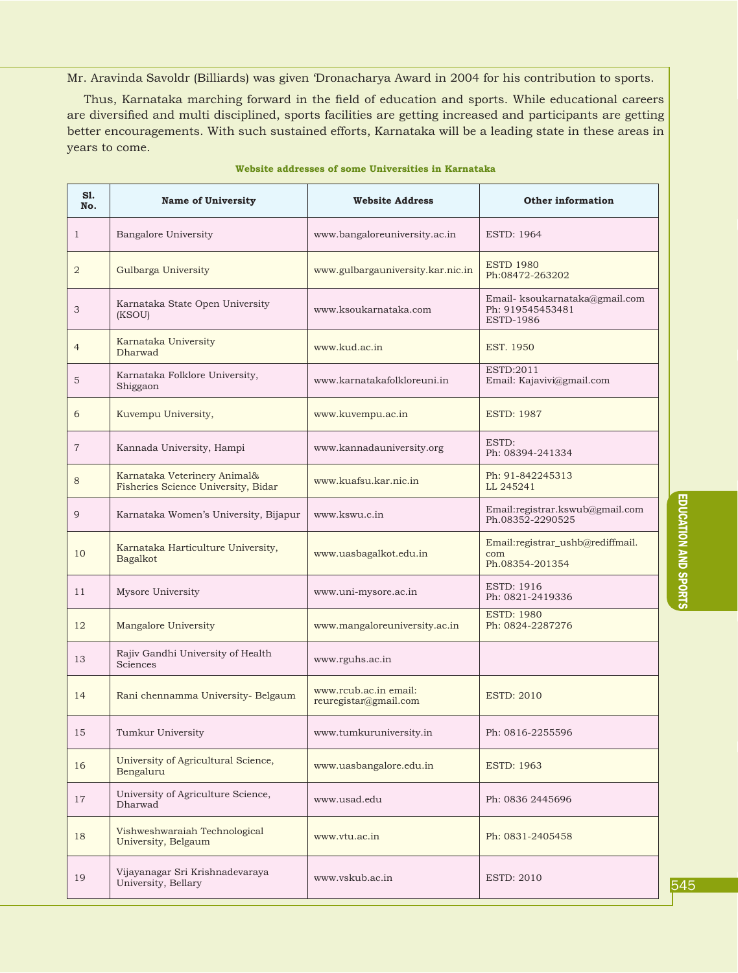Mr. Aravinda Savoldr (Billiards) was given 'Dronacharya Award in 2004 for his contribution to sports.

Thus, Karnataka marching forward in the field of education and sports. While educational careers are diversified and multi disciplined, sports facilities are getting increased and participants are getting better encouragements. With such sustained efforts, Karnataka will be a leading state in these areas in years to come.

| S1.<br>No.     | <b>Name of University</b>                                           | <b>Website Address</b>                         | <b>Other information</b>                                               |
|----------------|---------------------------------------------------------------------|------------------------------------------------|------------------------------------------------------------------------|
| $\mathbf{1}$   | Bangalore University                                                | www.bangaloreuniversity.ac.in                  | <b>ESTD: 1964</b>                                                      |
| $\overline{2}$ | Gulbarga University                                                 | www.gulbargauniversity.kar.nic.in              | <b>ESTD 1980</b><br>Ph:08472-263202                                    |
| 3              | Karnataka State Open University<br>(KSOU)                           | www.ksoukarnataka.com                          | Email- ksoukarnataka@gmail.com<br>Ph: 919545453481<br><b>ESTD-1986</b> |
| $\overline{4}$ | Karnataka University<br>Dharwad                                     | www.kud.ac.in                                  | EST. 1950                                                              |
| 5              | Karnataka Folklore University,<br>Shiggaon                          | www.karnatakafolkloreuni.in                    | ESTD:2011<br>Email: Kajavivi@gmail.com                                 |
| 6              | Kuvempu University,                                                 | www.kuvempu.ac.in                              | <b>ESTD: 1987</b>                                                      |
| $\overline{7}$ | Kannada University, Hampi                                           | www.kannadauniversity.org                      | ESTD:<br>Ph: 08394-241334                                              |
| 8              | Karnataka Veterinery Animal&<br>Fisheries Science University, Bidar | www.kuafsu.kar.nic.in                          | Ph: 91-842245313<br>LL 245241                                          |
| 9              | Karnataka Women's University, Bijapur                               | www.kswu.c.in                                  | Email:registrar.kswub@gmail.com<br>Ph.08352-2290525                    |
| 10             | Karnataka Harticulture University,<br>Bagalkot                      | www.uasbagalkot.edu.in                         | Email:registrar_ushb@rediffmail.<br>com<br>Ph.08354-201354             |
| 11             | Mysore University                                                   | www.uni-mysore.ac.in                           | <b>ESTD: 1916</b><br>Ph: 0821-2419336                                  |
| 12             | Mangalore University                                                | www.mangaloreuniversity.ac.in                  | <b>ESTD: 1980</b><br>Ph: 0824-2287276                                  |
| 13             | Rajiv Gandhi University of Health<br>Sciences                       | www.rguhs.ac.in                                |                                                                        |
| 14             | Rani chennamma University- Belgaum                                  | www.rcub.ac.in email:<br>reuregistar@gmail.com | <b>ESTD: 2010</b>                                                      |
| 15             | Tumkur University                                                   | www.tumkuruniversity.in                        | Ph: 0816-2255596                                                       |
| 16             | University of Agricultural Science,<br>Bengaluru                    | www.uasbangalore.edu.in                        | <b>ESTD: 1963</b>                                                      |
| 17             | University of Agriculture Science,<br>Dharwad                       | www.usad.edu                                   | Ph: 0836 2445696                                                       |
| 18             | Vishweshwaraiah Technological<br>University, Belgaum                | www.ytu.ac.in                                  | Ph: 0831-2405458                                                       |
| 19             | Vijayanagar Sri Krishnadevaraya<br>University, Bellary              | www.vskub.ac.in                                | <b>ESTD: 2010</b>                                                      |

#### **Website addresses of some Universities in Karnataka**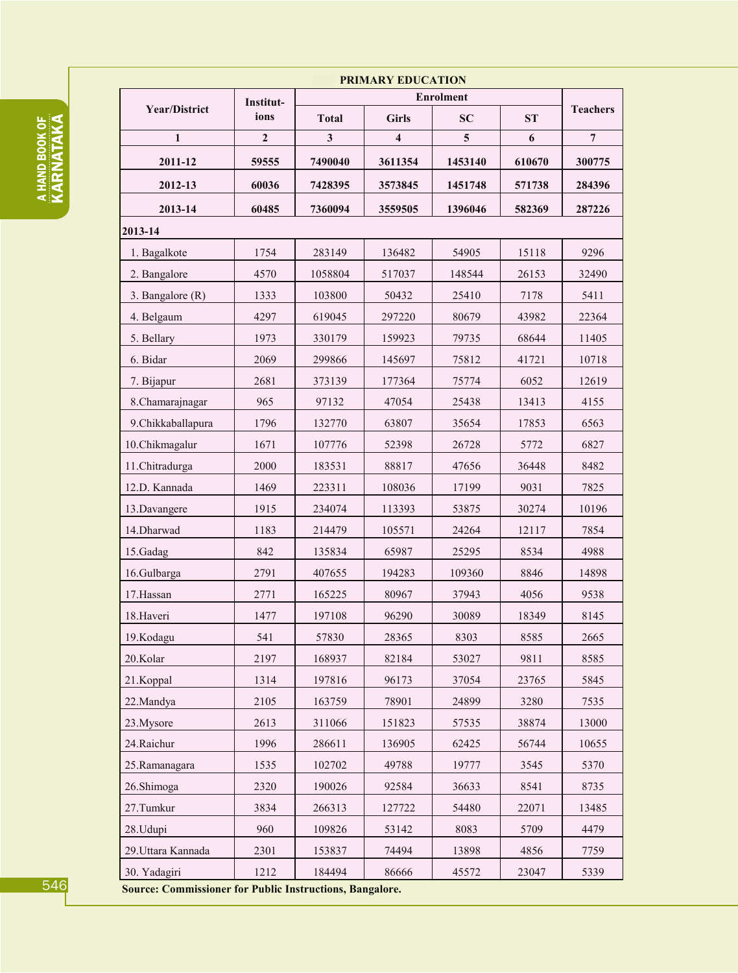|                      |                   | <b>PRIMARY EDUCATION</b> |                         |                               |        |                 |
|----------------------|-------------------|--------------------------|-------------------------|-------------------------------|--------|-----------------|
| <b>Year/District</b> | Institut-<br>ions | <b>Total</b>             | <b>Girls</b>            | <b>Enrolment</b><br><b>SC</b> | ST     | <b>Teachers</b> |
| $\mathbf{1}$         | $\overline{2}$    | $\mathbf{3}$             | $\overline{\mathbf{4}}$ | 5                             | 6      | $\overline{7}$  |
| 2011-12              | 59555             | 7490040                  | 3611354                 | 1453140                       | 610670 | 300775          |
|                      |                   |                          |                         |                               |        |                 |
| 2012-13              | 60036             | 7428395                  | 3573845                 | 1451748                       | 571738 | 284396          |
| 2013-14              | 60485             | 7360094                  | 3559505                 | 1396046                       | 582369 | 287226          |
| 2013-14              |                   |                          |                         |                               |        |                 |
| 1. Bagalkote         | 1754              | 283149                   | 136482                  | 54905                         | 15118  | 9296            |
| 2. Bangalore         | 4570              | 1058804                  | 517037                  | 148544                        | 26153  | 32490           |
| 3. Bangalore (R)     | 1333              | 103800                   | 50432                   | 25410                         | 7178   | 5411            |
| 4. Belgaum           | 4297              | 619045                   | 297220                  | 80679                         | 43982  | 22364           |
| 5. Bellary           | 1973              | 330179                   | 159923                  | 79735                         | 68644  | 11405           |
| 6. Bidar             | 2069              | 299866                   | 145697                  | 75812                         | 41721  | 10718           |
| 7. Bijapur           | 2681              | 373139                   | 177364                  | 75774                         | 6052   | 12619           |
| 8.Chamarajnagar      | 965               | 97132                    | 47054                   | 25438                         | 13413  | 4155            |
| 9.Chikkaballapura    | 1796              | 132770                   | 63807                   | 35654                         | 17853  | 6563            |
| 10.Chikmagalur       | 1671              | 107776                   | 52398                   | 26728                         | 5772   | 6827            |
| 11.Chitradurga       | 2000              | 183531                   | 88817                   | 47656                         | 36448  | 8482            |
| 12.D. Kannada        | 1469              | 223311                   | 108036                  | 17199                         | 9031   | 7825            |
| 13.Davangere         | 1915              | 234074                   | 113393                  | 53875                         | 30274  | 10196           |
| 14. Dharwad          | 1183              | 214479                   | 105571                  | 24264                         | 12117  | 7854            |
| 15.Gadag             | 842               | 135834                   | 65987                   | 25295                         | 8534   | 4988            |
| 16.Gulbarga          | 2791              | 407655                   | 194283                  | 109360                        | 8846   | 14898           |
| 17.Hassan            | 2771              | 165225                   | 80967                   | 37943                         | 4056   | 9538            |
| 18. Haveri           | 1477              | 197108                   | 96290                   | 30089                         | 18349  | 8145            |
| 19.Kodagu            | 541               | 57830                    | 28365                   | 8303                          | 8585   | 2665            |
| 20.Kolar             | 2197              | 168937                   | 82184                   | 53027                         | 9811   | 8585            |
| 21.Koppal            | 1314              | 197816                   | 96173                   | 37054                         | 23765  | 5845            |
| 22. Mandya           | 2105              | 163759                   | 78901                   | 24899                         | 3280   | 7535            |
| 23.Mysore            | 2613              | 311066                   | 151823                  | 57535                         | 38874  | 13000           |
| 24.Raichur           | 1996              | 286611                   | 136905                  | 62425                         | 56744  | 10655           |
| 25.Ramanagara        | 1535              | 102702                   | 49788                   | 19777                         | 3545   | 5370            |
| 26.Shimoga           | 2320              | 190026                   | 92584                   | 36633                         | 8541   | 8735            |
| 27.Tumkur            | 3834              | 266313                   | 127722                  | 54480                         | 22071  | 13485           |
| 28.Udupi             | 960               | 109826                   | 53142                   | 8083                          | 5709   | 4479            |
| 29. Uttara Kannada   | 2301              | 153837                   | 74494                   | 13898                         | 4856   | 7759            |
| 30. Yadagiri         | 1212              | 184494                   | 86666                   | 45572                         | 23047  | 5339            |

**A HAND BOOK OF<br>KARNATAKA** 

546

Source: Commissioner for Public Instructions, Bangalore.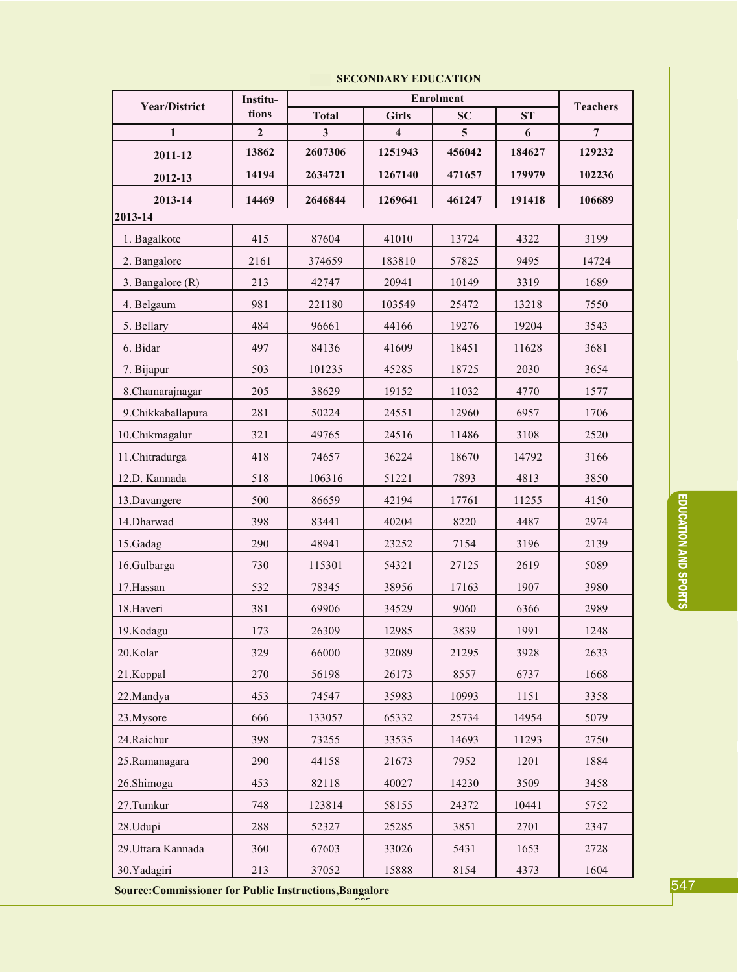|                    | Institu-     | <b>SECORDANI EDUCATION</b> |                          |              |        |                 |
|--------------------|--------------|----------------------------|--------------------------|--------------|--------|-----------------|
| Year/District      | tions        | <b>Total</b>               | <b>Girls</b>             | <b>SC</b>    | ST     | <b>Teachers</b> |
| 1                  | $\mathbf{2}$ | 3                          | $\overline{\mathbf{4}}$  | 5            | 6      | $\overline{7}$  |
| 2011-12            | 13862        | 2607306                    | 1251943                  | 456042       | 184627 | 129232          |
| 2012-13            | 14194        | 2634721                    | 1267140                  | 471657       | 179979 | 102236          |
| 2013-14            | 14469        | 2646844                    | 1269641                  | 461247       | 191418 | 106689          |
| 2013-14            |              |                            |                          |              |        |                 |
| 1. Bagalkote       | 415          | 87604                      | 41010                    | 13724        | 4322   | 3199            |
| 2. Bangalore       | 2161         | 374659                     | 183810                   | 57825        | 9495   | 14724           |
| 3. Bangalore (R)   | 213          | 42747                      | 20941                    | 10149        | 3319   | 1689            |
| 4. Belgaum         | 981          | 221180                     | 103549<br>13218<br>25472 |              |        | 7550            |
| 5. Bellary         | 484          | 96661                      | 44166                    | 19276        | 19204  | 3543            |
| 6. Bidar           | 497          | 84136                      | 41609                    | 18451        | 11628  | 3681            |
| 7. Bijapur         | 503          | 101235                     | 45285                    | 18725        | 2030   | 3654            |
| 8.Chamarajnagar    | 205          | 38629                      | 19152                    | 11032        | 4770   | 1577            |
| 9.Chikkaballapura  | 281          | 50224                      | 24551                    | 12960        | 6957   | 1706            |
| 10.Chikmagalur     | 321          | 49765                      | 24516                    | 11486        | 3108   | 2520            |
| 11.Chitradurga     | 418          | 74657                      | 36224                    | 18670        | 14792  | 3166            |
| 12.D. Kannada      | 518          | 106316                     | 51221                    | 7893<br>4813 |        | 3850            |
| 13. Davangere      | 500          | 86659                      | 42194                    | 17761        | 11255  | 4150            |
| 14. Dharwad        | 398          | 83441                      | 40204                    | 8220         | 4487   | 2974            |
| 15.Gadag           | 290          | 48941                      | 23252                    | 7154         | 3196   | 2139            |
| 16.Gulbarga        | 730          | 115301                     | 54321                    | 27125        | 2619   | 5089            |
| 17. Hassan         | 532          | 78345                      | 38956                    | 17163        | 1907   | 3980            |
| 18. Haveri         | 381          | 69906                      | 34529                    | 9060         | 6366   | 2989            |
| 19.Kodagu          | 173          | 26309                      | 12985                    | 3839         | 1991   | 1248            |
| 20.Kolar           | 329          | 66000                      | 32089                    | 21295        | 3928   | 2633            |
| 21.Koppal          | 270          | 56198                      | 26173                    | 8557         | 6737   | 1668            |
| 22. Mandya         | 453          | 74547                      | 35983                    | 10993        | 1151   | 3358            |
| 23. Mysore         | 666          | 133057                     | 65332                    | 25734        | 14954  | 5079            |
| 24. Raichur        | 398          | 73255                      | 33535                    | 14693        | 11293  | 2750            |
| 25.Ramanagara      | 290          | 44158                      | 21673                    | 7952         | 1201   | 1884            |
| 26.Shimoga         | 453          | 82118                      | 40027                    | 14230        | 3509   | 3458            |
| 27.Tumkur          | 748          | 123814                     | 58155                    | 24372        | 10441  | 5752            |
| 28.Udupi           | 288          | 52327                      | 25285                    | 3851         | 2701   | 2347            |
| 29. Uttara Kannada | 360          | 67603                      | 33026                    | 5431         | 1653   | 2728            |
| 30. Yadagiri       | 213          | 37052                      | 15888                    | 8154         | 4373   | 1604            |

Source: Commissioner for Public Instructions, Bangalore

547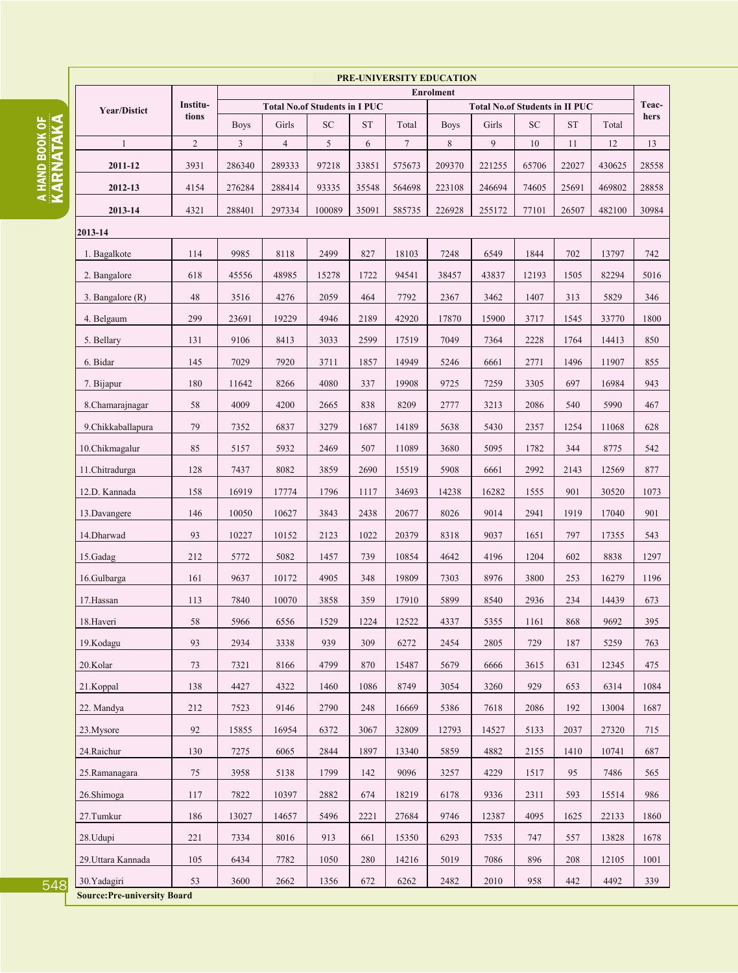A HAND BOOK OF<br>KARNATAKA

|                    | PRE-UNIVERSITY EDUCATION<br><b>Enrolment</b> |                |                                      |            |           |                 |             |                                       |            |            |        |       |
|--------------------|----------------------------------------------|----------------|--------------------------------------|------------|-----------|-----------------|-------------|---------------------------------------|------------|------------|--------|-------|
|                    | Institu-                                     |                | <b>Total No.of Students in I PUC</b> |            |           |                 |             | <b>Total No.of Students in II PUC</b> |            |            |        | Teac- |
| Year/Distict       | tions                                        | <b>Boys</b>    | Girls                                | ${\rm SC}$ | <b>ST</b> | Total           | <b>Boys</b> | Girls                                 | ${\rm SC}$ | ${\rm ST}$ | Total  | hers  |
| $\mathbf{1}$       | $\overline{2}$                               | $\overline{3}$ | $\overline{4}$                       | 5          | 6         | $7\overline{ }$ | 8           | 9                                     | 10         | 11         | 12     | 13    |
| 2011-12            | 3931                                         | 286340         | 289333                               | 97218      | 33851     | 575673          | 209370      | 221255                                | 65706      | 22027      | 430625 | 28558 |
| 2012-13            | 4154                                         | 276284         | 288414                               | 93335      | 35548     | 564698          | 223108      | 246694                                | 74605      | 25691      | 469802 | 28858 |
| 2013-14            | 4321                                         | 288401         | 297334                               | 100089     | 35091     | 585735          | 226928      | 255172                                | 77101      | 26507      | 482100 | 30984 |
| 2013-14            |                                              |                |                                      |            |           |                 |             |                                       |            |            |        |       |
| 1. Bagalkote       | 114                                          | 9985           | 8118                                 | 2499       | 827       | 18103           | 7248        | 6549                                  | 1844       | 702        | 13797  | 742   |
| 2. Bangalore       | 618                                          | 45556          | 48985                                | 15278      | 1722      | 94541           | 38457       | 43837                                 | 12193      | 1505       | 82294  | 5016  |
| 3. Bangalore $(R)$ | 48                                           | 3516           | 4276                                 | 2059       | 464       | 7792            | 2367        | 3462                                  | 1407       | 313        | 5829   | 346   |
| 4. Belgaum         | 299                                          | 23691          | 19229                                | 4946       | 2189      | 42920           | 17870       | 15900                                 | 3717       | 1545       | 33770  | 1800  |
| 5. Bellary         | 131                                          | 9106           | 8413                                 | 3033       | 2599      | 17519           | 7049        | 7364                                  | 2228       | 1764       | 14413  | 850   |
| 6. Bidar           | 145                                          | 7029           | 7920                                 | 3711       | 1857      | 14949           | 5246        | 6661                                  | 2771       | 1496       | 11907  | 855   |
| 7. Bijapur         | 180                                          | 11642          | 8266                                 | 4080       | 337       | 19908           | 9725        | 7259                                  | 3305       | 697        | 16984  | 943   |
| 8. Chamara inagar  | 58                                           | 4009           | 4200                                 | 2665       | 838       | 8209            | 2777        | 3213                                  | 2086       | 540        | 5990   | 467   |
| 9.Chikkaballapura  | 79                                           | 7352           | 6837                                 | 3279       | 1687      | 14189           | 5638        | 5430                                  | 2357       | 1254       | 11068  | 628   |
| 10.Chikmagalur     | 85                                           | 5157           | 5932                                 | 2469       | 507       | 11089           | 3680        | 5095                                  | 1782       | 344        | 8775   | 542   |
| 11.Chitradurga     | 128                                          | 7437           | 8082                                 | 3859       | 2690      | 15519           | 5908        | 6661                                  | 2992       | 2143       | 12569  | 877   |
| 12.D. Kannada      | 158                                          | 16919          | 17774                                | 1796       | 1117      | 34693           | 14238       | 16282                                 | 1555       | 901        | 30520  | 1073  |
| 13. Davangere      | 146                                          | 10050          | 10627                                | 3843       | 2438      | 20677           | 8026        | 9014                                  | 2941       | 1919       | 17040  | 901   |
| 14. Dharwad        | 93                                           | 10227          | 10152                                | 2123       | 1022      | 20379           | 8318        | 9037                                  | 1651       | 797        | 17355  | 543   |
| 15.Gadag           | 212                                          | 5772           | 5082                                 | 1457       | 739       | 10854           | 4642        | 4196                                  | 1204       | 602        | 8838   | 1297  |
| 16.Gulbarga        | 161                                          | 9637           | 10172                                | 4905       | 348       | 19809           | 7303        | 8976                                  | 3800       | 253        | 16279  | 1196  |
| 17.Hassan          | 113                                          | 7840           | 10070                                | 3858       | 359       | 17910           | 5899        | 8540                                  | 2936       | 234        | 14439  | 673   |
| 18. Haveri         | 58                                           | 5966           | 6556                                 | 1529       | 1224      | 12522           | 4337        | 5355                                  | 1161       | 868        | 9692   | 395   |
| 19.Kodagu          | 93                                           | 2934           | 3338                                 | 939        | 309       | 6272            | 2454        | 2805                                  | 729        | 187        | 5259   | 763   |
| 20.Kolar           | 73                                           | 7321           | 8166                                 | 4799       | 870       | 15487           | 5679        | 6666                                  | 3615       | 631        | 12345  | 475   |
| 21.Koppal          | 138                                          | 4427           | 4322                                 | 1460       | 1086      | 8749            | 3054        | 3260                                  | 929        | 653        | 6314   | 1084  |
| 22. Mandya         | 212                                          | 7523           | 9146                                 | 2790       | 248       | 16669           | 5386        | 7618                                  | 2086       | 192        | 13004  | 1687  |
| 23. Mysore         | 92                                           | 15855          | 16954                                | 6372       | 3067      | 32809           | 12793       | 14527                                 | 5133       | 2037       | 27320  | 715   |
| 24.Raichur         | 130                                          | 7275           | 6065                                 | 2844       | 1897      | 13340           | 5859        | 4882                                  | 2155       | 1410       | 10741  | 687   |
| 25.Ramanagara      | 75                                           | 3958           | 5138                                 | 1799       | 142       | 9096            | 3257        | 4229                                  | 1517       | 95         | 7486   | 565   |
| 26.Shimoga         | 117                                          | 7822           | 10397                                | 2882       | 674       | 18219           | 6178        | 9336                                  | 2311       | 593        | 15514  | 986   |
| 27.Tumkur          | 186                                          | 13027          | 14657                                | 5496       | 2221      | 27684           | 9746        | 12387                                 | 4095       | 1625       | 22133  | 1860  |
| 28.Udupi           | 221                                          | 7334           | 8016                                 | 913        | 661       | 15350           | 6293        | 7535                                  | 747        | 557        | 13828  | 1678  |
| 29. Uttara Kannada | 105                                          | 6434           | 7782                                 | 1050       | 280       | 14216           | 5019        | 7086                                  | 896        | 208        | 12105  | 1001  |
| 30.Yadagiri        | 53                                           | 3600           | 2662                                 | 1356       | 672       | 6262            | 2482        | 2010                                  | 958        | 442        | 4492   | 339   |

**Source: Pre-university Board**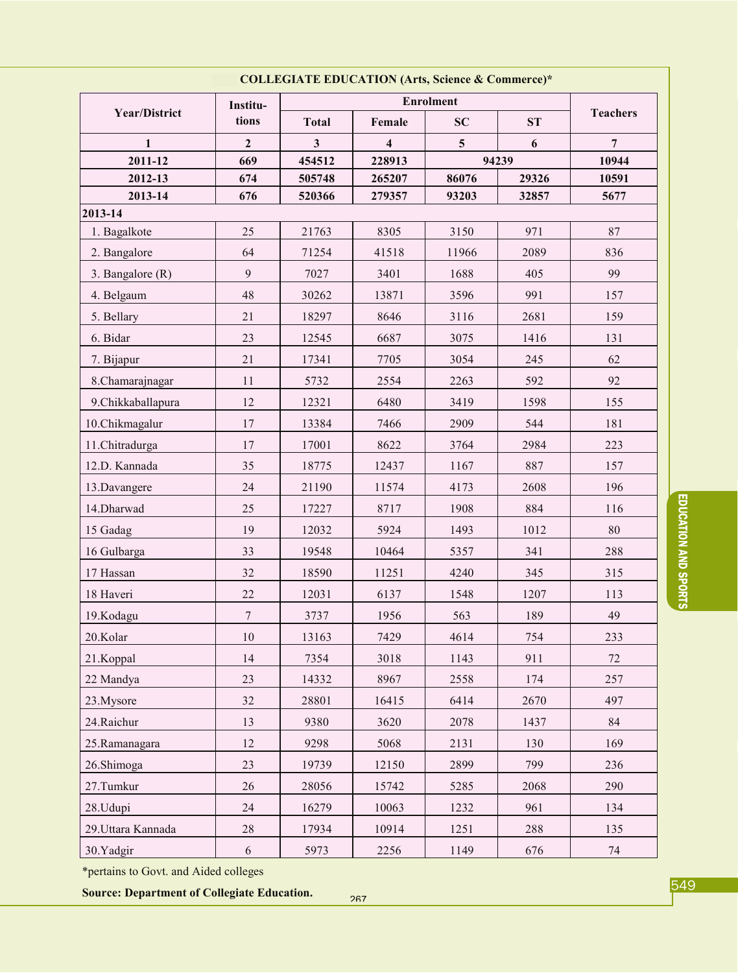| COLLEGIATE EDUCATION (Arts, Science & Commerce)*                        |                  |              |                 |                |       |                |  |  |
|-------------------------------------------------------------------------|------------------|--------------|-----------------|----------------|-------|----------------|--|--|
| <b>Year/District</b>                                                    | Institu-         |              | <b>Teachers</b> |                |       |                |  |  |
|                                                                         | tions            | <b>Total</b> | Female          | SC             | ST    |                |  |  |
| 1                                                                       | $\overline{2}$   | $\mathbf{3}$ | 4               | 5 <sup>5</sup> | 6     | $\overline{7}$ |  |  |
| 2011-12                                                                 | 669              | 454512       | 228913          |                | 94239 | 10944          |  |  |
| 2012-13                                                                 | 674              | 505748       | 265207          | 86076          | 29326 | 10591          |  |  |
| 2013-14<br>676<br>520366<br>279357<br>93203<br>32857<br>5677<br>2013-14 |                  |              |                 |                |       |                |  |  |
| 1. Bagalkote                                                            | 25               | 21763        | 8305            | 3150           | 971   | 87             |  |  |
| 2. Bangalore                                                            | 64               | 71254        | 41518           | 11966          | 2089  | 836            |  |  |
| 3. Bangalore (R)                                                        | 9                | 7027         | 3401            | 1688           | 405   | 99             |  |  |
| 4. Belgaum                                                              | 48               | 30262        | 13871           | 3596           | 991   | 157            |  |  |
| 5. Bellary                                                              | 21               | 18297        | 8646            | 3116           | 2681  | 159            |  |  |
| 6. Bidar                                                                | 23               | 12545        | 6687            | 3075           | 1416  | 131            |  |  |
| 7. Bijapur                                                              | 21               | 17341        | 7705            | 3054           | 245   | 62             |  |  |
| 8.Chamarajnagar                                                         | 11               | 5732         | 2554            | 2263           | 592   | 92             |  |  |
| 9.Chikkaballapura                                                       | 12               | 12321        | 6480            | 3419           | 1598  | 155            |  |  |
| 10.Chikmagalur                                                          | 17               | 13384        | 7466            | 2909           | 544   | 181            |  |  |
| 11.Chitradurga                                                          | 17               | 17001        | 8622            | 3764           | 2984  | 223            |  |  |
| 12.D. Kannada                                                           | 35               | 18775        | 12437           | 1167           | 887   | 157            |  |  |
| 13.Davangere                                                            | 24               | 21190        | 11574           | 4173           | 2608  | 196            |  |  |
| 14.Dharwad                                                              | 25               | 17227        | 8717            | 1908           | 884   | 116            |  |  |
| 15 Gadag                                                                | 19               | 12032        | 5924            | 1493           | 1012  | 80             |  |  |
| 16 Gulbarga                                                             | 33               | 19548        | 10464           | 5357           | 341   | 288            |  |  |
| 17 Hassan                                                               | 32               | 18590        | 11251           | 4240           | 345   | 315            |  |  |
| 18 Haveri                                                               | 22               | 12031        | 6137            | 1548           | 1207  | 113            |  |  |
| 19.Kodagu                                                               | $\overline{7}$   | 3737         | 1956            | 563            | 189   | 49             |  |  |
| 20.Kolar                                                                | 10               | 13163        | 7429            | 4614           | 754   | 233            |  |  |
| 21.Koppal                                                               | 14               | 7354         | 3018            | 1143           | 911   | 72             |  |  |
| 22 Mandya                                                               | 23               | 14332        | 8967            | 2558           | 174   | 257            |  |  |
| 23.Mysore                                                               | 32               | 28801        | 16415           | 6414           | 2670  | 497            |  |  |
| 24. Raichur                                                             | 13               | 9380         | 3620            | 2078           | 1437  | 84             |  |  |
| 25.Ramanagara                                                           | 12               | 9298         | 5068            | 2131           | 130   | 169            |  |  |
| 26.Shimoga                                                              | 23               | 19739        | 12150           | 2899           | 799   | 236            |  |  |
| 27.Tumkur                                                               | 26               | 28056        | 15742           | 5285           | 2068  | 290            |  |  |
| 28.Udupi                                                                | 24               | 16279        | 10063           | 1232           | 961   | 134            |  |  |
| 29. Uttara Kannada                                                      | 28               | 17934        | 10914           | 1251           | 288   | 135            |  |  |
| 30.Yadgir                                                               | $\boldsymbol{6}$ | 5973         | 2256            | 1149           | 676   | 74             |  |  |

\*pertains to Govt. and Aided colleges

**Source: Department of Collegiate Education.** 

EDUCATION AND SPORTS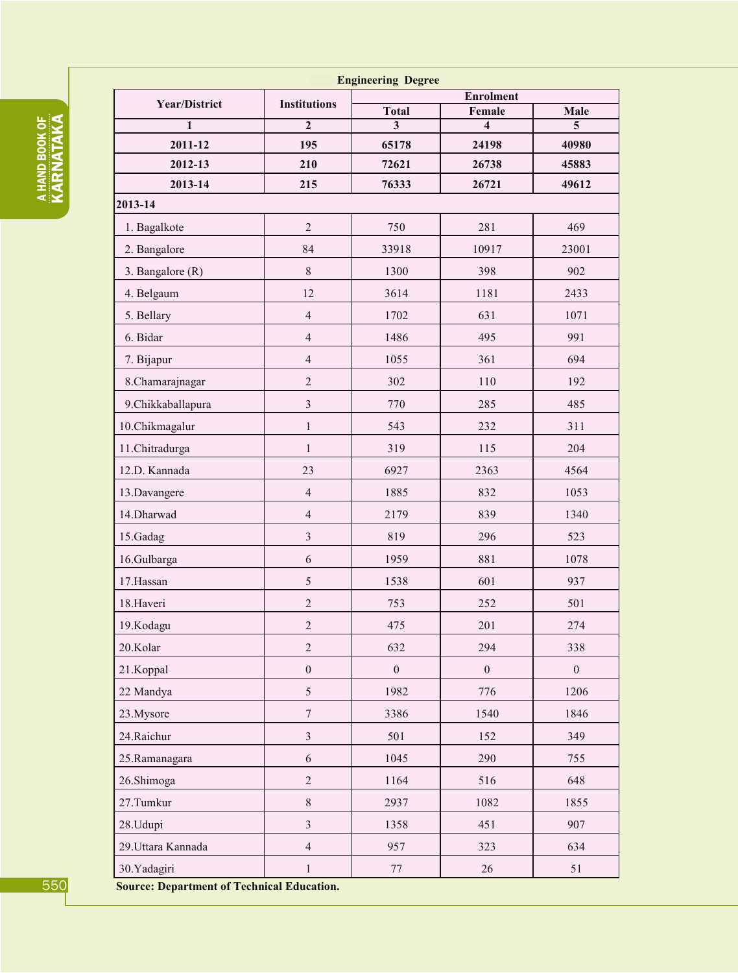|   | ٠                    |
|---|----------------------|
|   | $\ddot{}$            |
|   |                      |
|   |                      |
|   | ٠                    |
|   |                      |
|   | $\ddot{}$            |
|   |                      |
|   | $\vdots$             |
|   |                      |
|   |                      |
|   | ٠                    |
|   | ٠                    |
|   | ٠                    |
| i |                      |
|   | ٠                    |
|   | $\ddot{\phantom{a}}$ |
|   |                      |
|   |                      |
|   |                      |
|   | ţ                    |
|   | ٠                    |
|   | è                    |
|   | t<br>٠               |

| <b>Engineering Degree</b> |                                         |                   |                                   |                  |  |  |  |
|---------------------------|-----------------------------------------|-------------------|-----------------------------------|------------------|--|--|--|
| <b>Year/District</b>      | <b>Enrolment</b><br><b>Institutions</b> |                   |                                   |                  |  |  |  |
| 1                         | $\mathbf{2}$                            | <b>Total</b><br>3 | Female<br>$\overline{\mathbf{4}}$ | Male<br>5        |  |  |  |
| 2011-12                   | 195                                     | 65178             | 24198                             | 40980            |  |  |  |
| 2012-13                   | 210                                     | 72621             | 26738                             | 45883            |  |  |  |
| 2013-14                   | 215                                     | 76333             | 26721                             | 49612            |  |  |  |
| 2013-14                   |                                         |                   |                                   |                  |  |  |  |
| 1. Bagalkote              | $\overline{2}$                          | 750               | 281                               | 469              |  |  |  |
| 2. Bangalore              | 84                                      | 33918             | 10917                             | 23001            |  |  |  |
| 3. Bangalore (R)          | $\,$ 8 $\,$                             | 1300              | 398                               | 902              |  |  |  |
| 4. Belgaum                | 12                                      | 3614              | 1181                              | 2433             |  |  |  |
| 5. Bellary                | $\overline{4}$                          | 1702              | 631                               | 1071             |  |  |  |
| 6. Bidar                  | $\overline{\mathcal{L}}$                | 1486              | 495                               | 991              |  |  |  |
| 7. Bijapur                | $\overline{4}$                          | 1055              | 361                               | 694              |  |  |  |
| 8.Chamarajnagar           | $\overline{c}$                          | 302               | 110                               | 192              |  |  |  |
| 9.Chikkaballapura         | $\mathfrak z$                           | 770               | 285                               | 485              |  |  |  |
| 10.Chikmagalur            | $\mathbf 1$                             | 543               | 232                               | 311              |  |  |  |
| 11.Chitradurga            | $\mathbf{1}$                            | 319               | 115                               | 204              |  |  |  |
| 12.D. Kannada             | 23                                      | 6927              | 2363                              | 4564             |  |  |  |
| 13.Davangere              | $\overline{4}$                          | 1885              | 832                               | 1053             |  |  |  |
| 14. Dharwad               | $\overline{4}$                          | 2179              | 839                               | 1340             |  |  |  |
| 15.Gadag                  | $\mathfrak{Z}$                          | 819               | 296                               | 523              |  |  |  |
| 16.Gulbarga               | 6                                       | 1959              | 881                               | 1078             |  |  |  |
| 17.Hassan                 | 5                                       | 1538              | 601                               | 937              |  |  |  |
| 18. Haveri                | $\overline{c}$                          | 753               | 252                               | 501              |  |  |  |
| 19.Kodagu                 | $\overline{2}$                          | 475               | 201                               | 274              |  |  |  |
| 20.Kolar                  | $\overline{2}$                          | 632               | 294                               | 338              |  |  |  |
| 21.Koppal                 | $\boldsymbol{0}$                        | $\boldsymbol{0}$  | $\boldsymbol{0}$                  | $\boldsymbol{0}$ |  |  |  |
| 22 Mandya                 | 5                                       | 1982              | 776                               | 1206             |  |  |  |
| 23.Mysore                 | $\sqrt{ }$                              | 3386              | 1540                              | 1846             |  |  |  |
| 24. Raichur               | $\mathfrak{Z}$                          | 501               | 152                               | 349              |  |  |  |
| 25.Ramanagara             | $\sqrt{6}$                              | 1045              | 290                               | 755              |  |  |  |
| 26.Shimoga                | $\sqrt{2}$                              | 1164              | 516                               | 648              |  |  |  |
| 27.Tumkur                 | $\,$ $\,$                               | 2937              | 1082                              | 1855             |  |  |  |
| 28.Udupi                  | $\mathfrak{Z}$                          | 1358              | 451                               | 907              |  |  |  |
| 29. Uttara Kannada        | $\overline{\mathcal{L}}$                | 957               | 323                               | 634              |  |  |  |
| 30.Yadagiri               | $\mathbf{1}$                            | $77 \,$           | 26                                | 51               |  |  |  |

**Source: Department of Technical Education.**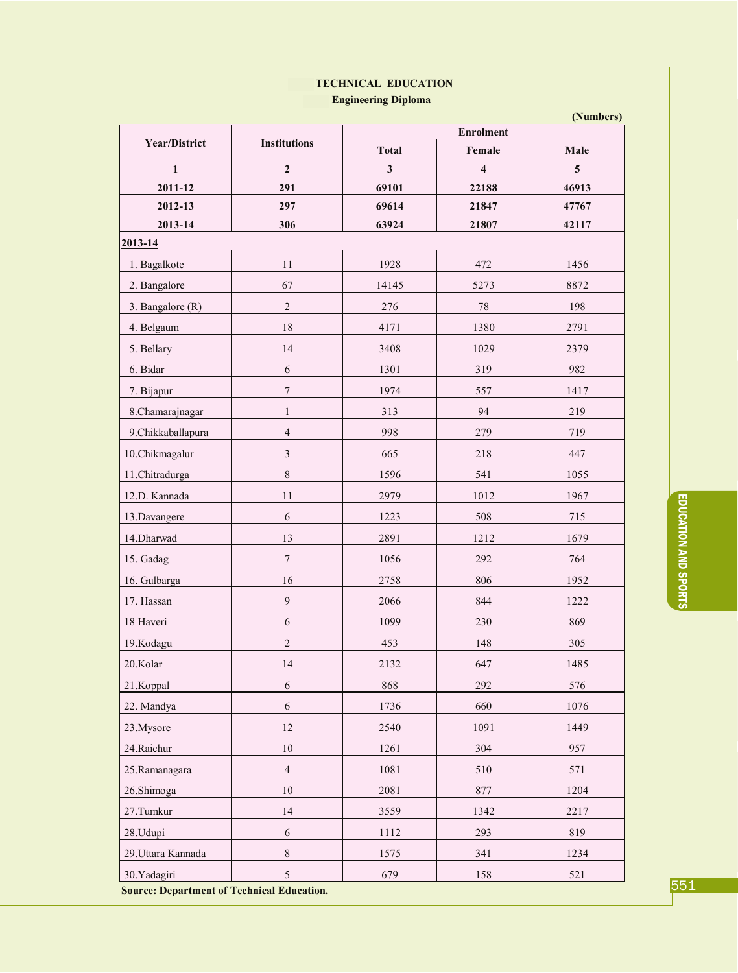## **TECHNICAL EDUCATION**

**Engineering Diploma** 

|                                                   |                     | (Numbers)    |                            |                                 |  |  |  |  |
|---------------------------------------------------|---------------------|--------------|----------------------------|---------------------------------|--|--|--|--|
| <b>Year/District</b>                              | <b>Institutions</b> | <b>Total</b> | <b>Enrolment</b><br>Female | Male<br>$\overline{\mathbf{5}}$ |  |  |  |  |
| $\mathbf{1}$                                      | $\overline{2}$      | $\mathbf{3}$ | $\overline{\mathbf{4}}$    |                                 |  |  |  |  |
| 2011-12                                           | 291                 | 69101        | 22188                      | 46913                           |  |  |  |  |
| 2012-13                                           | 297                 | 69614        | 21847                      | 47767                           |  |  |  |  |
| 2013-14                                           | 306                 | 63924        | 21807                      | 42117                           |  |  |  |  |
| 2013-14                                           |                     |              |                            |                                 |  |  |  |  |
| 1. Bagalkote                                      | 11                  | 1928         | 472                        | 1456                            |  |  |  |  |
| 2. Bangalore                                      | 67                  | 14145        | 5273                       | 8872                            |  |  |  |  |
| 3. Bangalore (R)                                  | $\overline{2}$      | 276          | $78\,$                     | 198                             |  |  |  |  |
| 4. Belgaum                                        | 18                  | 4171         | 1380                       | 2791                            |  |  |  |  |
| 5. Bellary                                        | 14                  | 3408         | 1029                       | 2379                            |  |  |  |  |
| 6. Bidar                                          | 6                   | 1301         | 319                        | 982                             |  |  |  |  |
| 7. Bijapur                                        | $\boldsymbol{7}$    | 1974         | 557                        | 1417                            |  |  |  |  |
| 8.Chamarajnagar                                   | $\mathbf{1}$        | 313          | 94                         | 219                             |  |  |  |  |
| 9.Chikkaballapura                                 | $\overline{4}$      | 998          | 279                        | 719                             |  |  |  |  |
| 10.Chikmagalur                                    | $\overline{3}$      | 665          | 218                        | 447                             |  |  |  |  |
| 11.Chitradurga                                    | $\,8\,$             | 1596         | 541                        | 1055                            |  |  |  |  |
| 12.D. Kannada                                     | 11                  | 2979         | 1012                       | 1967                            |  |  |  |  |
| 13.Davangere                                      | $\sqrt{6}$          | 1223         | 508                        | 715                             |  |  |  |  |
| 14. Dharwad                                       | 13                  | 2891         | 1212                       | 1679                            |  |  |  |  |
| 15. Gadag                                         | $\tau$              | 1056         | 292                        | 764                             |  |  |  |  |
| 16. Gulbarga                                      | 16                  | 2758         | 806                        | 1952                            |  |  |  |  |
| 17. Hassan                                        | 9                   | 2066         | 844                        | 1222                            |  |  |  |  |
| 18 Haveri                                         | 6                   | 1099         | 230                        | 869                             |  |  |  |  |
| 19.Kodagu                                         | 2                   | 453          | 148                        | 305                             |  |  |  |  |
| 20.Kolar                                          | 14                  | 2132         | 647                        | 1485                            |  |  |  |  |
| 21.Koppal                                         | $\sqrt{6}$          | 868          | 292                        | 576                             |  |  |  |  |
| 22. Mandya                                        | $\sqrt{6}$          | 1736         | 660                        | 1076                            |  |  |  |  |
| 23.Mysore                                         | 12                  | 2540         | 1091                       | 1449                            |  |  |  |  |
| 24. Raichur                                       | $10\,$              | 1261         | 304                        | 957                             |  |  |  |  |
| 25.Ramanagara                                     | $\overline{4}$      | 1081         | 510                        | 571                             |  |  |  |  |
| 26.Shimoga                                        | 10                  | 2081         | 877                        | 1204                            |  |  |  |  |
| 27.Tumkur                                         | 14                  | 3559         | 1342                       | 2217                            |  |  |  |  |
| 28.Udupi                                          | 6                   | 1112         | 293                        | 819                             |  |  |  |  |
| 29. Uttara Kannada                                | $\,8\,$             | 1575         | 341                        | 1234                            |  |  |  |  |
| 30.Yadagiri                                       | 5                   | 679          | 158                        | 521                             |  |  |  |  |
| <b>Source: Department of Technical Education.</b> |                     |              |                            |                                 |  |  |  |  |

551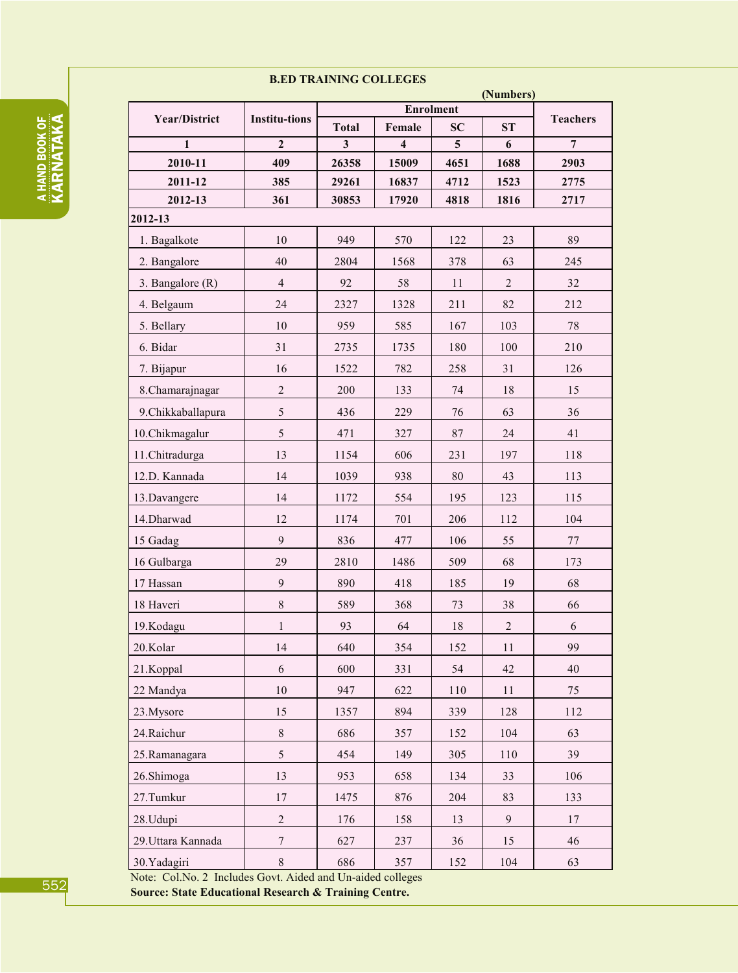#### **B.ED TRAINING COLLEGES**

|                                 | (Numbers)<br>Enrolment |                              |                         |                              |                |                 |  |
|---------------------------------|------------------------|------------------------------|-------------------------|------------------------------|----------------|-----------------|--|
| <b>Year/District</b>            | <b>Institu-tions</b>   |                              | Female                  | <b>ST</b>                    |                | <b>Teachers</b> |  |
| $\mathbf{1}$                    | $\overline{2}$         | <b>Total</b><br>$\mathbf{3}$ | $\overline{\mathbf{4}}$ | <b>SC</b><br>$5\overline{)}$ | 6              | $\overline{7}$  |  |
| 2010-11                         | 409                    | 26358                        | 15009                   | 4651                         | 1688           | 2903            |  |
| 2011-12                         | 385                    | 29261                        | 16837                   | 4712                         | 1523           | 2775            |  |
| 2012-13                         | 361                    | 30853                        | 17920                   | 4818                         | 1816           | 2717            |  |
| 2012-13                         |                        |                              |                         |                              |                |                 |  |
| 1. Bagalkote                    | 10                     | 949                          | 570                     | 122                          | 23             | 89              |  |
| 2. Bangalore                    | 40                     | 2804                         | 1568                    | 378                          | 63             | 245             |  |
| 3. Bangalore (R)                | $\overline{4}$         | 92                           | 58                      | 11                           | $\overline{2}$ | 32              |  |
| 4. Belgaum                      | 24                     | 2327                         | 1328                    | 211                          | 82             | 212             |  |
| 5. Bellary                      | 10                     | 959                          | 585                     | 167                          | 103            | 78              |  |
| 6. Bidar                        | 31                     | 2735                         | 1735                    | 180                          | 100            | 210             |  |
| 7. Bijapur                      | 16                     | 1522                         | 782                     | 258                          | 31             | 126             |  |
| 8. Chamarajnagar                | $\sqrt{2}$             | 200                          | 133                     | 74                           | 18             | 15              |  |
| 9. Chikkaballapura              | $\sqrt{5}$             | 436                          | 229                     | 76                           | 63             | 36              |  |
| 10.Chikmagalur                  | 5                      | 471                          | 327                     | 87                           | 24             | 41              |  |
| 11.Chitradurga                  | 13                     | 1154                         | 606                     | 231                          | 197            | 118             |  |
| 12.D. Kannada                   | 14                     | 1039                         | 938                     | 80                           | 43             | 113             |  |
| 13.Davangere                    | 14                     | 1172                         | 554                     | 195                          | 123            | 115             |  |
| 14. Dharwad                     | 12                     | 1174                         | 701                     | 206                          | 112            | 104             |  |
| 15 Gadag                        | $\mathbf{9}$           | 836                          | 477                     | 106                          | 55             | 77              |  |
| 16 Gulbarga                     | 29                     | 2810                         | 1486                    | 509                          | 68             | 173             |  |
| 17 Hassan                       | $\mathbf{9}$           | 890                          | 418                     | 185                          | 19             | 68              |  |
| 18 Haveri                       | $\,$ 8 $\,$            | 589                          | 368                     | 73                           | 38             | 66              |  |
| 19.Kodagu                       | $\mathbf{1}$           | 93                           | 64                      | $18\,$                       | $\overline{2}$ | $\sqrt{6}$      |  |
| 20.Kolar                        | 14                     | 640                          | 354                     | 152                          | 11             | 99              |  |
| 21.Koppal                       | 6                      | 600                          | 331                     | 54                           | 42             | 40              |  |
| 22 Mandya                       | $10\,$                 | 947                          | 622                     | 110                          | 11             | 75              |  |
| 23. Mysore                      | 15                     | 1357                         | 894                     | 339                          | 128            | 112             |  |
| 24. Raichur                     | $\,8\,$                | 686                          | 357                     | 152                          | 104            | 63              |  |
| 25.Ramanagara                   | 5                      | 454                          | 149                     | 305                          | 110            | 39              |  |
| 26.Shimoga                      | 13                     | 953                          | 658                     | 134                          | 33             | 106             |  |
| 27. Tumkur                      | 17                     | 1475                         | 876                     | 204                          | 83             | 133             |  |
| 28.Udupi                        | $\overline{2}$         | 176                          | 158                     | 13                           | 9              | 17              |  |
| 29. Uttara Kannada              | $\overline{7}$         | 627                          | 237                     | 36                           | 15             | 46              |  |
| 30. Yadagiri                    | $\,$ $\,$              | 686                          | 357                     | 152                          | 104            | 63              |  |
| $Neta$ $Cq1 Nq$ 2 Includes $Cq$ | $+$ A $id_{ad}$        | $ATLn$ and                   | 11222                   |                              |                |                 |  |

Note: Col.No. 2 Includes Govt. Aided and Un-aided colleges

Source: State Educational Research & Training Centre.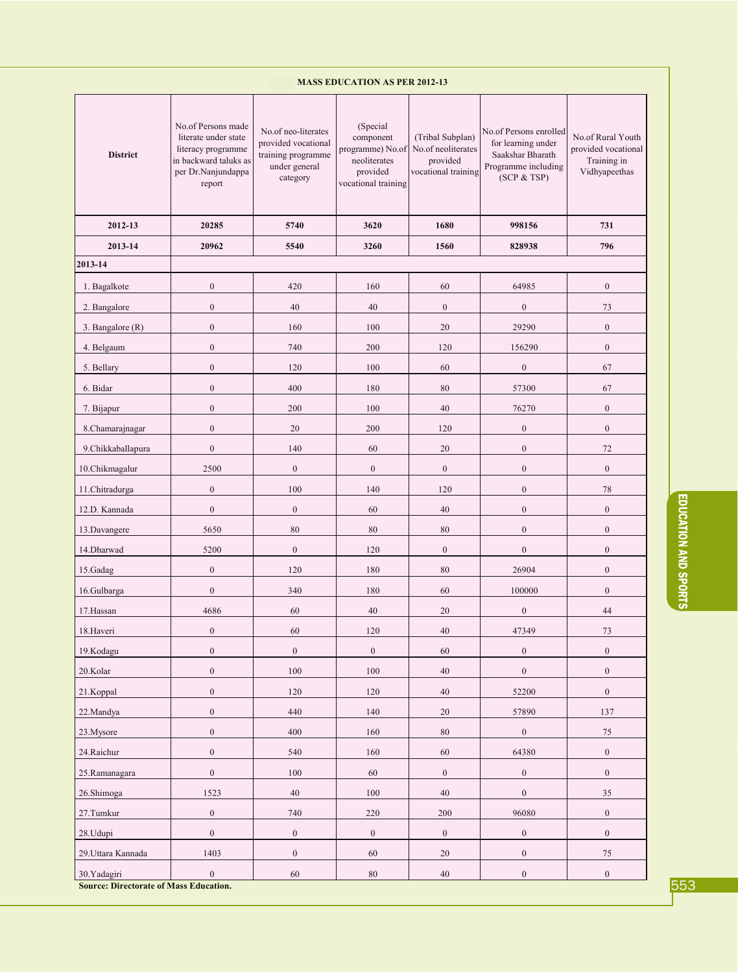| No.of Persons made<br>(Special<br>No.of neo-literates<br>No.of Persons enrolled<br>literate under state<br>component<br>No.of Rural Youth<br>(Tribal Subplan)<br>for learning under<br>provided vocational<br>No.of neoliterates<br>literacy programme<br>programme) No.of<br>provided vocational<br><b>District</b><br>training programme<br>Saakshar Bharath<br>in backward taluks as<br>neoliterates<br>provided<br>Training in<br>under general<br>Programme including<br>vocational training<br>Vidhyapeethas<br>per Dr.Nanjundappa<br>provided<br>(SCP & TSP)<br>category<br>vocational training<br>report<br>2012-13<br>20285<br>5740<br>3620<br>1680<br>998156<br>731<br>2013-14<br>20962<br>5540<br>3260<br>1560<br>828938<br>796<br>2013-14<br>$\boldsymbol{0}$<br>$\boldsymbol{0}$<br>420<br>160<br>60<br>64985<br>1. Bagalkote<br>$\mathbf{0}$<br>40<br>40<br>$\boldsymbol{0}$<br>$\boldsymbol{0}$<br>73<br>2. Bangalore<br>$\boldsymbol{0}$<br>$\boldsymbol{0}$<br>160<br>100<br>20<br>29290<br>3. Bangalore (R)<br>$\overline{0}$<br>$\boldsymbol{0}$<br>740<br>200<br>120<br>156290<br>4. Belgaum<br>$\boldsymbol{0}$<br>100<br>60<br>$\boldsymbol{0}$<br>67<br>5. Bellary<br>120<br>$\boldsymbol{0}$<br>400<br>180<br>80<br>57300<br>67<br>6. Bidar<br>$\boldsymbol{0}$<br>$\boldsymbol{0}$<br>200<br>100<br>40<br>76270<br>7. Bijapur<br>$\boldsymbol{0}$<br>$\overline{0}$<br>$\boldsymbol{0}$<br>20<br>200<br>120<br>8.Chamarajnagar<br>$\boldsymbol{0}$<br>140<br>60<br>20<br>$\boldsymbol{0}$<br>72<br>9.Chikkaballapura<br>2500<br>$\boldsymbol{0}$<br>$\boldsymbol{0}$<br>$\boldsymbol{0}$<br>10.Chikmagalur<br>$\boldsymbol{0}$<br>$\boldsymbol{0}$<br>$\boldsymbol{0}$<br>100<br>140<br>120<br>$\mathbf{0}$<br>78<br>11.Chitradurga<br>12.D. Kannada<br>$\boldsymbol{0}$<br>$\boldsymbol{0}$<br>60<br>40<br>$\boldsymbol{0}$<br>$\boldsymbol{0}$<br>80<br>$\boldsymbol{0}$<br>$\boldsymbol{0}$<br>5650<br>80<br>80<br>13.Davangere<br>$\boldsymbol{0}$<br>$\boldsymbol{0}$<br>14. Dharwad<br>5200<br>120<br>$\boldsymbol{0}$<br>$\boldsymbol{0}$<br>$\overline{0}$<br>$\boldsymbol{0}$<br>120<br>180<br>80<br>15.Gadag<br>26904<br>$\boldsymbol{0}$<br>340<br>180<br>60<br>100000<br>$\overline{0}$<br>16.Gulbarga<br>$\boldsymbol{0}$<br>17. Hassan<br>4686<br>60<br>40<br>20<br>44<br>18. Haveri<br>$\boldsymbol{0}$<br>60<br>120<br>40<br>47349<br>73<br>$\boldsymbol{0}$<br>$\boldsymbol{0}$<br>$\boldsymbol{0}$<br>19.Kodagu<br>$\boldsymbol{0}$<br>$\boldsymbol{0}$<br>60<br>$\boldsymbol{0}$<br>$100\,$<br>$40\,$<br>$\boldsymbol{0}$<br>$\boldsymbol{0}$<br>20.Kolar<br>100<br>$\boldsymbol{0}$<br>21.Koppal<br>120<br>120<br>40<br>52200<br>$\boldsymbol{0}$<br>$\boldsymbol{0}$<br>22.Mandya<br>440<br>140<br>20<br>57890<br>137<br>$\boldsymbol{0}$<br>$\boldsymbol{0}$<br>400<br>160<br>80<br>75<br>23.Mysore<br>$\boldsymbol{0}$<br>$\boldsymbol{0}$<br>24. Raichur<br>540<br>160<br>60<br>64380<br>$\boldsymbol{0}$<br>$100\,$<br>$\boldsymbol{0}$<br>$\boldsymbol{0}$<br>$\boldsymbol{0}$<br>25.Ramanagara<br>60<br>$\boldsymbol{0}$<br>26.Shimoga<br>1523<br>40<br>100<br>40<br>35<br>$\boldsymbol{0}$<br>96080<br>$\boldsymbol{0}$<br>27.Tumkur<br>740<br>$220\,$<br>$200\,$<br>$\boldsymbol{0}$<br>$\boldsymbol{0}$<br>$\boldsymbol{0}$<br>$\boldsymbol{0}$<br>28.Udupi<br>$\mathbf{0}$<br>$\boldsymbol{0}$<br>29. Uttara Kannada<br>1403<br>$\boldsymbol{0}$<br>60<br>20<br>$\boldsymbol{0}$<br>75<br>$\boldsymbol{0}$<br>$\boldsymbol{0}$<br>30. Yadagiri<br>$\boldsymbol{0}$<br>60<br>80<br>40<br><b>Source: Directorate of Mass Education.</b> |  | <b>MASS EDUCATION AS PER 2012-13</b> |  |  |  |  |  |  |  |
|-----------------------------------------------------------------------------------------------------------------------------------------------------------------------------------------------------------------------------------------------------------------------------------------------------------------------------------------------------------------------------------------------------------------------------------------------------------------------------------------------------------------------------------------------------------------------------------------------------------------------------------------------------------------------------------------------------------------------------------------------------------------------------------------------------------------------------------------------------------------------------------------------------------------------------------------------------------------------------------------------------------------------------------------------------------------------------------------------------------------------------------------------------------------------------------------------------------------------------------------------------------------------------------------------------------------------------------------------------------------------------------------------------------------------------------------------------------------------------------------------------------------------------------------------------------------------------------------------------------------------------------------------------------------------------------------------------------------------------------------------------------------------------------------------------------------------------------------------------------------------------------------------------------------------------------------------------------------------------------------------------------------------------------------------------------------------------------------------------------------------------------------------------------------------------------------------------------------------------------------------------------------------------------------------------------------------------------------------------------------------------------------------------------------------------------------------------------------------------------------------------------------------------------------------------------------------------------------------------------------------------------------------------------------------------------------------------------------------------------------------------------------------------------------------------------------------------------------------------------------------------------------------------------------------------------------------------------------------------------------------------------------------------------------------------------------------------------------------------------------------------------------------------------------------------------------------------------------------------------------------------------------------------------------------------------------------------------------------------------------------------------------------------------------------------------------------------------------------------------------------------------------------------------------------------------------------------------------------|--|--------------------------------------|--|--|--|--|--|--|--|
|                                                                                                                                                                                                                                                                                                                                                                                                                                                                                                                                                                                                                                                                                                                                                                                                                                                                                                                                                                                                                                                                                                                                                                                                                                                                                                                                                                                                                                                                                                                                                                                                                                                                                                                                                                                                                                                                                                                                                                                                                                                                                                                                                                                                                                                                                                                                                                                                                                                                                                                                                                                                                                                                                                                                                                                                                                                                                                                                                                                                                                                                                                                                                                                                                                                                                                                                                                                                                                                                                                                                                                                               |  |                                      |  |  |  |  |  |  |  |
|                                                                                                                                                                                                                                                                                                                                                                                                                                                                                                                                                                                                                                                                                                                                                                                                                                                                                                                                                                                                                                                                                                                                                                                                                                                                                                                                                                                                                                                                                                                                                                                                                                                                                                                                                                                                                                                                                                                                                                                                                                                                                                                                                                                                                                                                                                                                                                                                                                                                                                                                                                                                                                                                                                                                                                                                                                                                                                                                                                                                                                                                                                                                                                                                                                                                                                                                                                                                                                                                                                                                                                                               |  |                                      |  |  |  |  |  |  |  |
|                                                                                                                                                                                                                                                                                                                                                                                                                                                                                                                                                                                                                                                                                                                                                                                                                                                                                                                                                                                                                                                                                                                                                                                                                                                                                                                                                                                                                                                                                                                                                                                                                                                                                                                                                                                                                                                                                                                                                                                                                                                                                                                                                                                                                                                                                                                                                                                                                                                                                                                                                                                                                                                                                                                                                                                                                                                                                                                                                                                                                                                                                                                                                                                                                                                                                                                                                                                                                                                                                                                                                                                               |  |                                      |  |  |  |  |  |  |  |
|                                                                                                                                                                                                                                                                                                                                                                                                                                                                                                                                                                                                                                                                                                                                                                                                                                                                                                                                                                                                                                                                                                                                                                                                                                                                                                                                                                                                                                                                                                                                                                                                                                                                                                                                                                                                                                                                                                                                                                                                                                                                                                                                                                                                                                                                                                                                                                                                                                                                                                                                                                                                                                                                                                                                                                                                                                                                                                                                                                                                                                                                                                                                                                                                                                                                                                                                                                                                                                                                                                                                                                                               |  |                                      |  |  |  |  |  |  |  |
|                                                                                                                                                                                                                                                                                                                                                                                                                                                                                                                                                                                                                                                                                                                                                                                                                                                                                                                                                                                                                                                                                                                                                                                                                                                                                                                                                                                                                                                                                                                                                                                                                                                                                                                                                                                                                                                                                                                                                                                                                                                                                                                                                                                                                                                                                                                                                                                                                                                                                                                                                                                                                                                                                                                                                                                                                                                                                                                                                                                                                                                                                                                                                                                                                                                                                                                                                                                                                                                                                                                                                                                               |  |                                      |  |  |  |  |  |  |  |
|                                                                                                                                                                                                                                                                                                                                                                                                                                                                                                                                                                                                                                                                                                                                                                                                                                                                                                                                                                                                                                                                                                                                                                                                                                                                                                                                                                                                                                                                                                                                                                                                                                                                                                                                                                                                                                                                                                                                                                                                                                                                                                                                                                                                                                                                                                                                                                                                                                                                                                                                                                                                                                                                                                                                                                                                                                                                                                                                                                                                                                                                                                                                                                                                                                                                                                                                                                                                                                                                                                                                                                                               |  |                                      |  |  |  |  |  |  |  |
|                                                                                                                                                                                                                                                                                                                                                                                                                                                                                                                                                                                                                                                                                                                                                                                                                                                                                                                                                                                                                                                                                                                                                                                                                                                                                                                                                                                                                                                                                                                                                                                                                                                                                                                                                                                                                                                                                                                                                                                                                                                                                                                                                                                                                                                                                                                                                                                                                                                                                                                                                                                                                                                                                                                                                                                                                                                                                                                                                                                                                                                                                                                                                                                                                                                                                                                                                                                                                                                                                                                                                                                               |  |                                      |  |  |  |  |  |  |  |
|                                                                                                                                                                                                                                                                                                                                                                                                                                                                                                                                                                                                                                                                                                                                                                                                                                                                                                                                                                                                                                                                                                                                                                                                                                                                                                                                                                                                                                                                                                                                                                                                                                                                                                                                                                                                                                                                                                                                                                                                                                                                                                                                                                                                                                                                                                                                                                                                                                                                                                                                                                                                                                                                                                                                                                                                                                                                                                                                                                                                                                                                                                                                                                                                                                                                                                                                                                                                                                                                                                                                                                                               |  |                                      |  |  |  |  |  |  |  |
|                                                                                                                                                                                                                                                                                                                                                                                                                                                                                                                                                                                                                                                                                                                                                                                                                                                                                                                                                                                                                                                                                                                                                                                                                                                                                                                                                                                                                                                                                                                                                                                                                                                                                                                                                                                                                                                                                                                                                                                                                                                                                                                                                                                                                                                                                                                                                                                                                                                                                                                                                                                                                                                                                                                                                                                                                                                                                                                                                                                                                                                                                                                                                                                                                                                                                                                                                                                                                                                                                                                                                                                               |  |                                      |  |  |  |  |  |  |  |
|                                                                                                                                                                                                                                                                                                                                                                                                                                                                                                                                                                                                                                                                                                                                                                                                                                                                                                                                                                                                                                                                                                                                                                                                                                                                                                                                                                                                                                                                                                                                                                                                                                                                                                                                                                                                                                                                                                                                                                                                                                                                                                                                                                                                                                                                                                                                                                                                                                                                                                                                                                                                                                                                                                                                                                                                                                                                                                                                                                                                                                                                                                                                                                                                                                                                                                                                                                                                                                                                                                                                                                                               |  |                                      |  |  |  |  |  |  |  |
|                                                                                                                                                                                                                                                                                                                                                                                                                                                                                                                                                                                                                                                                                                                                                                                                                                                                                                                                                                                                                                                                                                                                                                                                                                                                                                                                                                                                                                                                                                                                                                                                                                                                                                                                                                                                                                                                                                                                                                                                                                                                                                                                                                                                                                                                                                                                                                                                                                                                                                                                                                                                                                                                                                                                                                                                                                                                                                                                                                                                                                                                                                                                                                                                                                                                                                                                                                                                                                                                                                                                                                                               |  |                                      |  |  |  |  |  |  |  |
|                                                                                                                                                                                                                                                                                                                                                                                                                                                                                                                                                                                                                                                                                                                                                                                                                                                                                                                                                                                                                                                                                                                                                                                                                                                                                                                                                                                                                                                                                                                                                                                                                                                                                                                                                                                                                                                                                                                                                                                                                                                                                                                                                                                                                                                                                                                                                                                                                                                                                                                                                                                                                                                                                                                                                                                                                                                                                                                                                                                                                                                                                                                                                                                                                                                                                                                                                                                                                                                                                                                                                                                               |  |                                      |  |  |  |  |  |  |  |
|                                                                                                                                                                                                                                                                                                                                                                                                                                                                                                                                                                                                                                                                                                                                                                                                                                                                                                                                                                                                                                                                                                                                                                                                                                                                                                                                                                                                                                                                                                                                                                                                                                                                                                                                                                                                                                                                                                                                                                                                                                                                                                                                                                                                                                                                                                                                                                                                                                                                                                                                                                                                                                                                                                                                                                                                                                                                                                                                                                                                                                                                                                                                                                                                                                                                                                                                                                                                                                                                                                                                                                                               |  |                                      |  |  |  |  |  |  |  |
|                                                                                                                                                                                                                                                                                                                                                                                                                                                                                                                                                                                                                                                                                                                                                                                                                                                                                                                                                                                                                                                                                                                                                                                                                                                                                                                                                                                                                                                                                                                                                                                                                                                                                                                                                                                                                                                                                                                                                                                                                                                                                                                                                                                                                                                                                                                                                                                                                                                                                                                                                                                                                                                                                                                                                                                                                                                                                                                                                                                                                                                                                                                                                                                                                                                                                                                                                                                                                                                                                                                                                                                               |  |                                      |  |  |  |  |  |  |  |
|                                                                                                                                                                                                                                                                                                                                                                                                                                                                                                                                                                                                                                                                                                                                                                                                                                                                                                                                                                                                                                                                                                                                                                                                                                                                                                                                                                                                                                                                                                                                                                                                                                                                                                                                                                                                                                                                                                                                                                                                                                                                                                                                                                                                                                                                                                                                                                                                                                                                                                                                                                                                                                                                                                                                                                                                                                                                                                                                                                                                                                                                                                                                                                                                                                                                                                                                                                                                                                                                                                                                                                                               |  |                                      |  |  |  |  |  |  |  |
|                                                                                                                                                                                                                                                                                                                                                                                                                                                                                                                                                                                                                                                                                                                                                                                                                                                                                                                                                                                                                                                                                                                                                                                                                                                                                                                                                                                                                                                                                                                                                                                                                                                                                                                                                                                                                                                                                                                                                                                                                                                                                                                                                                                                                                                                                                                                                                                                                                                                                                                                                                                                                                                                                                                                                                                                                                                                                                                                                                                                                                                                                                                                                                                                                                                                                                                                                                                                                                                                                                                                                                                               |  |                                      |  |  |  |  |  |  |  |
|                                                                                                                                                                                                                                                                                                                                                                                                                                                                                                                                                                                                                                                                                                                                                                                                                                                                                                                                                                                                                                                                                                                                                                                                                                                                                                                                                                                                                                                                                                                                                                                                                                                                                                                                                                                                                                                                                                                                                                                                                                                                                                                                                                                                                                                                                                                                                                                                                                                                                                                                                                                                                                                                                                                                                                                                                                                                                                                                                                                                                                                                                                                                                                                                                                                                                                                                                                                                                                                                                                                                                                                               |  |                                      |  |  |  |  |  |  |  |
|                                                                                                                                                                                                                                                                                                                                                                                                                                                                                                                                                                                                                                                                                                                                                                                                                                                                                                                                                                                                                                                                                                                                                                                                                                                                                                                                                                                                                                                                                                                                                                                                                                                                                                                                                                                                                                                                                                                                                                                                                                                                                                                                                                                                                                                                                                                                                                                                                                                                                                                                                                                                                                                                                                                                                                                                                                                                                                                                                                                                                                                                                                                                                                                                                                                                                                                                                                                                                                                                                                                                                                                               |  |                                      |  |  |  |  |  |  |  |
|                                                                                                                                                                                                                                                                                                                                                                                                                                                                                                                                                                                                                                                                                                                                                                                                                                                                                                                                                                                                                                                                                                                                                                                                                                                                                                                                                                                                                                                                                                                                                                                                                                                                                                                                                                                                                                                                                                                                                                                                                                                                                                                                                                                                                                                                                                                                                                                                                                                                                                                                                                                                                                                                                                                                                                                                                                                                                                                                                                                                                                                                                                                                                                                                                                                                                                                                                                                                                                                                                                                                                                                               |  |                                      |  |  |  |  |  |  |  |
|                                                                                                                                                                                                                                                                                                                                                                                                                                                                                                                                                                                                                                                                                                                                                                                                                                                                                                                                                                                                                                                                                                                                                                                                                                                                                                                                                                                                                                                                                                                                                                                                                                                                                                                                                                                                                                                                                                                                                                                                                                                                                                                                                                                                                                                                                                                                                                                                                                                                                                                                                                                                                                                                                                                                                                                                                                                                                                                                                                                                                                                                                                                                                                                                                                                                                                                                                                                                                                                                                                                                                                                               |  |                                      |  |  |  |  |  |  |  |
|                                                                                                                                                                                                                                                                                                                                                                                                                                                                                                                                                                                                                                                                                                                                                                                                                                                                                                                                                                                                                                                                                                                                                                                                                                                                                                                                                                                                                                                                                                                                                                                                                                                                                                                                                                                                                                                                                                                                                                                                                                                                                                                                                                                                                                                                                                                                                                                                                                                                                                                                                                                                                                                                                                                                                                                                                                                                                                                                                                                                                                                                                                                                                                                                                                                                                                                                                                                                                                                                                                                                                                                               |  |                                      |  |  |  |  |  |  |  |
|                                                                                                                                                                                                                                                                                                                                                                                                                                                                                                                                                                                                                                                                                                                                                                                                                                                                                                                                                                                                                                                                                                                                                                                                                                                                                                                                                                                                                                                                                                                                                                                                                                                                                                                                                                                                                                                                                                                                                                                                                                                                                                                                                                                                                                                                                                                                                                                                                                                                                                                                                                                                                                                                                                                                                                                                                                                                                                                                                                                                                                                                                                                                                                                                                                                                                                                                                                                                                                                                                                                                                                                               |  |                                      |  |  |  |  |  |  |  |
|                                                                                                                                                                                                                                                                                                                                                                                                                                                                                                                                                                                                                                                                                                                                                                                                                                                                                                                                                                                                                                                                                                                                                                                                                                                                                                                                                                                                                                                                                                                                                                                                                                                                                                                                                                                                                                                                                                                                                                                                                                                                                                                                                                                                                                                                                                                                                                                                                                                                                                                                                                                                                                                                                                                                                                                                                                                                                                                                                                                                                                                                                                                                                                                                                                                                                                                                                                                                                                                                                                                                                                                               |  |                                      |  |  |  |  |  |  |  |
|                                                                                                                                                                                                                                                                                                                                                                                                                                                                                                                                                                                                                                                                                                                                                                                                                                                                                                                                                                                                                                                                                                                                                                                                                                                                                                                                                                                                                                                                                                                                                                                                                                                                                                                                                                                                                                                                                                                                                                                                                                                                                                                                                                                                                                                                                                                                                                                                                                                                                                                                                                                                                                                                                                                                                                                                                                                                                                                                                                                                                                                                                                                                                                                                                                                                                                                                                                                                                                                                                                                                                                                               |  |                                      |  |  |  |  |  |  |  |
|                                                                                                                                                                                                                                                                                                                                                                                                                                                                                                                                                                                                                                                                                                                                                                                                                                                                                                                                                                                                                                                                                                                                                                                                                                                                                                                                                                                                                                                                                                                                                                                                                                                                                                                                                                                                                                                                                                                                                                                                                                                                                                                                                                                                                                                                                                                                                                                                                                                                                                                                                                                                                                                                                                                                                                                                                                                                                                                                                                                                                                                                                                                                                                                                                                                                                                                                                                                                                                                                                                                                                                                               |  |                                      |  |  |  |  |  |  |  |
|                                                                                                                                                                                                                                                                                                                                                                                                                                                                                                                                                                                                                                                                                                                                                                                                                                                                                                                                                                                                                                                                                                                                                                                                                                                                                                                                                                                                                                                                                                                                                                                                                                                                                                                                                                                                                                                                                                                                                                                                                                                                                                                                                                                                                                                                                                                                                                                                                                                                                                                                                                                                                                                                                                                                                                                                                                                                                                                                                                                                                                                                                                                                                                                                                                                                                                                                                                                                                                                                                                                                                                                               |  |                                      |  |  |  |  |  |  |  |
|                                                                                                                                                                                                                                                                                                                                                                                                                                                                                                                                                                                                                                                                                                                                                                                                                                                                                                                                                                                                                                                                                                                                                                                                                                                                                                                                                                                                                                                                                                                                                                                                                                                                                                                                                                                                                                                                                                                                                                                                                                                                                                                                                                                                                                                                                                                                                                                                                                                                                                                                                                                                                                                                                                                                                                                                                                                                                                                                                                                                                                                                                                                                                                                                                                                                                                                                                                                                                                                                                                                                                                                               |  |                                      |  |  |  |  |  |  |  |
|                                                                                                                                                                                                                                                                                                                                                                                                                                                                                                                                                                                                                                                                                                                                                                                                                                                                                                                                                                                                                                                                                                                                                                                                                                                                                                                                                                                                                                                                                                                                                                                                                                                                                                                                                                                                                                                                                                                                                                                                                                                                                                                                                                                                                                                                                                                                                                                                                                                                                                                                                                                                                                                                                                                                                                                                                                                                                                                                                                                                                                                                                                                                                                                                                                                                                                                                                                                                                                                                                                                                                                                               |  |                                      |  |  |  |  |  |  |  |
|                                                                                                                                                                                                                                                                                                                                                                                                                                                                                                                                                                                                                                                                                                                                                                                                                                                                                                                                                                                                                                                                                                                                                                                                                                                                                                                                                                                                                                                                                                                                                                                                                                                                                                                                                                                                                                                                                                                                                                                                                                                                                                                                                                                                                                                                                                                                                                                                                                                                                                                                                                                                                                                                                                                                                                                                                                                                                                                                                                                                                                                                                                                                                                                                                                                                                                                                                                                                                                                                                                                                                                                               |  |                                      |  |  |  |  |  |  |  |
|                                                                                                                                                                                                                                                                                                                                                                                                                                                                                                                                                                                                                                                                                                                                                                                                                                                                                                                                                                                                                                                                                                                                                                                                                                                                                                                                                                                                                                                                                                                                                                                                                                                                                                                                                                                                                                                                                                                                                                                                                                                                                                                                                                                                                                                                                                                                                                                                                                                                                                                                                                                                                                                                                                                                                                                                                                                                                                                                                                                                                                                                                                                                                                                                                                                                                                                                                                                                                                                                                                                                                                                               |  |                                      |  |  |  |  |  |  |  |
|                                                                                                                                                                                                                                                                                                                                                                                                                                                                                                                                                                                                                                                                                                                                                                                                                                                                                                                                                                                                                                                                                                                                                                                                                                                                                                                                                                                                                                                                                                                                                                                                                                                                                                                                                                                                                                                                                                                                                                                                                                                                                                                                                                                                                                                                                                                                                                                                                                                                                                                                                                                                                                                                                                                                                                                                                                                                                                                                                                                                                                                                                                                                                                                                                                                                                                                                                                                                                                                                                                                                                                                               |  |                                      |  |  |  |  |  |  |  |
|                                                                                                                                                                                                                                                                                                                                                                                                                                                                                                                                                                                                                                                                                                                                                                                                                                                                                                                                                                                                                                                                                                                                                                                                                                                                                                                                                                                                                                                                                                                                                                                                                                                                                                                                                                                                                                                                                                                                                                                                                                                                                                                                                                                                                                                                                                                                                                                                                                                                                                                                                                                                                                                                                                                                                                                                                                                                                                                                                                                                                                                                                                                                                                                                                                                                                                                                                                                                                                                                                                                                                                                               |  |                                      |  |  |  |  |  |  |  |
|                                                                                                                                                                                                                                                                                                                                                                                                                                                                                                                                                                                                                                                                                                                                                                                                                                                                                                                                                                                                                                                                                                                                                                                                                                                                                                                                                                                                                                                                                                                                                                                                                                                                                                                                                                                                                                                                                                                                                                                                                                                                                                                                                                                                                                                                                                                                                                                                                                                                                                                                                                                                                                                                                                                                                                                                                                                                                                                                                                                                                                                                                                                                                                                                                                                                                                                                                                                                                                                                                                                                                                                               |  |                                      |  |  |  |  |  |  |  |
|                                                                                                                                                                                                                                                                                                                                                                                                                                                                                                                                                                                                                                                                                                                                                                                                                                                                                                                                                                                                                                                                                                                                                                                                                                                                                                                                                                                                                                                                                                                                                                                                                                                                                                                                                                                                                                                                                                                                                                                                                                                                                                                                                                                                                                                                                                                                                                                                                                                                                                                                                                                                                                                                                                                                                                                                                                                                                                                                                                                                                                                                                                                                                                                                                                                                                                                                                                                                                                                                                                                                                                                               |  |                                      |  |  |  |  |  |  |  |

553